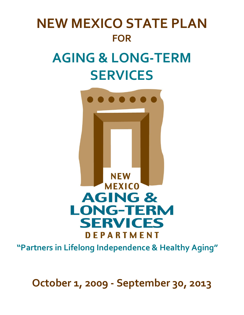# **NEW MEXICO STATE PLAN FOR AGING & LONG‐TERM SERVICES**



**"Partners in Lifelong Independence & Healthy Aging"**

**October 1, 2009 ‐ September 30, 2013**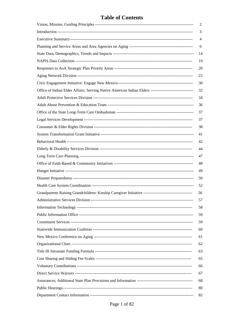### **Table of Contents**

|                                                                                                         | 2  |
|---------------------------------------------------------------------------------------------------------|----|
|                                                                                                         | 3  |
|                                                                                                         | 4  |
|                                                                                                         | 6  |
|                                                                                                         | 14 |
|                                                                                                         | 19 |
|                                                                                                         | 20 |
|                                                                                                         | 23 |
|                                                                                                         | 30 |
| Office of Indian Elder Affairs: Serving Native American Indian Elders --------------------------------- | 32 |
|                                                                                                         | 34 |
|                                                                                                         | 36 |
|                                                                                                         | 37 |
|                                                                                                         | 37 |
|                                                                                                         | 38 |
|                                                                                                         | 41 |
|                                                                                                         | 42 |
|                                                                                                         | 44 |
|                                                                                                         | 47 |
|                                                                                                         | 48 |
|                                                                                                         | 49 |
|                                                                                                         | 50 |
|                                                                                                         | 52 |
|                                                                                                         | 56 |
|                                                                                                         | 57 |
|                                                                                                         | 58 |
|                                                                                                         | 59 |
|                                                                                                         | 59 |
|                                                                                                         | 60 |
|                                                                                                         | 61 |
|                                                                                                         | 62 |
|                                                                                                         | 63 |
|                                                                                                         | 65 |
|                                                                                                         | 66 |
|                                                                                                         | 67 |
|                                                                                                         | 68 |
|                                                                                                         | 80 |
|                                                                                                         | 82 |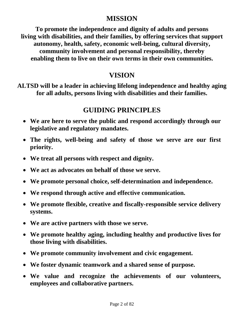# **MISSION**

**To promote the independence and dignity of adults and persons living with disabilities, and their families, by offering services that support autonomy, health, safety, economic well-being, cultural diversity, community involvement and personal responsibility, thereby enabling them to live on their own terms in their own communities.** 

# **VISION**

**ALTSD will be a leader in achieving lifelong independence and healthy aging for all adults, persons living with disabilities and their families.** 

# **GUIDING PRINCIPLES**

- **We are here to serve the public and respond accordingly through our legislative and regulatory mandates.**
- **The rights, well-being and safety of those we serve are our first priority.**
- **We treat all persons with respect and dignity.**
- **We act as advocates on behalf of those we serve.**
- **We promote personal choice, self-determination and independence.**
- **We respond through active and effective communication.**
- **We promote flexible, creative and fiscally-responsible service delivery systems.**
- **We are active partners with those we serve.**
- **We promote healthy aging, including healthy and productive lives for those living with disabilities.**
- **We promote community involvement and civic engagement.**
- **We foster dynamic teamwork and a shared sense of purpose.**
- **We value and recognize the achievements of our volunteers, employees and collaborative partners.**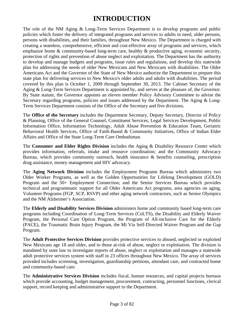# **INTRODUCTION**

The role of the NM Aging & Long-Term Services Department is to develop programs and public policies which foster the delivery of integrated programs and services to adults in need, older persons, persons with disabilities, and their families, throughout New Mexico. The Department is charged with creating a seamless, comprehensive, efficient and cost-effective array of programs and services, which emphasize home & community-based long-term care, healthy & productive aging, economic security, protection of rights and prevention of abuse neglect and exploitation. The Department has the authority to develop and manage budgets and programs, issue rules and regulations, and develop this statewide plan for addressing the needs of older New Mexicans and New Mexicans with disabilities. The Older Americans Act and the Governor of the State of New Mexico authorize the Department to prepare this state plan for delivering services to New Mexico's older adults and adults with disabilities. The period covered by this plan is October 1, 2009 through September 30, 2013. The Cabinet Secretary of the Aging & Long-Term Services Department is appointed by, and serves at the pleasure of, the Governor. By State statute, the Governor appoints an eleven member Policy Advisory Committee to advise the Secretary regarding programs, policies and issues addressed by the Department. The Aging & Long-Term Services Department consists of the Office of the Secretary and five divisions.

The **Office of the Secretary** includes the Department Secretary, Deputy Secretary, Director of Policy & Planning, Office of the General Counsel, Constituent Services, Legal Services Development, Public Information Office, Information Technology, Adult Abuse Prevention & Education Team, Geriatric Behavioral Health Services, Office of Faith-Based & Community Initiatives, Office of Indian Elder Affairs and Office of the State Long-Term Care Ombudsman.

The **Consumer and Elder Rights Division** includes the Aging & Disability Resource Center which provides information, referrals, intake and resource coordination; and the Community Advocacy Bureau, which provides community outreach, health insurance & benefits counseling, prescription drug assistance, money management and HIV advocacy.

The **Aging Network Division** includes the Employment Programs Bureau which administers two Older Worker Programs, as well as the Golden Opportunities for Lifelong Development (GOLD) Program and the 50+ Employment Connection; and the Senior Services Bureau which provides technical and programmatic support for all Older Americans Act programs, area agencies on aging, Volunteer Programs (FGP, SCP, RSVP) and other aging network contractors, such as Senior Olympics and the NM Alzheimer's Association.

The **Elderly and Disability Services Division** administers home and community based long-term care programs including Coordination of Long-Term Services (CoLTS), the Disability and Elderly Waiver Program, the Personal Care Option Program, the Program of All-inclusive Care for the Elderly (PACE), the Traumatic Brain Injury Program, the Mi Via Self-Directed Waiver Program and the Gap Program.

The **Adult Protective Services Division** provides protective services to abused, neglected or exploited New Mexicans age 18 and older, and to those at-risk of abuse, neglect or exploitation. The division is mandated by state law to investigate reports of abuse, neglect or exploitation and manages a statewide adult protective services system with staff in 23 offices throughout New Mexico. The array of services provided includes screening, investigation, guardianship petitions, attendant care, and contracted home and community-based care.

The **Administrative Services Division** includes fiscal, human resources, and capital projects bureaus which provide accounting, budget management, procurement, contracting, personnel functions, clerical support, record keeping and administrative support to the Department.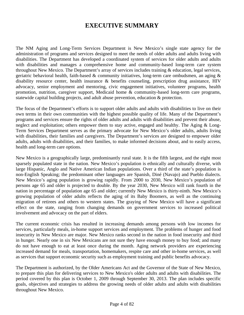# **EXECUTIVE SUMMARY**

The NM Aging and Long-Term Services Department is New Mexico's single state agency for the administration of programs and services designed to meet the needs of older adults and adults living with disabilities. The Department has developed a coordinated system of services for older adults and adults with disabilities and manages a comprehensive home and community-based long-term care system throughout New Mexico. The Department's array of services includes training & education, legal services, geriatric behavioral health, faith-based & community initiatives, long-term care ombudsmen, an aging & disability resource center, health insurance & benefits counseling, prescription drug assistance, HIV advocacy, senior employment and mentoring, civic engagement initiatives, volunteer programs, health promotion, nutrition, caregiver support, Medicaid home & community-based long-term care programs, statewide capital building projects, and adult abuse prevention, education & protection.

The focus of the Department's efforts is to support older adults and adults with disabilities to live on their own terms in their own communities with the highest possible quality of life. Many of the Department's programs and services ensure the rights of older adults and adults with disabilities and prevent their abuse, neglect and exploitation; others empower them to stay active, engaged and healthy. The Aging & Long-Term Services Department serves as the primary advocate for New Mexico's older adults, adults living with disabilities, their families and caregivers. The Department's services are designed to empower older adults, adults with disabilities, and their families, to make informed decisions about, and to easily access, health and long-term care options.

New Mexico is a geographically large, predominantly rural state. It is the fifth largest, and the eight most sparsely populated state in the nation. New Mexico's population is ethnically and culturally diverse, with large Hispanic, Anglo and Native American Indian populations. Over a third of the state's population is non-English Speaking; the predominant other languages are Spanish, Diné (Navajo) and Pueblo dialects. New Mexico's aging population is growing rapidly. From 2000 to 2030, New Mexico's population of persons age 65 and older is projected to double. By the year 2030, New Mexico will rank fourth in the nation in percentage of population age 65 and older; currently New Mexico is thirty-ninth. New Mexico's growing population of older adults reflects the aging of its Baby Boomers, as well as the continuing migration of retirees and others to western states. The graying of New Mexico will have a significant effect on the state, ranging from changing demands on government services to increased political involvement and advocacy on the part of elders.

The current economic crisis has resulted in increasing demands among persons with low incomes for services, particularly meals, in-home support services and employment. The problems of hunger and food insecurity in New Mexico are major. New Mexico ranks second in the nation in food insecurity and third in hunger. Nearly one in six New Mexicans are not sure they have enough money to buy food; and many do not have enough to eat at least once during the month. Aging network providers are experiencing increased demand for meals, transportation, homemakers, respite care and other in-home services, as well as services that support economic security such as employment training and public benefits advocacy.

The Department is authorized, by the Older Americans Act and the Governor of the State of New Mexico, to prepare this plan for delivering services to New Mexico's older adults and adults with disabilities. The period covered by this plan is October 1, 2009 through September 30, 2013. The plan includes specific goals, objectives and strategies to address the growing needs of older adults and adults with disabilities throughout New Mexico.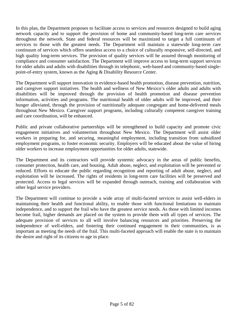In this plan, the Department proposes to facilitate access to services and resources designed to build aging network capacity and to support the provision of home and community-based long-term care services throughout the network. State and federal resources will be maximized to target a full continuum of services to those with the greatest needs. The Department will maintain a statewide long-term care continuum of services which offers seamless access to a choice of culturally responsive, self-directed, and high quality long-term services. The provision of quality services will be assured through monitoring of compliance and consumer satisfaction. The Department will improve access to long-term support services for older adults and adults with disabilities through its telephonic, web-based and community-based singlepoint-of-entry system, known as the Aging & Disability Resource Center.

The Department will support innovation in evidence-based health promotion, disease prevention, nutrition, and caregiver support initiatives. The health and wellness of New Mexico's older adults and adults with disabilities will be improved through the provision of health promotion and disease prevention information, activities and programs. The nutritional health of older adults will be improved, and their hunger alleviated, through the provision of nutritionally adequate congregate and home-delivered meals throughout New Mexico. Caregiver support programs, including culturally competent caregiver training and care coordination, will be enhanced.

Public and private collaborative partnerships will be strengthened to build capacity and promote civic engagement initiatives and volunteerism throughout New Mexico. The Department will assist older workers in preparing for, and securing, meaningful employment, including transition from subsidized employment programs, to foster economic security. Employers will be educated about the value of hiring older workers to increase employment opportunities for older adults, statewide.

The Department and its contractors will provide systemic advocacy in the areas of public benefits, consumer protection, health care, and housing. Adult abuse, neglect, and exploitation will be prevented or reduced. Efforts to educate the public regarding recognition and reporting of adult abuse, neglect, and exploitation will be increased. The rights of residents in long-term care facilities will be preserved and protected. Access to legal services will be expanded through outreach, training and collaboration with other legal service providers.

The Department will continue to provide a wide array of multi-faceted services to assist well-elders in maintaining their health and functional ability, to enable those with functional limitations to maintain independence, and to support the frail who have the greatest service needs. As those with limited incomes become frail, higher demands are placed on the system to provide them with all types of services. The adequate provision of services to all will involve balancing resources and priorities. Preserving the independence of well-elders, and fostering their continued engagement in their communities, is as important as meeting the needs of the frail. This multi-faceted approach will enable the state is to maintain the desire and right of its citizens to age in place.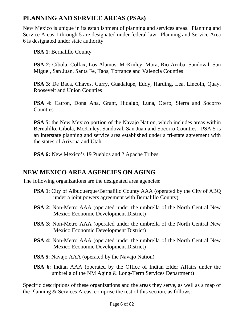# **PLANNING AND SERVICE AREAS (PSAs)**

New Mexico is unique in its establishment of planning and services areas. Planning and Service Areas 1 through 5 are designated under federal law. Planning and Service Area 6 is designated under state authority.

**PSA 1**: Bernalillo County

**PSA 2**: Cibola, Colfax, Los Alamos, McKinley, Mora, Rio Arriba, Sandoval, San Miguel, San Juan, Santa Fe, Taos, Torrance and Valencia Counties

**PSA 3**: De Baca, Chaves, Curry, Guadalupe, Eddy, Harding, Lea, Lincoln, Quay, Roosevelt and Union Counties

**PSA 4**: Catron, Dona Ana, Grant, Hidalgo, Luna, Otero, Sierra and Socorro **Counties** 

**PSA 5**: the New Mexico portion of the Navajo Nation, which includes areas within Bernalillo, Cibola, McKinley, Sandoval, San Juan and Socorro Counties. PSA 5 is an interstate planning and service area established under a tri-state agreement with the states of Arizona and Utah.

**PSA 6:** New Mexico's 19 Pueblos and 2 Apache Tribes.

# **NEW MEXICO AREA AGENCIES ON AGING**

The following organizations are the designated area agencies:

- **PSA 1**: City of Albuquerque/Bernalillo County AAA (operated by the City of ABQ) under a joint powers agreement with Bernalillo County)
- **PSA 2**: Non-Metro AAA (operated under the umbrella of the North Central New Mexico Economic Development District)
- **PSA 3**: Non-Metro AAA (operated under the umbrella of the North Central New Mexico Economic Development District)
- **PSA 4**: Non-Metro AAA (operated under the umbrella of the North Central New Mexico Economic Development District)
- **PSA 5**: Navajo AAA (operated by the Navajo Nation)
- **PSA 6**: Indian AAA (operated by the Office of Indian Elder Affairs under the umbrella of the NM Aging & Long-Term Services Department)

Specific descriptions of these organizations and the areas they serve, as well as a map of the Planning & Services Areas, comprise the rest of this section, as follows: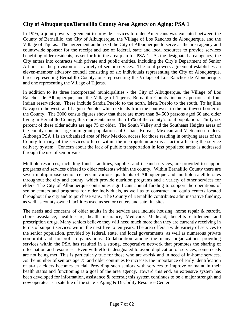### **City of Albuquerque/Bernalillo County Area Agency on Aging: PSA 1**

In 1995, a joint powers agreement to provide services to older Americans was executed between the County of Bernalillo, the City of Albuquerque, the Village of Los Ranchos de Albuquerque, and the Village of Tijeras. The agreement authorized the City of Albuquerque to serve as the area agency and countywide sponsor for the receipt and use of federal, state and local resources to provide services benefiting older residents, as set forth in the area plan for PSA 1. As the designated area agency, the City enters into contracts with private and public entities, including the City's Department of Senior Affairs, for the provision of a variety of senior services. The joint powers agreement establishes an eleven-member advisory council consisting of six individuals representing the City of Albuquerque, three representing Bernalillo County, one representing the Village of Los Ranchos de Albuquerque, and one representing the Village of Tijeras.

In addition to its three incorporated municipalities - the City of Albuquerque, the Village of Los Ranchos de Albuquerque, and the Village of Tijeras, Bernalillo County includes portions of four Indian reservations. These include Sandia Pueblo to the north, Isleta Pueblo to the south, To'hajiilee Navajo to the west, and Laguna Pueblo, which extends from the southwest to the northwest border of the County. The 2000 census figures show that there are more than 84,500 persons aged 60 and older living in Bernalillo County; this represents more than 15% of the county's total population. Thirty-six percent of these older adults are age 75 or older. The South Valley and the Southeast Heights areas of the county contain large immigrant populations of Cuban, Korean, Mexican and Vietnamese elders. Although PSA 1 is an urbanized area of New Mexico, access for those residing in outlying areas of the County to many of the services offered within the metropolitan area is a factor affecting the service delivery system. Concern about the lack of public transportation in less populated areas is addressed through the use of senior vans.

Multiple resources, including funds, facilities, supplies and in-kind services, are provided to support programs and services offered to older residents within the county. Within Bernalillo County there are seven multipurpose senior centers in various quadrants of Albuquerque and multiple satellite sites throughout the city and county, which provide nutrition programs and a variety of other services for elders. The City of Albuquerque contributes significant annual funding to support the operations of senior centers and programs for older individuals, as well as to construct and equip centers located throughout the city and to purchase vans. The County of Bernalillo contributes administrative funding, as well as county-owned facilities used as senior centers and satellite sites.

The needs and concerns of older adults in the service area include housing, home repair & retrofit, chore assistance, health care, health insurance, Medicare, Medicaid, benefits entitlement and prescription drugs. Many seniors believe they will need much more than they are currently receiving in terms of support services within the next five to ten years. The area offers a wide variety of services to the senior population, provided by federal, state, and local governments, as well as numerous private non-profit and for-profit organizations. Collaboration among the many organizations providing services within the PSA has resulted in a strong, cooperative network that promotes the sharing of information and resources. Even with efforts designated to avoid duplication of services, some needs are not being met. This is particularly true for those who are at-risk and in need of in-home services. As the number of seniors age 75 and older continues to increase, the importance of early identification of at-risk elders becomes crucial. Providing such seniors with services to improve or maintain their health status and functioning is a goal of the area agency. Toward this end, an extensive system has been developed for information, assistance & referral; this system continues to be a major strength and now operates as a satellite of the state's Aging & Disability Resource Center.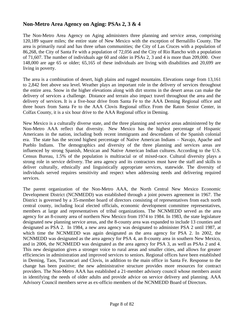### **Non-Metro Area Agency on Aging: PSAs 2, 3 & 4**

The Non-Metro Area Agency on Aging administers three planning and service areas, comprising 120,189 square miles; the entire state of New Mexico with the exception of Bernalillo County. The area is primarily rural and has three urban communities; the City of Las Cruces with a population of 86,268, the City of Santa Fe with a population of 72,056 and the City of Rio Rancho with a population of 71,607. The number of individuals age 60 and older in PSAs 2, 3 and 4 is more than 209,000. Over 148,000 are age 65 or older; 65,165 of these individuals are living with disabilities and 20,699 are living in poverty.

The area is a combination of desert, high plains and rugged mountains. Elevations range from 13,161 to 2,842 feet above sea level. Weather plays an important role in the delivery of services throughout the entire area. Snow in the higher elevations along with dirt storms in the desert areas can make the delivery of services a challenge. Distance and terrain also impact travel throughout the area and the delivery of services. It is a five-hour drive from Santa Fe to the AAA Deming Regional office and three hours from Santa Fe to the AAA Clovis Regional office. From the Raton Senior Center, in Colfax County, it is a six hour drive to the AAA Regional office in Deming.

New Mexico is a culturally diverse state, and the three planning and service areas administered by the Non-Metro AAA reflect that diversity. New Mexico has the highest percentage of Hispanic Americans in the nation, including both recent immigrants and descendants of the Spanish colonial era. The state has the second highest percentage of Native American Indians – Navajo, Apache and Pueblo Indians. The demographics and diversity of the three planning and services areas are influenced by strong Spanish, Mexican and Native American Indian cultures. According to the U.S. Census Bureau, 1.5% of the population is multiracial or of mixed-race. Cultural diversity plays a strong role in service delivery. The area agency and its contractors must have the staff and skills to deliver culturally, ethnically and linguistically appropriate services, statewide. The diversity of individuals served requires sensitivity and respect when addressing needs and delivering required services.

The parent organization of the Non-Metro AAA, the North Central New Mexico Economic Development District (NCNMEDD) was established through a joint powers agreement in 1967. The District is governed by a 35-member board of directors consisting of representatives from each north central county, including local elected officials, economic development committee representatives, members at large and representatives of tribal organizations. The NCNMEDD served as the area agency for an 8-county area of northern New Mexico from 1974 to 1984. In 1983, the state legislature designated new planning service areas, and the 8-county area was expanded to include 13 counties and designated as PSA 2. In 1984, a new area agency was designated to administer PSA 2 until 1987, at which time the NCNMEDD was again designated as the area agency for PSA 2. In 2002, the NCNMEDD was designated as the area agency for PSA 4, an 8-county area in southern New Mexico, and in 2006, the NCNMEDD was designated as the area agency for PSA 3, as well as PSAs 2 and 4. This new designation gives a stronger voice to rural areas and smaller cities, and allows for greater efficiencies in administration and improved services to seniors. Regional offices have been established in Deming, Taos, Tucumcari and Clovis, in addition to the main office in Santa Fe. Response to the change has been positive; the new administrative structure provides more resources for contract providers. The Non-Metro AAA has established a 21-member advisory council whose members assist in identifying the needs of older adults and provide advice on service delivery and planning. AAA Advisory Council members serve as ex-officio members of the NCNMEDD Board of Directors.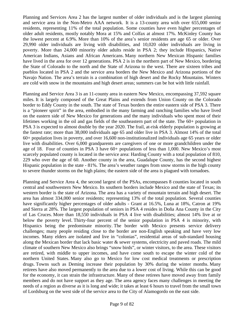Planning and Services Area 2 has the largest number of older individuals and is the largest planning and service area in the Non-Metro AAA network. It is a 13-county area with over 655,000 senior residents, representing 11% of the total population. Some counties have even higher percentages of older adult residents, mostly notably Mora at 15% and Colfax at almost 17%. McKinley County has the lowest percent at 6.9%. More than 10% of the area's senior residents are age 65 or older. Over 29,990 older individuals are living with disabilities, and 10,020 older individuals are living in poverty. More than 24,000 minority older adults reside in PSA 2; they include Hispanics, Native American Indians, Asians and African Americans. Many northern New Mexican Hispanic families have lived in the area for over 12 generations. PSA 2 is in the northern part of New Mexico, bordering the State of Colorado to the north and the State of Arizona to the west. There are sixteen tribes and pueblos located in PSA 2 and the service area borders the New Mexico and Arizona portions of the Navajo Nation. The area's terrain is a combination of high desert and the Rocky Mountains. Winters are cold with snow in the mountains and high desert areas; summers can be hot with little rainfall.

Planning and Service Area 3 is an 11-county area in eastern New Mexico, encompassing 37,592 square miles. It is largely composed of the Great Plains and extends from Union County on the Colorado border to Eddy County in the south. The state of Texas borders the entire eastern side of PSA 3. There is a "pioneer spirit" in the area, embodied in the many farming and ranching families who have lived on the eastern side of New Mexico for generations and the many individuals who spent most of their lifetimes working in the oil and gas fields of the southeastern part of the state. The 60+ population in PSA 3 is expected to almost double by the year 2020. The frail, at-risk elderly population is growing at the fastest rate; more than 38,000 individuals age 65 and older live in PSA 3. Almost 14% of the total 60+ population lives in poverty, and over 16,600 non-institutionalized individuals age 65 years or older live with disabilities. Over 6,000 grandparents are caregivers of one or more grandchildren under the age of 18. Four of counties in PSA 3 have 60+ populations of less than 1,000. New Mexico's most scarcely populated county is located in the service area: Harding County with a total population of 810, 229 who over the age of 60. Another county in the area, Guadalupe County, has the second highest Hispanic population in the state - 81%. The area's weather ranges from snow storms in the high county to severe thunder storms on the high plains; the eastern side of the area is plagued with tornadoes.

Planning and Service Area 4, the second largest of the PSAs, encompasses 8 counties located in south central and southwestern New Mexico. Its southern borders include Mexico and the state of Texas; its western border is the state of Arizona. The area has a variety of mountain terrain and high desert. The area has almost 334,000 senior residents; representing 13% of the total population. Several counties have significantly higher percentages of older adults - Grant at 16.5%, Luna at 18%, Catron at 19% and Sierra at 28%. The largest population of seniors in PSA 4 resides in Doña Ana County in the City of Las Cruces. More than 18,550 individuals in PSA 4 live with disabilities; almost 14% live at or below the poverty level. Thirty-four percent of the senior population in PSA 4 is minority, with Hispanics being the predominate minority. The border with Mexico presents service delivery challenges; many people residing close to the border are non-English speaking and have very low incomes. Many elders are isolated and live in "colonias", residential areas of sub-standard housing along the Mexican border that lack basic water & sewer systems, electricity and paved roads. The mild climate of southern New Mexico also brings "snow birds", or winter visitors, to the area. These visitors are retired, with middle to upper incomes, and have come south to escape the winter cold of the northern United States. Many also go to Mexico for low cost medical treatments or prescription drugs. Towns such as Deming increase their population by 30% during the winter months. Many retirees have also moved permanently to the area due to a lower cost of living. While this can be good for the economy, it can strain the infrastructure. Many of these retirees have moved away from family members and do not have support as they age. The area agency faces many challenges in meeting the needs of a region as diverse as it is long and wide; it takes at least 6 hours to travel from the small town of Lordsburg on the west side of the service area to the City of Alamogordo on the east side.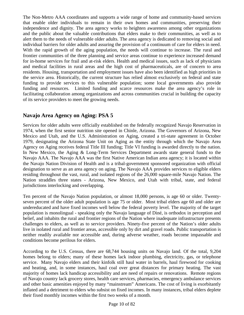The Non-Metro AAA coordinates and supports a wide range of home and community-based services that enable older individuals to remain in their own homes and communities, preserving their independence and dignity. The area agency works to heighten awareness among other organizations and the public about the valuable contributions that elders make to their communities, as well as to alert them to the needs of vulnerable older adults. The area agency is dedicated to removing social and individual barriers for older adults and assuring the provision of a continuum of care for elders in need. With the rapid growth of the aging population, the needs will continue to increase. The rural and frontier communities of the three planning and service areas continue to experience increased demand for in-home services for frail and at-risk elders. Health and medical issues, such as lack of physicians and medical facilities in rural areas and the high cost of pharmaceuticals, are of concern to area residents. Housing, transportation and employment issues have also been identified as high priorities in the service area. Historically, the current structure has relied almost exclusively on federal and state funding to provide services to this vulnerable population; some local governments also provide funding and resources. Limited funding and scarce resources make the area agency's role in facilitating collaboration among organizations and across communities crucial in building the capacity of its service providers to meet the growing needs.

## **Navajo Area Agency on Aging: PSA 5**

Services for older adults were officially established on the federally recognized Navajo Reservation in 1974, when the first senior nutrition site opened in Chinle, Arizona. The Governors of Arizona, New Mexico and Utah, and the U.S. Administration on Aging, created a tri-state agreement in October 1979, designating the Arizona State Unit on Aging as the entity through which the Navajo Area Agency on Aging receives federal Title III funding; Title VI funding is awarded directly to the nation. In New Mexico, the Aging & Long-Term Services Department awards state general funds to the Navajo AAA. The Navajo AAA was the first Native American Indian area agency; it is located within the Navajo Nation Division of Health and is a tribal-government sponsored organization with official designation to serve as an area agency on aging. The Navajo AAA provides services to eligible elders residing throughout the vast, rural, and isolated regions of the 26,000 square-mile Navajo Nation. The Nation straddles three states - Arizona, New Mexico, and Utah with tribal, state, and federal jurisdictions interlocking and overlapping.

Ten percent of the Navajo Nation population, or almost 18,000 persons, is age 60 or older. Twentyseven percent of the older adult population is age 75 or older. Most tribal elders age 60 and older are undereducated and have fixed incomes well below the federal poverty level. The majority of the target population is monolingual - speaking only the Navajo language of Diné, is orthodox in perception and belief, and inhabits the rural and frontier regions of the Nation where inadequate infrastructure presents challenges to elders, as well as to service providers. Ninety-five percent of the Nation's older adults live in isolated rural and frontier areas, accessible only by dirt and gravel roads. Public transportation is neither readily available nor accessible and, during adverse weather, roads become impassable and conditions become perilous for elders.

According to the U.S. Census, there are 68,744 housing units on Navajo land. Of the total, 9,204 homes belong to elders; many of these homes lack indoor plumbing, electricity, gas, or telephone service. Many Navajo elders and their kinfolk still haul water in barrels, haul firewood for cooking and heating, and, in some instances, haul coal over great distances for primary heating. The vast majority of homes lack handicap accessibility and are need of repairs or renovations. Remote regions of Navajo country lack grocery stores, health care services, pharmacies, emergency ambulance services and other basic amenities enjoyed by many "mainstream" Americans. The cost of living is exorbitantly inflated and a detriment to elders who subsist on fixed incomes. In many instances, tribal elders deplete their fixed monthly incomes within the first two weeks of a month.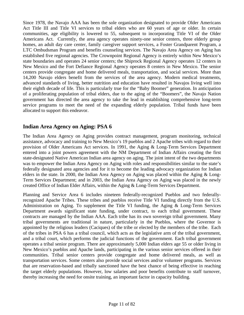Since 1978, the Navajo AAA has been the sole organization designated to provide Older Americans Act Title III and Title VI services to tribal elders who are 60 years of age or older. In certain communities, age eligibility is lowered to 55, subsequent to incorporating Title VI of the Older Americans Act. Currently, the area agency operates ninety-one senior centers, three elderly group homes, an adult day care center, family caregiver support services, a Foster Grandparent Program, a LTC Ombudsman Program and benefits counseling services. The Navajo Area Agency on Aging has established five regional agencies. The Crownpoint Regional Agency is entirely within New Mexico's state boundaries and operates 24 senior centers; the Shiprock Regional Agency operates 12 centers in New Mexico and the Fort Defiance Regional Agency operates 8 centers in New Mexico. The senior centers provide congregate and home delivered meals, transportation, and social services. More than 14,200 Navajo elders benefit from the services of the area agency. Modern medical treatments, advanced standards of living, better nutrition and education have resulted in Navajos living well into their eighth decade of life. This is particularly true for the "Baby Boomer" generation. In anticipation of a proliferating population of tribal elders, due to the aging of the "Boomers", the Navajo Nation government has directed the area agency to take the lead in establishing comprehensive long-term service programs to meet the need of the expanding elderly population. Tribal funds have been allocated to support this endeavor.

### **Indian Area Agency on Aging: PSA 6**

The Indian Area Agency on Aging provides contract management, program monitoring, technical assistance, advocacy and training to New Mexico's 19 pueblos and 2 Apache tribes with regard to their provision of Older Americans Act services. In 1991, the Aging & Long-Term Services Department entered into a joint powers agreement with the NM Department of Indian Affairs creating the first state-designated Native American Indian area agency on aging. The joint intent of the two departments was to empower the Indian Area Agency on Aging with roles and responsibilities similar to the state's federally designated area agencies and for it to become the leading advocacy organization for Indian elders in the state. In 2000, the Indian Area Agency on Aging was placed within the Aging & Long-Term Services Department; and in 2003, the Indian Area Agency on Aging was placed in the newly created Office of Indian Elder Affairs, within the Aging & Long-Term Services Department.

Planning and Service Area 6 includes nineteen federally-recognized Pueblos and two federallyrecognized Apache Tribes. These tribes and pueblos receive Title VI funding directly from the U.S. Administration on Aging. To supplement the Title VI funding, the Aging & Long-Term Services Department awards significant state funding, under contract, to each tribal government. These contracts are managed by the Indian AAA. Each tribe has its own sovereign tribal government. Many tribal governments are traditional in nature, particularly in the Pueblos, where the Governor is appointed by the religious leaders (Caciques) of the tribe or elected by the members of the tribe. Each of the tribes in PSA 6 has a tribal council, which acts as the legislative arm of the tribal government, and a tribal court, which performs the judicial functions of the government. Each tribal government operates a tribal senior program. There are approximately 5,000 Indian elders age 55 or older living in New Mexico's pueblos and Apache lands, participating in the various senior services offered in their communities. Tribal senior centers provide congregate and home delivered meals, as well as transportation services. Some centers also provide social services and/or volunteer programs. Services that are reservation-based and tribally sanctioned have the best chance of being effective in reaching the target elderly populations. However, low salaries and poor benefits contribute to staff turnover, thereby increasing the need for onsite training, an important factor in capacity building.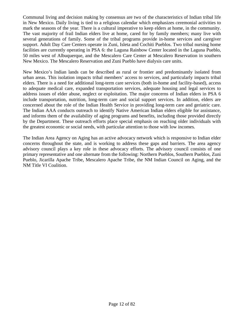Communal living and decision making by consensus are two of the characteristics of Indian tribal life in New Mexico. Daily living is tied to a religious calendar which emphasizes ceremonial activities to mark the seasons of the year. There is a cultural imperative to keep elders at home, in the community. The vast majority of frail Indian elders live at home, cared for by family members; many live with several generations of family. Some of the tribal programs provide in-home services and caregiver support. Adult Day Care Centers operate in Zuni, Isleta and Cochiti Pueblos. Two tribal nursing home facilities are currently operating in PSA 6: the Laguna Rainbow Center located in the Laguna Pueblo, 50 miles west of Albuquerque, and the Mescalero Care Center at Mescalero Reservation in southern New Mexico. The Mescalero Reservation and Zuni Pueblo have dialysis care units.

New Mexico's Indian lands can be described as rural or frontier and predominantly isolated from urban areas. This isolation impacts tribal members' access to services, and particularly impacts tribal elders. There is a need for additional long-term care services (both in-home and facility-based), access to adequate medical care, expanded transportation services, adequate housing and legal services to address issues of elder abuse, neglect or exploitation. The major concerns of Indian elders in PSA 6 include transportation, nutrition, long-term care and social support services. In addition, elders are concerned about the role of the Indian Health Service in providing long-term care and geriatric care. The Indian AAA conducts outreach to identify Native American Indian elders eligible for assistance, and informs them of the availability of aging programs and benefits, including those provided directly by the Department. These outreach efforts place special emphasis on reaching older individuals with the greatest economic or social needs, with particular attention to those with low incomes.

The Indian Area Agency on Aging has an active advocacy network which is responsive to Indian elder concerns throughout the state, and is working to address these gaps and barriers. The area agency advisory council plays a key role in these advocacy efforts. The advisory council consists of one primary representative and one alternate from the following: Northern Pueblos, Southern Pueblos, Zuni Pueblo, Jicarilla Apache Tribe, Mescalero Apache Tribe, the NM Indian Council on Aging, and the NM Title VI Coalition.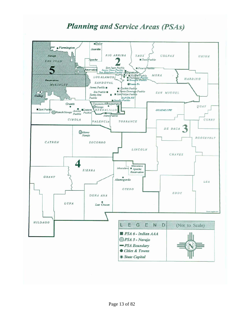# **Planning and Service Areas (PSAs)**

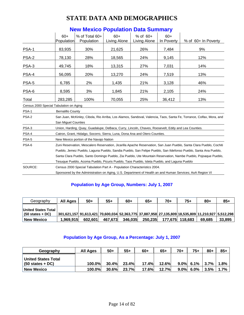# **STATE DATA AND DEMOGRAPHICS**

| $60+$                                                                                                    | $%$ of Total 60+ | $60+$                                                                                                    | $%$ of $60+$                            | $60+$      |                                                                                                                                                                                                                                                                                                                                                                                                                                                                                                                                                                                                                                                                                                                                                 |  |  |  |  |
|----------------------------------------------------------------------------------------------------------|------------------|----------------------------------------------------------------------------------------------------------|-----------------------------------------|------------|-------------------------------------------------------------------------------------------------------------------------------------------------------------------------------------------------------------------------------------------------------------------------------------------------------------------------------------------------------------------------------------------------------------------------------------------------------------------------------------------------------------------------------------------------------------------------------------------------------------------------------------------------------------------------------------------------------------------------------------------------|--|--|--|--|
|                                                                                                          | Population       | Living Alone                                                                                             | Living Alone                            | In Poverty | % of 60+ In Poverty                                                                                                                                                                                                                                                                                                                                                                                                                                                                                                                                                                                                                                                                                                                             |  |  |  |  |
| 83,935                                                                                                   | 30%              | 21,625                                                                                                   | 26%                                     | 7,484      | 9%                                                                                                                                                                                                                                                                                                                                                                                                                                                                                                                                                                                                                                                                                                                                              |  |  |  |  |
| 78,130                                                                                                   | 28%              | 18,565                                                                                                   | 24%                                     | 9,145      | 12%                                                                                                                                                                                                                                                                                                                                                                                                                                                                                                                                                                                                                                                                                                                                             |  |  |  |  |
| 49,745                                                                                                   | 18%              | 13,315                                                                                                   | 27%                                     | 7,031      | 14%                                                                                                                                                                                                                                                                                                                                                                                                                                                                                                                                                                                                                                                                                                                                             |  |  |  |  |
| 56,095                                                                                                   | 20%              | 13,270                                                                                                   | 24%                                     | 7,519      | 13%                                                                                                                                                                                                                                                                                                                                                                                                                                                                                                                                                                                                                                                                                                                                             |  |  |  |  |
| 6,785                                                                                                    | 2%               | 1,435                                                                                                    | 21%                                     | 3,128      | 46%                                                                                                                                                                                                                                                                                                                                                                                                                                                                                                                                                                                                                                                                                                                                             |  |  |  |  |
| 8,595                                                                                                    | 3%               | 1,845                                                                                                    | 21%                                     | 2,105      | 24%                                                                                                                                                                                                                                                                                                                                                                                                                                                                                                                                                                                                                                                                                                                                             |  |  |  |  |
| 283,285                                                                                                  | 100%             | 70,055                                                                                                   | 25%                                     | 36,412     | 13%                                                                                                                                                                                                                                                                                                                                                                                                                                                                                                                                                                                                                                                                                                                                             |  |  |  |  |
|                                                                                                          |                  |                                                                                                          |                                         |            |                                                                                                                                                                                                                                                                                                                                                                                                                                                                                                                                                                                                                                                                                                                                                 |  |  |  |  |
|                                                                                                          |                  |                                                                                                          |                                         |            |                                                                                                                                                                                                                                                                                                                                                                                                                                                                                                                                                                                                                                                                                                                                                 |  |  |  |  |
|                                                                                                          |                  |                                                                                                          |                                         |            |                                                                                                                                                                                                                                                                                                                                                                                                                                                                                                                                                                                                                                                                                                                                                 |  |  |  |  |
|                                                                                                          |                  |                                                                                                          |                                         |            |                                                                                                                                                                                                                                                                                                                                                                                                                                                                                                                                                                                                                                                                                                                                                 |  |  |  |  |
|                                                                                                          |                  |                                                                                                          |                                         |            |                                                                                                                                                                                                                                                                                                                                                                                                                                                                                                                                                                                                                                                                                                                                                 |  |  |  |  |
|                                                                                                          |                  |                                                                                                          |                                         |            |                                                                                                                                                                                                                                                                                                                                                                                                                                                                                                                                                                                                                                                                                                                                                 |  |  |  |  |
|                                                                                                          |                  |                                                                                                          |                                         |            |                                                                                                                                                                                                                                                                                                                                                                                                                                                                                                                                                                                                                                                                                                                                                 |  |  |  |  |
|                                                                                                          |                  |                                                                                                          |                                         |            |                                                                                                                                                                                                                                                                                                                                                                                                                                                                                                                                                                                                                                                                                                                                                 |  |  |  |  |
|                                                                                                          |                  |                                                                                                          |                                         |            |                                                                                                                                                                                                                                                                                                                                                                                                                                                                                                                                                                                                                                                                                                                                                 |  |  |  |  |
| Tesuque Pueblo, Acoma Pueblo, Picuris Pueblo, Taos Pueblo, Isleta Pueblo, and Laguna Pueblo              |                  |                                                                                                          |                                         |            |                                                                                                                                                                                                                                                                                                                                                                                                                                                                                                                                                                                                                                                                                                                                                 |  |  |  |  |
|                                                                                                          |                  |                                                                                                          |                                         |            |                                                                                                                                                                                                                                                                                                                                                                                                                                                                                                                                                                                                                                                                                                                                                 |  |  |  |  |
| Sponsored by the Administration on Aging, U.S. Department of Health an and Human Services; AoA Region VI |                  |                                                                                                          |                                         |            |                                                                                                                                                                                                                                                                                                                                                                                                                                                                                                                                                                                                                                                                                                                                                 |  |  |  |  |
|                                                                                                          |                  | Population<br>Census 2000 Special Tabulation on Aging<br><b>Bernalillo County</b><br>San Miguel Counties | New Mexico portion of the Navajo Nation |            | San Juan, McKinley, Cibola, Rio Arriba, Los Alamos, Sandoval, Valencia, Taos, Santa Fe, Torrance, Colfax, Mora, and<br>Union, Harding, Quay, Guadalupe, DeBaca, Curry, Lincoln, Chaves, Roosevelt, Eddy and Lea Counties.<br>Catron, Grant, Hidalgo, Socorro, Sierra, Luna, Dona Ana and Otero Counties.<br>Zuni Reservation, Mescalero Reservation, Jicarilla Apache Reservation, San Juan Pueblo, Santa Clara Pueblo, Cochiti<br>Pueblo, Jemez Pueblo, Laguna Pueblo, Sandia Pueblo, San Felipe Pueblo, San Ildefonso Pueblo, Santa Ana Pueblo,<br>Santa Clara Pueblo, Santo Domingo Pueblo, Zia Pueblo, Ute Mountain Reservation, Nambe Pueblo, Pojoaque Pueblo,<br>Census 2000 Special Tabulation Part A - Population Characteristics 2004. |  |  |  |  |

# **New Mexico Population Data Summary**

### **Population by Age Group, Numbers: July 1, 2007**

| Geography                         | All Ages                                                                                           | $50+$   | $55+$   | $60+$   | $65+$   | 70+ | $75+$           | $80+$  | $85+$  |
|-----------------------------------|----------------------------------------------------------------------------------------------------|---------|---------|---------|---------|-----|-----------------|--------|--------|
|                                   |                                                                                                    |         |         |         |         |     |                 |        |        |
| United States Total               |                                                                                                    |         |         |         |         |     |                 |        |        |
| $(50 \text{ states} + \text{DC})$ | 301,621,157 91,613,421 70,600,034 52,363,775 37,887,958 27,135,809 18,535,809 11,210,927 5,512,298 |         |         |         |         |     |                 |        |        |
| <b>New Mexico</b>                 | 1.969.915                                                                                          | 602.601 | 467.673 | 346.035 | 250.235 |     | 177.675 118.683 | 69.685 | 33,895 |

### **Population by Age Group, As a Percentage: July 1, 2007**

| Geography                                                       | All Ages | $50+$    | $55+$ | $60+$        | $65+$ | $70+$ | $75+$        | $80+$ | $85+$ |
|-----------------------------------------------------------------|----------|----------|-------|--------------|-------|-------|--------------|-------|-------|
| <b>United States Total</b><br>$(50 \text{ states} + \text{DC})$ | 100.0%   | 30.4%    | 23.4% | 17.4%        | 12.6% |       | $9.0\%$ 6.1% | 3.7%  | 1.8%  |
| <b>New Mexico</b>                                               | 100.0%   | $30.6\%$ | 23.7% | <b>17.6%</b> | 12.7% |       | $9.0\%$ 6.0% | 3.5%  | 1.7%  |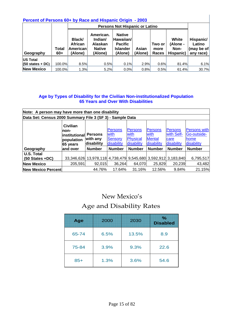| Percent of Persons 60+ by Race and Hispanic Origin - 2003 |                |                                                        |                                                                    |                                                                            |                  |                         |                                        |                                                |  |
|-----------------------------------------------------------|----------------|--------------------------------------------------------|--------------------------------------------------------------------|----------------------------------------------------------------------------|------------------|-------------------------|----------------------------------------|------------------------------------------------|--|
|                                                           |                | Persons Not Hispanic or Latino                         |                                                                    |                                                                            |                  |                         |                                        |                                                |  |
| Geography                                                 | Total<br>$60+$ | Black/<br><b>African</b><br><b>American</b><br>(Alone) | American.<br>Indian/<br><b>Alaskan</b><br><b>Native</b><br>(Alone) | <b>Native</b><br>Hawaiian/<br><b>Pacific</b><br><b>Islander</b><br>(Alone) | Asian<br>(Alone) | Two or<br>more<br>Races | White<br>(Alone -<br>Non-<br>Hispanic) | Hispanic/<br>Latino<br>(may be of<br>any race) |  |
| <b>US Total</b>                                           |                |                                                        |                                                                    |                                                                            |                  |                         |                                        |                                                |  |
| $(50 \text{ states} + \text{DC})$                         | 100.0%l        | 8.5%                                                   | 0.5%                                                               | 0.1%                                                                       | 2.9%             | 0.6%                    | 81.4%                                  | 6.1%                                           |  |
| <b>New Mexico</b>                                         | 100.0%         | 1.3%                                                   | 5.2%                                                               | 0.0%                                                                       | 0.8%             | 0.5%                    | 61.4%                                  | 30.7%                                          |  |

#### **Age by Types of Disability for the Civilian Non-institutionalized Population 65 Years and Over With Disabilities**

**Note: A person may have more than one disability Data Set: Census 2000 Summary File 3 (SF 3) - Sample Data Geography Civilian noninstitutional population 65 years and over Persons with any disability Persons** with Sensory disability **Persons** with **Physical** disability **Persons** with **Mental** disability **Persons** with Selfcare disability Persons with Go-outsidehome disability **Number | Number | Number | Number | Number | Number U.S. Total (50 States +DC)** | 33,346,626 13,978,118 4,738,479 9,545,680 3,592,912 3,183,840 6,795,517 **New Mexico**  $\begin{array}{|l} \hline \end{array}$  205,591 92,015 36,264 64,070 25,829 20,239 43,482 **New Mexico Percent 14.76% 17.64% 31.16% 12.56% 9.84% 21.15%** 

# New Mexico's

# Age and Disability Rates

| Age   | 2000 | 2030  | %<br><b>Disabled</b> |
|-------|------|-------|----------------------|
| 65-74 | 6.5% | 13.5% | 8.9                  |
| 75-84 | 3.9% | 9.3%  | 22.6                 |
| $85+$ | 1.3% | 3.6%  | 54.6                 |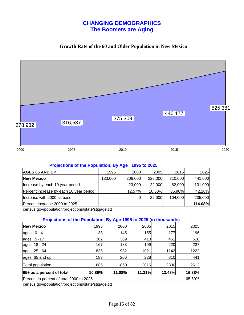## **CHANGING DEMOGRAPHICS The Boomers are Aging**

#### **Growth Rate of the 60 and Older Population in New Mexico**



#### **Projections of the Population, By Age 1995 to 2025**

|  |                 |                                     | 2025                                                                                                   |
|--|-----------------|-------------------------------------|--------------------------------------------------------------------------------------------------------|
|  |                 |                                     | 441,000                                                                                                |
|  |                 |                                     | 131,000                                                                                                |
|  |                 |                                     | 42.26%                                                                                                 |
|  |                 |                                     | 235,000                                                                                                |
|  |                 |                                     | 114.08%                                                                                                |
|  | 1995<br>183,000 | 2000<br>206,000<br>23,000<br>12.57% | 2015<br>2005<br>310,000<br>228,000<br>82,000<br>22,000<br>35.96%<br>10.68%<br>104,000<br><b>22.000</b> |

census.gov/population/projections/state/stpjage.txt

#### **Projections of the Population, By Age 1995 to 2025 (in thousands)**

| <b>New Mexico</b>                                  | 1995   | 2000   | 2005   | 2015   | 2025   |  |  |  |  |
|----------------------------------------------------|--------|--------|--------|--------|--------|--|--|--|--|
| ages $0 - 4$                                       | 138    | 145    | 155    | 177    | 196    |  |  |  |  |
| ages 5-17                                          | 362    | 389    | 413    | 451    | 516    |  |  |  |  |
| ages 18 - 24                                       | 167    | 188    | 199    | 220    | 237    |  |  |  |  |
| ages 25 - 64                                       | 835    | 932    | 1021   | 1142   | 1222   |  |  |  |  |
| ages 65 and up                                     | 183    | 206    | 228    | 310    | 441    |  |  |  |  |
| Total population                                   | 1685   | 1860   | 2016   | 2300   | 2612   |  |  |  |  |
| 65+ as a percent of total                          | 10.86% | 11.08% | 11.31% | 13.48% | 16.88% |  |  |  |  |
| Percent in percent of total 2000 to 2025<br>65.60% |        |        |        |        |        |  |  |  |  |

census.gov/population/projections/state/stpjage.txt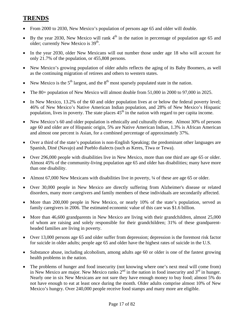# **TRENDS**

- From 2000 to 2030, New Mexico's population of persons age 65 and older will double.
- By the year 2030, New Mexico will rank  $4<sup>th</sup>$  in the nation in percentage of population age 65 and older; currently New Mexico is  $39<sup>th</sup>$ .
- In the year 2030, older New Mexicans will out number those under age 18 who will account for only 21.7% of the population, or 455,808 persons.
- New Mexico's growing population of older adults reflects the aging of its Baby Boomers, as well as the continuing migration of retirees and others to western states.
- New Mexico is the  $5<sup>th</sup>$  largest, and the  $8<sup>th</sup>$  most sparsely populated state in the nation.
- The 80+ population of New Mexico will almost double from 51,000 in 2000 to 97,000 in 2025.
- In New Mexico, 13.2% of the 60 and older population lives at or below the federal poverty level; 46% of New Mexico's Native American Indian population, and 28% of New Mexico's Hispanic population, lives in poverty. The state places  $45<sup>th</sup>$  in the nation with regard to per capita income.
- New Mexico's 60 and older population is ethnically and culturally diverse. Almost 30% of persons age 60 and older are of Hispanic origin, 5% are Native American Indian, 1.3% is African American and almost one percent is Asian, for a combined percentage of approximately 37%.
- Over a third of the state's population is non-English Speaking; the predominant other languages are Spanish, Diné (Navajo) and Pueblo dialects (such as Keres, Tiwa or Tewa).
- Over 296,000 people with disabilities live in New Mexico, more than one third are age 65 or older. Almost 45% of the community-living population age 65 and older has disabilities; many have more than one disability.
- Almost 67,000 New Mexicans with disabilities live in poverty, ¼ of these are age 65 or older.
- Over 30,000 people in New Mexico are directly suffering from Alzheimer's disease or related disorders, many more caregivers and family members of these individuals are secondarily affected.
- More than 200,000 people in New Mexico, or nearly 10% of the state's population, served as family caregivers in 2006. The estimated economic value of this care was \$1.6 billion.
- More than 46,600 grandparents in New Mexico are living with their grandchildren, almost 25,000 of whom are raising and solely responsible for their grandchildren; 31% of these grandparentheaded families are living in poverty.
- Over 13,000 persons age 65 and older suffer from depression; depression is the foremost risk factor for suicide in older adults; people age 65 and older have the highest rates of suicide in the U.S.
- Substance abuse, including alcoholism, among adults age 60 or older is one of the fastest growing health problems in the nation.
- The problems of hunger and food insecurity (not knowing where one's next meal will come from) in New Mexico are major. New Mexico ranks  $2<sup>nd</sup>$  in the nation in food insecurity and  $3<sup>rd</sup>$  in hunger. Nearly one in six New Mexicans are not sure they have enough money to buy food; almost 5% do not have enough to eat at least once during the month. Older adults comprise almost 10% of New Mexico's hungry. Over 240,000 people receive food stamps and many more are eligible.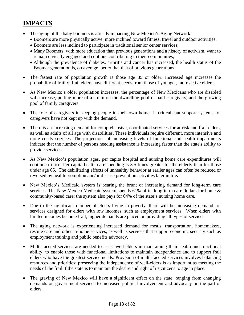# **IMPACTS**

- The aging of the baby boomers is already impacting New Mexico's Aging Network:
	- Boomers are more physically active; more inclined toward fitness, travel and outdoor activities;
	- Boomers are less inclined to participate in traditional senior center services;
	- Many Boomers, with more education than previous generations and a history of activism, want to remain civically engaged and continue contributing to their communities;
	- Although the prevalence of diabetes, arthritis and cancer has increased, the health status of the Boomer generation is, on average, better that that of previous generations.
- The fastest rate of population growth is those age 85 or older. Increased age increases the probability of frailty; frail elders have different needs from those of younger, more active elders.
- As New Mexico's older population increases, the percentage of New Mexicans who are disabled will increase, putting more of a strain on the dwindling pool of paid caregivers, and the growing pool of family caregivers.
- The role of caregivers in keeping people in their own homes is critical, but support systems for caregivers have not kept up with the demand.
- There is an increasing demand for comprehensive, coordinated services for at-risk and frail elders, as well as adults of all age with disabilities. These individuals require different, more intensive and more costly services. The projections of increasing levels of functional and health impairments indicate that the number of persons needing assistance is increasing faster than the state's ability to provide services.
- As New Mexico's population ages, per capita hospital and nursing home care expenditures will continue to rise. Per capita health care spending is 3.5 times greater for the elderly than for those under age 65. The debilitating effects of unhealthy behavior at earlier ages can often be reduced or reversed by health promotion and/or disease prevention activities later in life**.**
- New Mexico's Medicaid system is bearing the brunt of increasing demand for long-term care services. The New Mexico Medicaid system spends 61% of its long-term care dollars for home & community-based care; the system also pays for 64% of the state's nursing home care.
- Due to the significant number of elders living in poverty, there will be increasing demand for services designed for elders with low incomes, such as employment services. When elders with limited incomes become frail, higher demands are placed on providing all types of services.
- The aging network is experiencing increased demand for meals, transportation, homemakers, respite care and other in-home services, as well as services that support economic security such as employment training and public benefits advocacy.
- Multi-faceted services are needed to assist well-elders in maintaining their health and functional ability, to enable those with functional limitations to maintain independence and to support frail elders who have the greatest service needs. Provision of multi-faceted services involves balancing resources and priorities; preserving the independence of well-elders is as important as meeting the needs of the frail if the state is to maintain the desire and right of its citizens to age in place.
- The graying of New Mexico will have a significant effect on the state, ranging from changing demands on government services to increased political involvement and advocacy on the part of elders.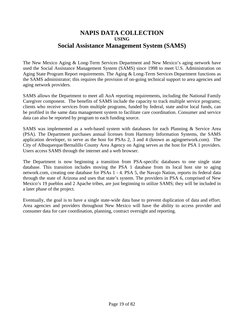# **NAPIS DATA COLLECTION USING Social Assistance Management System (SAMS)**

The New Mexico Aging & Long-Term Services Department and New Mexico's aging network have used the Social Assistance Management System (SAMS) since 1998 to meet U.S. Administration on Aging State Program Report requirements. The Aging & Long-Term Services Department functions as the SAMS administrator; this requires the provision of on-going technical support to area agencies and aging network providers.

SAMS allows the Department to meet all AoA reporting requirements, including the National Family Caregiver component. The benefits of SAMS include the capacity to track multiple service programs; clients who receive services from multiple programs, funded by federal, state and/or local funds, can be profiled in the same data management system to facilitate care coordination. Consumer and service data can also be reported by program to each funding source.

SAMS was implemented as a web-based system with databases for each Planning & Service Area (PSA). The Department purchases annual licenses from Harmony Information Systems, the SAMS application developer, to serve as the host for PSAs 2, 3 and 4 (known as agingnetwork.com). The City of Albuquerque/Bernalillo County Area Agency on Aging serves as the host for PSA 1 providers. Users access SAMS through the internet and a web browser.

The Department is now beginning a transition from PSA-specific databases to one single state database. This transition includes moving the PSA 1 database from its local host site to aging network.com, creating one database for PSAs 1 - 4. PSA 5, the Navajo Nation, reports its federal data through the state of Arizona and uses that state's system. The providers in PSA 6, comprised of New Mexico's 19 pueblos and 2 Apache tribes, are just beginning to utilize SAMS; they will be included in a later phase of the project.

Eventually, the goal is to have a single state-wide data base to prevent duplication of data and effort. Area agencies and providers throughout New Mexico will have the ability to access provider and consumer data for care coordination, planning, contract oversight and reporting.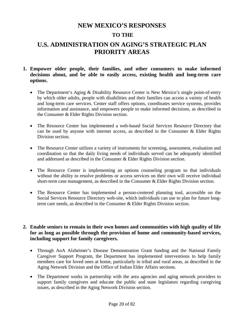### **NEW MEXICO'S RESPONSES**

### **TO THE**

# **U.S. ADMINISTRATION ON AGING'S STRATEGIC PLAN PRIORITY AREAS**

- **1. Empower older people, their families, and other consumers to make informed decisions about, and be able to easily access, existing health and long-term care options.** 
	- The Department's Aging & Disability Resource Center is New Mexico's single point-of-entry by which older adults, people with disabilities and their families can access a variety of health and long-term care services. Center staff offers options, coordinates service systems, provides information and assistance, and empowers people to make informed decisions, as described in the Consumer & Elder Rights Division section.
	- The Resource Center has implemented a web-based Social Services Resource Directory that can be used by anyone with internet access, as described in the Consumer & Elder Rights Division section.
	- The Resource Center utilizes a variety of instruments for screening, assessment, evaluation and coordination so that the daily living needs of individuals served can be adequately identified and addressed as described in the Consumer & Elder Rights Division section.
	- The Resource Center is implementing an options counseling program so that individuals without the ability to resolve problems or access services on their own will receive individual short-term case management, as described in the Consumer & Elder Rights Division section.
	- The Resource Center has implemented a person-centered planning tool, accessible on the Social Services Resource Directory web-site, which individuals can use to plan for future longterm care needs, as described in the Consumer & Elder Rights Division section.

#### **2. Enable seniors to remain in their own homes and communities with high quality of life for as long as possible through the provision of home and community-based services, including support for family caregivers.**

- Through AoA Alzheimer's Disease Demonstration Grant funding and the National Family Caregiver Support Program, the Department has implemented interventions to help family members care for loved ones at home, particularly in tribal and rural areas, as described in the Aging Network Division and the Office of Indian Elder Affairs sections.
- The Department works in partnership with the area agencies and aging network providers to support family caregivers and educate the public and state legislators regarding caregiving issues, as described in the Aging Network Division section.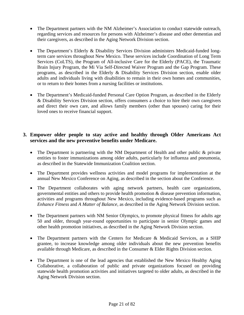- The Department partners with the NM Alzheimer's Association to conduct statewide outreach, regarding services and resources for persons with Alzheimer's disease and other dementias and their caregivers, as described in the Aging Network Division section.
- The Department's Elderly & Disability Services Division administers Medicaid-funded longterm care services throughout New Mexico. These services include Coordination of Long Term Services (CoLTS), the Program of All-inclusive Care for the Elderly (PACE), the Traumatic Brain Injury Program, the Mi Via Self-Directed Waiver Program and the Gap Program. These programs, as described in the Elderly & Disability Services Division section, enable older adults and individuals living with disabilities to remain in their own homes and communities, or to return to their homes from a nursing facilities or institutions.
- The Department's Medicaid-funded Personal Care Option Program, as described in the Elderly & Disability Services Division section, offers consumers a choice to hire their own caregivers and direct their own care, and allows family members (other than spouses) caring for their loved ones to receive financial support.

#### **3. Empower older people to stay active and healthy through Older Americans Act services and the new preventive benefits under Medicare.**

- The Department is partnering with the NM Department of Health and other public & private entities to foster immunizations among older adults, particularly for influenza and pneumonia, as described in the Statewide Immunization Coalition section.
- The Department provides wellness activities and model programs for implementation at the annual New Mexico Conference on Aging, as described in the section about the Conference.
- The Department collaborates with aging network partners, health care organizations, governmental entities and others to provide health promotion & disease prevention information, activities and programs throughout New Mexico, including evidence-based programs such as *Enhance Fitness* and *A Matter of Balance,* as described in the Aging Network Division section.
- The Department partners with NM Senior Olympics, to promote physical fitness for adults age 50 and older, through year-round opportunities to participate in senior Olympic games and other health promotion initiatives, as described in the Aging Network Division section.
- The Department partners with the Centers for Medicare & Medicaid Services, as a SHIP grantee, to increase knowledge among older individuals about the new prevention benefits available through Medicare, as described in the Consumer & Elder Rights Division section.
- The Department is one of the lead agencies that established the New Mexico Healthy Aging Collaborative, a collaboration of public and private organizations focused on providing statewide health promotion activities and initiatives targeted to older adults, as described in the Aging Network Division section.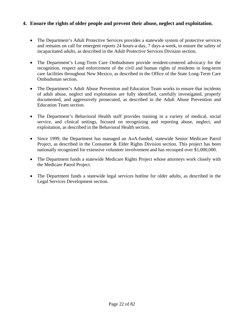#### **4. Ensure the rights of older people and prevent their abuse, neglect and exploitation.**

- The Department's Adult Protective Services provides a statewide system of protective services and remains on call for emergent reports 24 hours-a-day, 7 days-a-week, to ensure the safety of incapacitated adults, as described in the Adult Protective Services Division section.
- The Department's Long-Term Care Ombudsmen provide resident-centered advocacy for the recognition, respect and enforcement of the civil and human rights of residents in long-term care facilities throughout New Mexico, as described in the Office of the State Long-Term Care Ombudsman section.
- The Department's Adult Abuse Prevention and Education Team works to ensure that incidents of adult abuse, neglect and exploitation are fully identified, carefully investigated, properly documented, and aggressively prosecuted, as described in the Adult Abuse Prevention and Education Team section.
- The Department's Behavioral Health staff provides training in a variety of medical, social service, and clinical settings, focused on recognizing and reporting abuse, neglect, and exploitation, as described in the Behavioral Health section.
- Since 1999, the Department has managed an AoA-funded, statewide Senior Medicare Patrol Project, as described in the Consumer & Elder Rights Division section. This project has been nationally recognized for extensive volunteer involvement and has recouped over \$1,000,000.
- The Department funds a statewide Medicare Rights Project whose attorneys work closely with the Medicare Patrol Project.
- The Department funds a statewide legal services hotline for older adults, as described in the Legal Services Development section.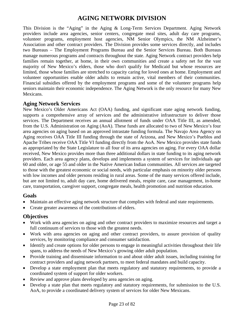# **AGING NETWORK DIVISION**

This Division is the "Aging" in the Aging & Long-Term Services Department. Aging Network providers include area agencies, senior centers, congregate meal sites, adult day care programs, volunteer programs, employment host agencies, NM Senior Olympics, the NM Alzheimer's Association and other contract providers. The Division provides some services directly, and includes two Bureaus – The Employment Programs Bureau and the Senior Services Bureau. Both Bureaus manage numerous programs and contracts throughout the state. Aging Network contract providers help families remain together, at home, in their own communities and create a safety net for the vast majority of New Mexico's elders, those who don't qualify for Medicaid but whose resources are limited, those whose families are stretched to capacity caring for loved ones at home. Employment and volunteer opportunities enable older adults to remain active, vital members of their communities. Financial subsidies offered by the employment programs and some of the volunteer programs help seniors maintain their economic independence. The Aging Network is the only resource for many New Mexicans.

#### **Aging Network Services**

New Mexico's Older Americans Act (OAA) funding, and significant state aging network funding, supports a comprehensive array of services and the administrative infrastructure to deliver those services. The Department receives an annual allotment of funds under OAA Title III, as amended, from the U.S. Administration on Aging (AoA). These funds are allocated to two of New Mexico's four area agencies on aging based on an approved intrastate funding formula. The Navajo Area Agency on Aging receives OAA Title III funding through the state of Arizona, and New Mexico's Pueblos and Apache Tribes receive OAA Title VI funding directly from the AoA. New Mexico provides state funds as appropriated by the State Legislature to all four of its area agencies on aging. For every OAA dollar received, New Mexico provides more than three additional dollars in state funding to its aging network providers. Each area agency plans, develops and implements a system of services for individuals age 60 and older, or age 55 and older in the Native American Indian communities. All services are targeted to those with the greatest economic or social needs, with particular emphasis on minority older persons with low incomes and older persons residing in rural areas. Some of the many services offered include, but are not limited to, adult day care, home delivered meals, respite care, case management, in-home care, transportation, caregiver support, congregate meals, health promotion and nutrition education.

#### **Goals**

- Maintain an effective aging network structure that complies with federal and state requirements.
- Create greater awareness of the contributions of elders.

- Work with area agencies on aging and other contract providers to maximize resources and target a full continuum of services to those with the greatest needs.
- Work with area agencies on aging and other contract providers, to assure provision of quality services, by monitoring compliance and consumer satisfaction.
- Identify and create options for older persons to engage in meaningful activities throughout their life spans, to address the needs of New Mexico's growing older adult population.
- Provide training and disseminate information to and about older adult issues, including training for contract providers and aging network partners, to meet federal mandates and build capacity.
- Develop a state employment plan that meets regulatory and statutory requirements, to provide a coordinated system of support for older workers.
- Review and approve plans developed by area agencies on aging.
- Develop a state plan that meets regulatory and statutory requirements, for submission to the U.S. AoA, to provide a coordinated delivery system of services for older New Mexicans.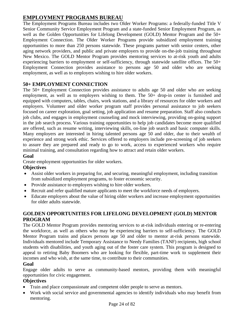# **EMPLOYMENT PROGRAMS BUREAU**

The Employment Programs Bureau includes two Older Worker Programs: a federally-funded Title V Senior Community Service Employment Program and a state-funded Senior Employment Program, as well as the Golden Opportunities for Lifelong Development (GOLD) Mentor Program and the 50+ Employment Connection. The Older Worker Programs provide subsidized employment training opportunities to more than 250 persons statewide. These programs partner with senior centers, other aging network providers, and public and private employers to provide on-the-job training throughout New Mexico. The GOLD Mentor Program provides mentoring services to at-risk youth and adults experiencing barriers to employment or self-sufficiency, through statewide satellite offices. The 50+ Employment Connection provides assistance to persons age 50 and older who are seeking employment, as well as to employers wishing to hire older workers.

#### **50+ EMPLOYMENT CONNECTION**

The 50+ Employment Connection provides assistance to adults age 50 and older who are seeking employment, as well as to employers wishing to them. The 50+ drop-in center is furnished and equipped with computers, tables, chairs, work stations, and a library of resources for older workers and employers. Volunteer and older worker program staff provides personal assistance to job seekers focused on career exploration, goal setting, job application and resume preparation. Staff also conducts job clubs, and engages in employment counseling and mock interviewing, providing on-going support in the job search process. Various training opportunities to help job candidates become more qualified are offered, such as resume writing, interviewing skills, on-line job search and basic computer skills. Many employers are interested in hiring talented persons age 50 and older, due to their wealth of experience and strong work ethic. Services offered to employers include pre-screening of job seekers to assure they are prepared and ready to go to work, access to experienced workers who require minimal training, and consultation regarding how to attract and retain older workers.

#### **Goal**

Create employment opportunities for older workers.

#### **Objectives**

- Assist older workers in preparing for, and securing, meaningful employment, including transition from subsidized employment programs, to foster economic security.
- Provide assistance to employers wishing to hire older workers.
- Recruit and refer qualified mature applicants to meet the workforce needs of employers.
- Educate employers about the value of hiring older workers and increase employment opportunities for older adults statewide.

#### **GOLDEN OPPORTUNITIES FOR LIFELONG DEVELOPMENT (GOLD) MENTOR PROGRAM**

The GOLD Mentor Program provides mentoring services to at-risk individuals entering or re-entering the workforce, as well as others who may be experiencing barriers to self-sufficiency. The GOLD Mentor Program trains and places persons age 50 and older to mentor at-risk persons statewide. Individuals mentored include Temporary Assistance to Needy Families (TANF) recipients, high school students with disabilities, and youth aging out of the foster care system. This program is designed to appeal to retiring Baby Boomers who are looking for flexible, part-time work to supplement their incomes and who wish, at the same time, to contribute to their communities.

#### **Goal**

Engage older adults to serve as community-based mentors, providing them with meaningful opportunities for civic engagement.

- Train and place compassionate and competent older people to serve as mentors.
- Work with social service and governmental agencies to identify individuals who may benefit from mentoring.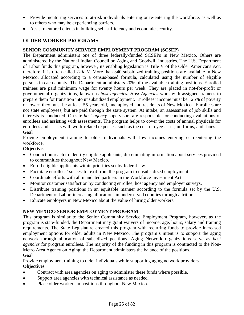- Provide mentoring services to at-risk individuals entering or re-entering the workforce, as well as to others who may be experiencing barriers.
- Assist mentored clients in building self-sufficiency and economic security.

### **OLDER WORKER PROGRAMS**

#### **SENIOR COMMUNITY SERVICE EMPLOYMENT PROGRAM (SCSEP)**

The Department administers one of three federally-funded SCSEPs in New Mexico. Others are administered by the National Indian Council on Aging and Goodwill Industries. The U.S. Department of Labor funds this program, however, its enabling legislation is Title V of the Older Americans Act, therefore, it is often called *Title V*. More than 340 subsidized training positions are available in New Mexico, allocated according to a census-based formula, calculated using the number of eligible persons in each county. The Department administers 20% of the available training positions. Enrolled trainees are paid minimum wage for twenty hours per week. They are placed in not-for-profit or governmental organizations, known as *host agencies*. *Host Agencies* work with assigned trainees to prepare them for transition into unsubsidized employment. Enrollees' income must be 125% of poverty or lower; they must be at least 55 years old, unemployed and residents of New Mexico. Enrollees are not state employees, but are paid through the state system. At intake, an assessment of job skills and interests is conducted. On-site *host agency* supervisors are responsible for conducting evaluations of enrollees and assisting with assessments. The program helps to cover the costs of annual physicals for enrollees and assists with work-related expenses, such as the cost of eyeglasses, uniforms, and shoes. **Goal** 

Provide employment training to older individuals with low incomes entering or reentering the workforce.

#### **Objectives**

- Conduct outreach to identify eligible applicants, disseminating information about services provided to communities throughout New Mexico.
- Enroll eligible applicants within priorities set by federal law.
- Facilitate enrollees' successful exit from the program to unsubsidized employment.
- Coordinate efforts with all mandated partners in the Workforce Investment Act.
- Monitor customer satisfaction by conducting enrollee, host agency and employer surveys.
- Distribute training positions in an equitable manner according to the formula set by the U.S. Department of Labor, increasing allocations in underserved counties through attrition.
- Educate employers in New Mexico about the value of hiring older workers.

#### **NEW MEXICO SENIOR EMPLOYMENT PROGRAM**

This program is similar to the Senior Community Service Employment Program, however, as the program is state-funded, the Department may grant waivers of income, age, hours, salary and training requirements. The State Legislature created this program with recurring funds to provide increased employment options for older adults in New Mexico. The program's intent is to support the aging network through allocation of subsidized positions. Aging Network organizations serve as *host agencies* for program enrollees. The majority of the funding in this program is contracted to the Non-Metro Area Agency on Aging; the Department administers the balance of the positions.

#### **Goal**

Provide employment training to older individuals while supporting aging network providers.

- Contract with area agencies on aging to administer these funds where possible.
- Support area agencies with technical assistance as needed.
- Place older workers in positions throughout New Mexico.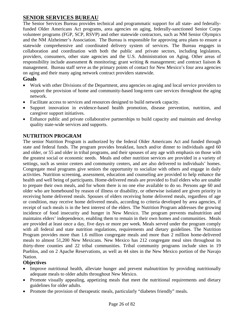### **SENIOR SERVICES BUREAU**

The Senior Services Bureau provides technical and programmatic support for all state- and federallyfunded Older Americans Act programs, area agencies on aging, federally-sanctioned Senior Corps volunteer programs (FGP, SCP, RSVP) and other statewide contractors, such as NM Senior Olympics and the NM Alzheimer's Association. The Bureau is responsible for approving area plans to ensure a statewide comprehensive and coordinated delivery system of services. The Bureau engages in collaboration and coordination with both the public and private sectors, including legislators, providers, consumers, other state agencies and the U.S. Administration on Aging. Other areas of responsibility include assessment & monitoring; grant writing & management; and contract liaison & management. Bureau staff serve as the primary points of contact for New Mexico's four area agencies on aging and their many aging network contract providers statewide.

#### **Goals**

- Work with other Divisions of the Department, area agencies on aging and local service providers to support the provision of home and community-based long-term care services throughout the aging network.
- Facilitate access to services and resources designed to build network capacity.
- Support innovation in evidence-based health promotion, disease prevention, nutrition, and caregiver support initiatives.
- Enhance public and private collaborative partnerships to build capacity and maintain and develop quality state-wide services and supports.

### **NUTRITION PROGRAM**

The senior Nutrition Program is authorized by the federal Older Americans Act and funded through state and federal funds. The program provides breakfast, lunch and/or dinner to individuals aged 60 and older, or 55 and older in tribal programs, and their spouses of any age with emphasis on those with the greatest social or economic needs. Meals and other nutrition services are provided in a variety of settings, such as senior centers and community centers, and are also delivered to individuals' homes. Congregate meal programs give seniors the opportunity to socialize with others and engage in daily activities. Nutrition screening, assessment, education and counseling are provided to help enhance the health and well being of participants. Home-delivered meals are provided to frail elders who are unable to prepare their own meals, and for whom there is no one else available to do so. Persons age 60 and older who are homebound by reason of illness or disability, or otherwise isolated are given priority in receiving home delivered meals. Spouses of elders receiving home delivered meals, regardless of age or condition, may receive home delivered meals, according to criteria developed by area agencies, if receipt of such meals is in the best interest of the elders. The Nutrition Program addresses the growing incidence of food insecurity and hunger in New Mexico. The program prevents malnutrition and maintains elders' independence, enabling them to remain in their own homes and communities. Meals are provided at least once a day, five days or more per week. Meals served under the program comply with all federal and state nutrition regulations, requirements and dietary guidelines. The Nutrition Program provides more than 1.6 million congregate meals and more than 2 million home-delivered meals to almost 51,200 New Mexicans. New Mexico has 212 congregate meal sites throughout its thirty-three counties and 22 tribal communities. Tribal community programs include sites in 19 Pueblos, and on 2 Apache Reservations, as well as 44 sites in the New Mexico portion of the Navajo Nation.

- Improve nutritional health, alleviate hunger and prevent malnutrition by providing nutritionally adequate meals to older adults throughout New Mexico.
- Promote visually appealing, appetizing meals that meet the nutritional requirements and dietary guidelines for older adults.
- Promote the provision of therapeutic meals, particularly "diabetes friendly" meals.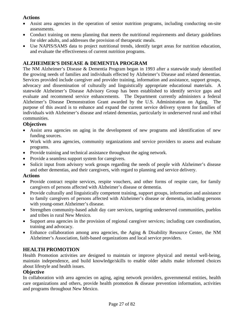#### **Actions**

- Assist area agencies in the operation of senior nutrition programs, including conducting on-site assessments.
- Conduct training on menu planning that meets the nutritional requirements and dietary guidelines for older adults, and addresses the provision of therapeutic meals.
- Use NAPIS/SAMS data to project nutritional trends, identify target areas for nutrition education, and evaluate the effectiveness of current nutrition programs.

### **ALZHEIMER'S DISEASE & DEMENTIA PROGRAM**

The NM Alzheimer's Disease & Dementia Program began in 1993 after a statewide study identified the growing needs of families and individuals effected by Alzheimer's Disease and related dementias. Services provided include caregiver and provider training, information and assistance, support groups, advocacy and dissemination of culturally and linguistically appropriate educational materials. A statewide Alzheimer's Disease Advisory Group has been established to identify service gaps and evaluate and recommend service enhancements. The Department currently administers a federal Alzheimer's Disease Demonstration Grant awarded by the U.S. Administration on Aging. The purpose of this award is to enhance and expand the current service delivery system for families of individuals with Alzheimer's disease and related dementias, particularly in underserved rural and tribal communities.

#### **Objectives**

- Assist area agencies on aging in the development of new programs and identification of new funding sources.
- Work with area agencies, community organizations and service providers to assess and evaluate programs.
- Provide training and technical assistance throughout the aging network.
- Provide a seamless support system for caregivers.
- Solicit input from advisory work groups regarding the needs of people with Alzheimer's disease and other dementias, and their caregivers, with regard to planning and service delivery.

#### **Actions**

- Provide contract respite services, respite vouchers, and other forms of respite care, for family caregivers of persons affected with Alzheimer's disease or dementia.
- Provide culturally and linguistically competent training, support groups, information and assistance to family caregivers of persons affected with Alzheimer's disease or dementia, including persons with young-onset Alzheimer's disease.
- Strengthen community-based adult day care services, targeting underserved communities, pueblos and tribes in rural New Mexico.
- Support area agencies in the provision of regional caregiver services; including care coordination, training and advocacy.
- Enhance collaboration among area agencies, the Aging & Disability Resource Center, the NM Alzheimer's Association, faith-based organizations and local service providers.

#### **HEALTH PROMOTION**

Health Promotion activities are designed to maintain or improve physical and mental well-being, maintain independence, and build knowledge/skills to enable older adults make informed choices about lifestyle and health issues.

#### **Objective**

In collaboration with area agencies on aging, aging network providers, governmental entities, health care organizations and others, provide health promotion & disease prevention information, activities and programs throughout New Mexico.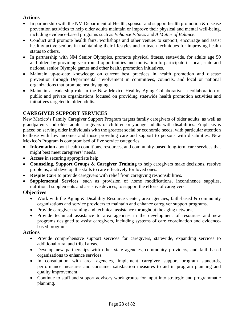#### **Actions**

- In partnership with the NM Department of Health, sponsor and support health promotion  $\&$  disease prevention activities to help older adults maintain or improve their physical and mental well-being, including evidence-based programs such as *Enhance Fitness* and *A Matter of Balance*.
- Conduct and promote health fairs, workshops and other venues to support, encourage and assist healthy active seniors in maintaining their lifestyles and to teach techniques for improving health status to others.
- In partnership with NM Senior Olympics, promote physical fitness, statewide, for adults age 50 and older, by providing year-round opportunities and motivation to participate in local, state and national senior Olympic games and other health promotion initiatives.
- Maintain up-to-date knowledge on current best practices in health promotion and disease prevention through Departmental involvement in committees, councils, and local or national organizations that promote healthy aging.
- Maintain a leadership role in the New Mexico Healthy Aging Collaborative, a collaboration of public and private organizations focused on providing statewide health promotion activities and initiatives targeted to older adults.

### **CAREGIVER SUPPORT SERVICES**

New Mexico's Family Caregiver Support Program targets family caregivers of older adults, as well as grandparents and older adult caregivers of children or younger adults with disabilities. Emphasis is placed on serving older individuals with the greatest social or economic needs, with particular attention to those with low incomes and those providing care and support to persons with disabilities. New Mexico's Program is compromised of five service categories:

- **Information** about health conditions, resources, and community-based long-term care services that might best meet caregivers' needs.
- **Access** in securing appropriate help.
- **Counseling, Support Groups & Caregiver Training** to help caregivers make decisions, resolve problems, and develop the skills to care effectively for loved ones.
- **Respite Care** to provide caregivers with relief from caregiving responsibilities.
- **Supplemental Services**, such as provision of home modifications, incontinence supplies, nutritional supplements and assistive devices, to support the efforts of caregivers.

#### **Objectives**

- Work with the Aging & Disability Resource Center, area agencies, faith-based & community organizations and service providers to maintain and enhance caregiver support programs.
- Provide caregiver training and technical assistance throughout the aging network.
- Provide technical assistance to area agencies in the development of resources and new programs designed to assist caregivers, including systems of care coordination and evidencebased programs.

#### **Actions**

- Provide comprehensive support services for caregivers, statewide, expanding services to additional rural and tribal areas.
- Develop new partnerships with other state agencies, community providers, and faith-based organizations to enhance services.
- In consultation with area agencies, implement caregiver support program standards, performance measures and consumer satisfaction measures to aid in program planning and quality improvement.
- Continue to staff and support advisory work groups for input into strategic and programmatic planning.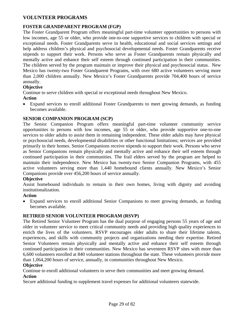#### **VOLUNTEER PROGRAMS**

#### **FOSTER GRANDPARENT PROGRAM (FGP)**

The Foster Grandparent Program offers meaningful part-time volunteer opportunities to persons with low incomes, age 55 or older, who provide one-to-one supportive services to children with special or exceptional needs. Foster Grandparents serve in health, educational and social services settings and help address children's physical and psychosocial developmental needs. Foster Grandparents receive stipends to support their work. Persons who serve as Foster Grandparents remain physically and mentally active and enhance their self esteem through continued participation in their communities. The children served by the program maintain or improve their physical and psychosocial status. New Mexico has twenty-two Foster Grandparent Programs, with over 680 active volunteers serving more than 2,000 children annually. New Mexico's Foster Grandparents provide 704,400 hours of service annually.

#### **Objective**

Continue to serve children with special or exceptional needs throughout New Mexico.

#### **Action**

• Expand services to enroll additional Foster Grandparents to meet growing demands, as funding becomes available.

#### **SENIOR COMPANION PROGRAM (SCP)**

The Senior Companion Program offers meaningful part-time volunteer community service opportunities to persons with low incomes, age 55 or older, who provide supportive one-to-one services to older adults to assist them in remaining independent. These older adults may have physical or psychosocial needs, developmental disabilities or other functional limitations; services are provided primarily in their homes. Senior Companions receive stipends to support their work. Persons who serve as Senior Companions remain physically and mentally active and enhance their self esteem through continued participation in their communities. The frail elders served by the program are helped to maintain their independence. New Mexico has twenty-two Senior Companion Programs, with 455 active volunteers serving more than 1,440 homebound clients annually. New Mexico's Senior Companions provide over 456,200 hours of service annually.

#### **Objective**

Assist homebound individuals to remain in their own homes, living with dignity and avoiding institutionalization.

#### **Action**

• Expand services to enroll additional Senior Companions to meet growing demands, as funding becomes available.

#### **RETIRED SENIOR VOLUNTEER PROGRAM (RSVP)**

The Retired Senior Volunteer Program has the dual purpose of engaging persons 55 years of age and older in volunteer service to meet critical community needs and providing high quality experiences to enrich the lives of the volunteers. RSVP encourages older adults to share their lifetime talents, experiences, and skills with community projects and organizations needing their expertise. Retired Senior Volunteers remain physically and mentally active and enhance their self esteem through continued participation in their communities. New Mexico has seventeen RSVP sites with more than 6,600 volunteers enrolled at 840 volunteer stations throughout the state. These volunteers provide more than 1,064,200 hours of service, annually, in communities throughout New Mexico.

#### **Objective**

Continue to enroll additional volunteers to serve their communities and meet growing demand. **Action** 

#### Secure additional funding to supplement travel expenses for additional volunteers statewide.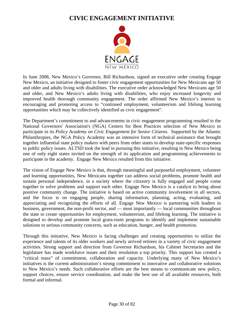# **CIVIC ENGAGEMENT INITIATIVE**



In June 2008, New Mexico's Governor, Bill Richardson, signed an executive order creating Engage New Mexico, an initiative designed to foster civic engagement opportunities for New Mexicans age 50 and older and adults living with disabilities. The executive order acknowledged New Mexicans age 50 and older, and New Mexico's adults living with disabilities, who enjoy increased longevity and improved health thorough community engagement. The order affirmed New Mexico's interest in encouraging and promoting access to "continued employment, volunteerism and lifelong learning opportunities which may be collectively identified as civic engagement".

The Department's commitment to and advancements in civic engagement programming resulted in the National Governors' Association's (NGA) Centers for Best Practices selection of New Mexico to participate in its *Policy Academy on Civic Engagement for Senior Citizens*. Supported by the Atlantic Philanthropies, the NGA Policy Academy was an intensive form of technical assistance that brought together influential state policy makers with peers from other states to develop state-specific responses to public policy issues. ALTSD took the lead in pursuing this initiative, resulting in New Mexico being one of only eight states invited on the strength of its application and programming achievements to participate in the academy. Engage New Mexico resulted from this initiative.

The vision of Engage New Mexico is that, through meaningful and purposeful employment, volunteer and learning opportunities, New Mexicans together can address social problems, promote health and sustain personal independence, in a society where the citizenry is fully engaged and people come together to solve problems and support each other. Engage New Mexico is a catalyst to bring about positive community change. The initiative is based on active community involvement in all sectors, and the focus is on engaging people, sharing information, planning, acting, evaluating, and appreciating and recognizing the efforts of all. Engage New Mexico is partnering with leaders in business, government, the non-profit sector, and — most importantly — local communities throughout the state to create opportunities for employment, volunteerism, and lifelong learning. The initiative is designed to develop and promote local grass-roots programs to identify and implement sustainable solutions to serious community concerns, such as education, hunger, and health promotion.

Through this initiative, New Mexico is facing challenges and creating opportunities to utilize the experience and talents of its older workers and newly arrived retirees in a variety of civic engagement activities. Strong support and direction from Governor Richardson, his Cabinet Secretaries and the legislature has made workforce issues and their resolution a top priority. This support has created a "critical mass" of commitment, collaboration and capacity. Underlying many of New Mexico's initiatives is the current administration's strong commitment to innovative and collaborative solutions to New Mexico's needs. Such collaborative efforts are the best means to communicate new policy, support choices, ensure service coordination, and make the best use of all available resources, both formal and informal.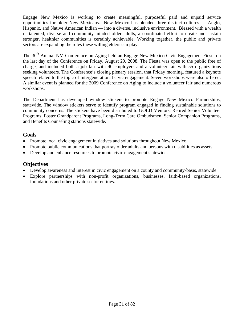Engage New Mexico is working to create meaningful, purposeful paid and unpaid service opportunities for older New Mexicans. New Mexico has blended three distinct cultures — Anglo, Hispanic, and Native American Indian — into a diverse, inclusive environment. Blessed with a wealth of talented, diverse and community-minded older adults, a coordinated effort to create and sustain stronger, healthier communities is certainly achievable. Working together, the public and private sectors are expanding the roles these willing elders can play.

The 30<sup>th</sup> Annual NM Conference on Aging held an Engage New Mexico Civic Engagement Fiesta on the last day of the Conference on Friday, August 29, 2008. The Fiesta was open to the public free of charge, and included both a job fair with 40 employers and a volunteer fair with 55 organizations seeking volunteers. The Conference's closing plenary session, that Friday morning, featured a keynote speech related to the topic of intergenerational civic engagement. Seven workshops were also offered. A similar event is planned for the 2009 Conference on Aging to include a volunteer fair and numerous workshops.

The Department has developed window stickers to promote Engage New Mexico Partnerships, statewide. The window stickers serve to identify program engaged in finding sustainable solutions to community concerns. The stickers have been distributed to GOLD Mentors, Retired Senior Volunteer Programs, Foster Grandparent Programs, Long-Term Care Ombudsmen, Senior Companion Programs, and Benefits Counseling stations statewide.

#### **Goals**

- Promote local civic engagement initiatives and solutions throughout New Mexico.
- Promote public communications that portray older adults and persons with disabilities as assets.
- Develop and enhance resources to promote civic engagement statewide.

- Develop awareness and interest in civic engagement on a county and community-basis, statewide.
- Explore partnerships with non-profit organizations, businesses, faith-based organizations, foundations and other private sector entities.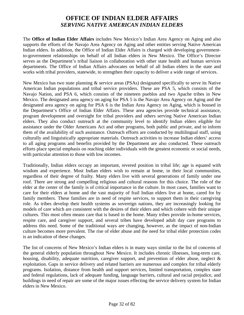# **OFFICE OF INDIAN ELDER AFFAIRS**  *SERVING NATIVE AMERICAN INDIAN ELDERS*

The **Office of Indian Elder Affairs** includes New Mexico's Indian Area Agency on Aging and also supports the efforts of the Navajo Area Agency on Aging and other entities serving Native American Indian elders. In addition, the Office of Indian Elder Affairs is charged with developing governmentto-government relationships on behalf of all Indian elders in New Mexico. The Office's Director serves as the Department's tribal liaison in collaboration with other state health and human services departments. The Office of Indian Affairs advocates on behalf of all Indian elders in the state and works with tribal providers, statewide, to strengthen their capacity to deliver a wide range of services.

New Mexico has two state planning & service areas (PSAs) designated specifically to serve its Native American Indian populations and tribal service providers. These are PSA 5, which consists of the Navajo Nation, and PSA 6, which consists of the nineteen pueblos and two Apache tribes in New Mexico. The designated area agency on aging for PSA 5 is the Navajo Area Agency on Aging and the designated area agency on aging for PSA 6 is the Indian Area Agency on Aging, which is housed in the Department's Office of Indian Elder Affairs. These area agencies provide technical assistance, program development and oversight for tribal providers and others serving Native American Indian elders. They also conduct outreach at the community level to identify Indian elders eligible for assistance under the Older Americans Act and other programs, both public and private, and to inform them of the availability of such assistance. Outreach efforts are conducted by multilingual staff, using culturally and linguistically appropriate materials. Outreach activities to increase Indian elders' access to all aging programs and benefits provided by the Department are also conducted. These outreach efforts place special emphasis on reaching older individuals with the greatest economic or social needs, with particular attention to those with low incomes.

Traditionally, Indian elders occupy an important, revered position in tribal life; age is equated with wisdom and experience. Most Indian elders wish to remain at home, in their local communities, regardless of their degree of frailty. Many elders live with several generations of family under one roof. There are strong and compelling religious and cultural reasons for this choice. The role of the elder at the center of the family is of critical importance in the culture. In most cases, families want to care for their elders at home and the vast majority of frail Indian elders live at home, cared for by family members. These families are in need of respite services, to support them in their caregiving role. As tribes develop their health systems as sovereign nations, they are increasingly looking for models of care which are consistent with the desires of their elders and which cohere with their unique cultures. This most often means care that is based in the home. Many tribes provide in-home services, respite care, and caregiver support, and several tribes have developed adult day care programs to address this need. Some of the traditional ways are changing, however, as the impact of non-Indian culture becomes more prevalent. The rise of elder abuse and the need for tribal elder protection codes is an indication of these changes.

The list of concerns of New Mexico's Indian elders is in many ways similar to the list of concerns of the general elderly population throughout New Mexico. It includes chronic illnesses, long-term care, housing, disability, adequate nutrition, caregiver support, and prevention of elder abuse, neglect & exploitation. Gaps in service delivery and related barriers are numerous and complex for tribal elderly programs. Isolation, distance from health and support services, limited transportation, complex state and federal regulations, lack of adequate funding, language barriers, cultural and racial prejudice, and buildings in need of repair are some of the major issues effecting the service delivery system for Indian elders in New Mexico.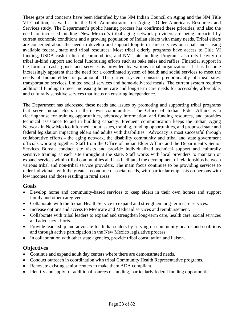These gaps and concerns have been identified by the NM Indian Council on Aging and the NM Title VI Coalition, as well as in the U.S. Administration on Aging's Older Americans Resources and Services study. The Department's public hearing process has confirmed these priorities, and also the need for increased funding. New Mexico's tribal aging network providers are being impacted by current economic conditions and a growing population of Indian elders with many needs. Tribal elders are concerned about the need to develop and support long-term care services on tribal lands, using available federal, state and tribal resources. Most tribal elderly programs have access to Title VI funding, USDA cash in lieu of commodities, and NM state funding. Programs also rely heavily on tribal in-kind support and local fundraising efforts such as bake sales and raffles. Financial support in the form of cash, goods and services is provided by various tribal organizations. It has become increasingly apparent that the need for a coordinated system of health and social services to meet the needs of Indian elders is paramount. The current system consists predominantly of meal sites, transportation services, limited social services and home-delivered meals. The current system requires additional funding to meet increasing home care and long-term care needs for accessible, affordable, and culturally sensitive services that focus on ensuring independence.

The Department has addressed these needs and issues by promoting and supporting tribal programs that serve Indian elders in their own communities. The Office of Indian Elder Affairs is a clearinghouse for training opportunities, advocacy information, and funding resources, and provides technical assistance to aid in building capacity. Frequent communication keeps the Indian Aging Network in New Mexico informed about issues, training, funding opportunities, and proposed state and federal legislation impacting elders and adults with disabilities. Advocacy is most successful through collaborative efforts - the aging network, the disability community and tribal and state government officials working together. Staff from the Office of Indian Elder Affairs and the Department's Senior Services Bureau conduct site visits and provide individualized technical support and culturally sensitive training at each site throughout the state. Staff works with local providers to maintain or expand services within tribal communities and has facilitated the development of relationships between various tribal and non-tribal service providers. The main focus continues to be providing services to older individuals with the greatest economic or social needs, with particular emphasis on persons with low incomes and those residing in rural areas.

#### **Goals**

- Develop home and community-based services to keep elders in their own homes and support family and other caregivers.
- Collaborate with the Indian Health Service to expand and strengthen long-term care services.
- Increase options and access to Medicare and Medicaid services and reimbursement.
- Collaborate with tribal leaders to expand and strengthen long-term care, health care, social services and advocacy efforts.
- Provide leadership and advocate for Indian elders by serving on community boards and coalitions and through active participation in the New Mexico legislative process.
- In collaboration with other state agencies, provide tribal consultation and liaison.

- Continue and expand adult day centers where there are demonstrated needs.
- Conduct outreach in coordination with tribal Community Health Representative programs.
- Renovate existing senior centers to make them ADA compliant.
- Identify and apply for additional sources of funding, particularly federal funding opportunities.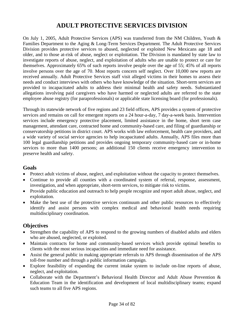# **ADULT PROTECTIVE SERVICES DIVISION**

On July 1, 2005, Adult Protective Services (APS) was transferred from the NM Children, Youth & Families Department to the Aging & Long-Term Services Department. The Adult Protective Services Division provides protective services to abused, neglected or exploited New Mexicans age 18 and older, and to those at-risk of abuse, neglect or exploitation. The Division is mandated by state law to investigate reports of abuse, neglect, and exploitation of adults who are unable to protect or care for themselves. Approximately 65% of such reports involve people over the age of 55; 45% of all reports involve persons over the age of 70. Most reports concern self neglect. Over 10,000 new reports are received annually. Adult Protective Services staff visit alleged victims in their homes to assess their needs and conduct interviews with others who have knowledge of the situation. Short-term services are provided to incapacitated adults to address their minimal health and safety needs. Substantiated allegations involving paid caregivers who have harmed or neglected adults are referred to the state employee abuse registry (for paraprofessionals) or applicable state licensing board (for professionals).

Through its statewide network of five regions and 23 field offices, APS provides a system of protective services and remains on call for emergent reports on a 24 hour-a-day, 7 day-a-week basis. Intervention services include emergency protective placement, limited assistance in the home, short term case management, attendant care, contracted home and community-based care, and filing of guardianship or conservatorship petitions in district court. APS works with law enforcement, health care providers, and a wide variety of social service agencies to help incapacitated adults. Annually, APS files more than 100 legal guardianship petitions and provides ongoing temporary community-based care or in-home services to more than 1400 persons; an additional 150 clients receive emergency intervention to preserve health and safety.

#### **Goals**

- Protect adult victims of abuse, neglect, and exploitation without the capacity to protect themselves.
- Continue to provide all counties with a coordinated system of referral, response, assessment, investigation, and when appropriate, short-term services, to mitigate risk to victims.
- Provide public education and outreach to help people recognize and report adult abuse, neglect, and exploitation.
- Make the best use of the protective services continuum and other public resources to effectively identify and assist persons with complex medical and behavioral health needs requiring multidisciplinary coordination.

- Strengthen the capability of APS to respond to the growing numbers of disabled adults and elders who are abused, neglected, or exploited.
- Maintain contracts for home and community-based services which provide optimal benefits to clients with the most serious incapacities and immediate need for assistance.
- Assist the general public in making appropriate referrals to APS through dissemination of the APS toll-free number and through a public information campaign.
- Explore feasibility of expanding the current intake system to include on-line reports of abuse, neglect, and exploitation.
- Collaborate with the Department's Behavioral Health Director and Adult Abuse Prevention & Education Team in the identification and development of local multidisciplinary teams; expand such teams to all five APS regions.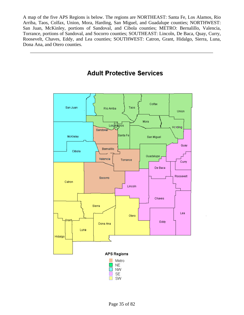A map of the five APS Regions is below. The regions are NORTHEAST: Santa Fe, Los Alamos, Rio Arriba, Taos, Colfax, Union, Mora, Harding, San Miguel, and Guadalupe counties; NORTHWEST: San Juan, McKinley, portions of Sandoval, and Cibola counties; METRO: Bernalillo, Valencia, Torrance, portions of Sandoval, and Socorro counties; SOUTHEAST: Lincoln, De Baca, Quay, Curry, Roosevelt, Chaves, Eddy, and Lea counties; SOUTHWEST: Catron, Grant, Hidalgo, Sierra, Luna, Dona Ana, and Otero counties.



# **Adult Protective Services**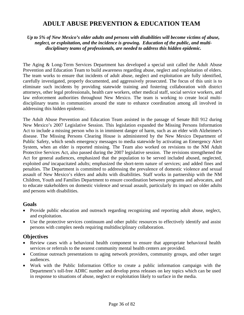## **ADULT ABUSE PREVENTION & EDUCATION TEAM**

*Up to 5% of New Mexico's older adults and persons with disabilities will become victims of abuse, neglect, or exploitation, and the incidence is growing. Education of the public, and multidisciplinary teams of professionals, are needed to address this hidden epidemic.* 

The Aging & Long-Term Services Department has developed a special unit called the Adult Abuse Prevention and Education Team to build awareness regarding abuse, neglect and exploitation of elders. The team works to ensure that incidents of adult abuse, neglect and exploitation are fully identified, carefully investigated, properly documented, and aggressively prosecuted. The focus of this unit is to eliminate such incidents by providing statewide training and fostering collaboration with district attorneys, other legal professionals, health care workers, other medical staff, social service workers, and law enforcement authorities throughout New Mexico. The team is working to create local multidisciplinary teams in communities around the state to enhance coordination among all involved in addressing this hidden epidemic.

The Adult Abuse Prevention and Education Team assisted in the passage of Senate Bill 912 during New Mexico's 2007 Legislative Session. This legislation expanded the Missing Persons Information Act to include a missing person who is in imminent danger of harm, such as an elder with Alzheimer's disease. The Missing Persons Clearing House is administered by the New Mexico Department of Public Safety, which sends emergency messages to media statewide by activating an Emergency Alert System, when an elder is reported missing. The Team also worked on revisions to the NM Adult Protective Services Act, also passed during the 2007 legislative session. The revisions strengthened the Act for general audiences, emphasized that the population to be served included abused, neglected, exploited *and* incapacitated adults; emphasized the short-term nature of services; and added fines and penalties. The Department is committed to addressing the prevalence of domestic violence and sexual assault of New Mexico's elders and adults with disabilities. Staff works in partnership with the NM Children, Youth and Families Department to ensure coordination between programs and advocates, and to educate stakeholders on domestic violence and sexual assault, particularly its impact on older adults and persons with disabilities.

#### **Goals**

- Provide public education and outreach regarding recognizing and reporting adult abuse, neglect, and exploitation.
- Use the protective services continuum and other public resources to effectively identify and assist persons with complex needs requiring multidisciplinary collaboration.

### **Objectives**

- Review cases with a behavioral health component to ensure that appropriate behavioral health services or referrals to the nearest community mental health centers are provided.
- Continue outreach presentations to aging network providers, community groups, and other target audiences.
- Work with the Public Information Office to create a public information campaign with the Department's toll-free ADRC number and develop press releases on key topics which can be used in response to situations of abuse, neglect or exploitation likely to surface in the media.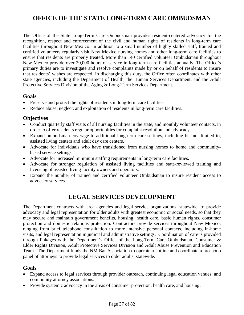# **OFFICE OF THE STATE LONG-TERM CARE OMBUDSMAN**

The Office of the State Long-Term Care Ombudsman provides resident-centered advocacy for the recognition, respect and enforcement of the civil and human rights of residents in long-term care facilities throughout New Mexico. In addition to a small number of highly skilled staff, trained and certified volunteers regularly visit New Mexico nursing homes and other long-term care facilities to ensure that residents are properly treated. More than 140 certified volunteer Ombudsman throughout New Mexico provide over 20,000 hours of service in long-term care facilities annually. The Office's primary duties are to investigate and resolve complaints made by or on behalf of residents to insure that residents' wishes are respected. In discharging this duty, the Office often coordinates with other state agencies, including the Department of Health, the Human Services Department, and the Adult Protective Services Division of the Aging & Long-Term Services Department.

#### **Goals**

- Preserve and protect the rights of residents in long-term care facilities.
- Reduce abuse, neglect, and exploitation of residents in long-term care facilities.

### **Objectives**

- Conduct quarterly staff visits of all nursing facilities in the state, and monthly volunteer contacts, in order to offer residents regular opportunities for complaint resolution and advocacy.
- Expand ombudsman coverage to additional long-term care settings, including but not limited to, assisted living centers and adult day care centers.
- Advocate for individuals who have transitioned from nursing homes to home and communitybased service settings.
- Advocate for increased minimum staffing requirements in long-term care facilities.
- Advocate for stronger regulation of assisted living facilities and state-reviewed training and licensing of assisted living facility owners and operators.
- Expand the number of trained and certified volunteer Ombudsman to insure resident access to advocacy services.

## **LEGAL SERVICES DEVELOPMENT**

The Department contracts with area agencies and legal service organizations, statewide, to provide advocacy and legal representation for older adults with greatest economic or social needs, so that they may secure and maintain government benefits, housing, health care, basic human rights, consumer protection and domestic relations protection. Contractors provide services throughout New Mexico, ranging from brief telephone consultation to more intensive personal contacts, including in-home visits, and legal representation in judicial and administrative settings. Coordination of care is provided through linkages with the Department's Office of the Long-Term Care Ombudsman, Consumer & Elder Rights Division, Adult Protective Services Division and Adult Abuse Prevention and Education Team. The Department funds the NM Bar Association to operate a hotline and coordinate a pro-bono panel of attorneys to provide legal services to older adults, statewide.

#### **Goals**

- Expand access to legal services through provider outreach, continuing legal education venues, and community attorney associations.
- Provide systemic advocacy in the areas of consumer protection, health care, and housing.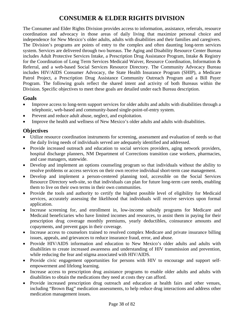# **CONSUMER & ELDER RIGHTS DIVISION**

The Consumer and Elder Rights Division provides access to information, assistance, referrals, resource coordination and advocacy in those areas of daily living that maximize personal choice and independence for New Mexico's older adults, adults with disabilities and their families and caregivers. The Division's programs are points of entry to the complex and often daunting long-term services system. Services are delivered through two bureaus. The Aging and Disability Resource Center Bureau includes Adult Protective Services Intake, a Prescription Drug Assistance Program, Intake & Registry for the Coordination of Long Term Services Medicaid Waiver, Resource Coordination, Information & Referral, and a web-based Social Services Resource Directory. The Community Advocacy Bureau includes HIV/AIDS Consumer Advocacy, the State Health Insurance Program (SHIP), a Medicare Patrol Project, a Prescription Drug Assistance Community Outreach Program and a Bill Payer Program. The following goals reflect the shared intent and activity of both Bureaus within the Division. Specific objectives to meet these goals are detailed under each Bureau description.

#### **Goals**

- Improve access to long-term support services for older adults and adults with disabilities through a telephonic, web-based and community-based single-point-of-entry system.
- Prevent and reduce adult abuse, neglect, and exploitation.
- Improve the health and wellness of New Mexico's older adults and adults with disabilities.

### **Objectives**

- Utilize resource coordination instruments for screening, assessment and evaluation of needs so that the daily living needs of individuals served are adequately identified and addressed.
- Provide increased outreach and education to social services providers, aging network providers, hospital discharge planners, NM Department of Corrections transition case workers, pharmacies, and case managers, statewide.
- Develop and implement an options counseling program so that individuals without the ability to resolve problems or access services on their own receive individual short-term case management.
- Develop and implement a person-centered planning tool, accessible on the Social Services Resource Directory web-site, so that individuals can plan for future long-term care needs, enabling them to live on their own terms in their own communities.
- Provide the tools and authority to certify the highest possible level of eligibility for Medicaid services, accurately assessing the likelihood that individuals will receive services upon formal application.
- Increase screening for, and enrollment in, low-income subsidy programs for Medicare and Medicaid beneficiaries who have limited incomes and resources, to assist them in paying for their prescription drug coverage monthly premiums, yearly deductibles, coinsurance amounts and copayments, and prevent gaps in their coverage.
- Increase access to counselors trained to resolved complex Medicare and private insurance billing issues, appeals, and grievances to reduce insurance fraud, error, and abuse.
- Provide HIV/AIDS information and education to New Mexico's older adults and adults with disabilities to create increased awareness and understanding of HIV transmission and prevention, while reducing the fear and stigma associated with HIV/AIDS.
- Provide civic engagement opportunities for persons with HIV to encourage and support selfempowerment and lifelong learning.
- Increase access to prescription drug assistance programs to enable older adults and adults with disabilities to obtain the medications they need at costs they can afford.
- Provide increased prescription drug outreach and education at health fairs and other venues, including "Brown Bag" medication assessments, to help reduce drug interactions and address other medication management issues.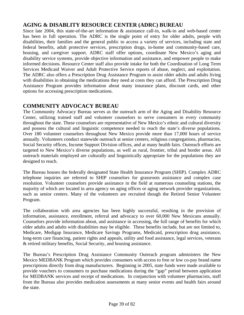### **AGING & DISABLITY RESOURCE CENTER (ADRC) BUREAU**

Since late 2004, this state-of-the-art information & assistance call-in, walk-in and web-based center has been in full operation. The ADRC is the single point of entry for older adults, people with disabilities, their families and the general public to access a variety of services, including state and federal benefits, adult protective services, prescription drugs, in-home and community-based care, housing, and caregiver support. ADRC staff offer options, coordinate New Mexico's aging and disability service systems, provide objective information and assistance, and empower people to make informed decisions. Resource Center staff also provide intake for both the Coordination of Long Term Services Medicaid Waiver and Adult Protective Service reports of abuse, neglect, and exploitation. The ADRC also offers a Prescription Drug Assistance Program to assist older adults and adults living with disabilities in obtaining the medications they need at costs they can afford. The Prescription Drug Assistance Program provides information about many insurance plans, discount cards, and other options for accessing prescription medications.

### **COMMUNITY ADVOCACY BUREAU**

The Community Advocacy Bureau serves as the outreach arm of the Aging and Disability Resource Center, utilizing trained staff and volunteer counselors to serve consumers in every community throughout the state. These counselors are representative of New Mexico's ethnic and cultural diversity and possess the cultural and linguistic competence needed to reach the state's diverse populations. Over 180 volunteer counselors throughout New Mexico provide more than 17,000 hours of service annually. Volunteers conduct statewide outreach at senior centers, religious congregations, pharmacies, Social Security offices, Income Support Division offices, and at many health fairs. Outreach efforts are targeted to New Mexico's diverse populations, as well as rural, frontier, tribal and border areas. All outreach materials employed are culturally and linguistically appropriate for the populations they are designed to reach.

The Bureau houses the federally designated State Health Insurance Program (SHIP). Complex ADRC telephone inquiries are referred to SHIP counselors for grassroots assistance and complex case resolution. Volunteer counselors provide assistance in the field at numerous counseling stations, the majority of which are located in area agency on aging offices or aging network provider organizations, such as senior centers. Many of the volunteers are recruited though the Retired Senior Volunteer Program.

The collaboration with area agencies has been highly successful, resulting in the provision of information, assistance, enrollment, referral and advocacy to over 60,000 New Mexicans annually. Counselors provide information about, and assistance in accessing, the full range of benefits for which older adults and adults with disabilities may be eligible. These benefits include, but are not limited to, Medicare, Medigap Insurance, Medicare Savings Programs, Medicaid, prescription drug assistance, long-term care financing, patient rights and appeals, utility and food assistance, legal services, veterans & retired military benefits, Social Security, and housing assistance.

The Bureau's Prescription Drug Assistance Community Outreach program administers the New Mexico MEDBANK Program which provides consumers with access to free or low co-pay brand name prescriptions directly from drug manufacturers. Beginning in 2005, state funds were made available to provide vouchers to consumers to purchase medications during the "gap" period between application for MEDBANK services and receipt of medications. In conjunction with volunteer pharmacists, staff from the Bureau also provides medication assessments at many senior events and health fairs around the state.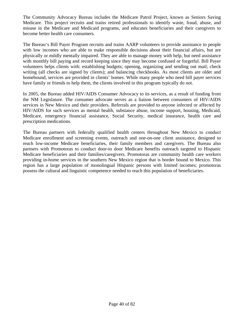The Community Advocacy Bureau includes the Medicare Patrol Project, known as Seniors Saving Medicare. This project recruits and trains retired professionals to identify waste, fraud, abuse, and misuse in the Medicare and Medicaid programs, and educates beneficiaries and their caregivers to become better health care consumers.

The Bureau's Bill Payer Program recruits and trains AARP volunteers to provide assistance to people with low incomes who are able to make responsible decisions about their financial affairs, but are physically or mildly mentally impaired. They are able to manage money with help, but need assistance with monthly bill paying and record keeping since they may become confused or forgetful. Bill Payer volunteers helps clients with: establishing budgets; opening, organizing and sending out mail; check writing (all checks are signed by clients); and balancing checkbooks. As most clients are older and homebound, services are provided in clients' homes. While many people who need bill payer services have family or friends to help them, the clients involved in this program typically do not.

In 2005, the Bureau added HIV/AIDS Consumer Advocacy to its services, as a result of funding from the NM Legislature. The consumer advocate serves as a liaison between consumers of HIV/AIDS services in New Mexico and their providers. Referrals are provided to anyone infected or affected by HIV/AIDS for such services as mental health, substance abuse, income support, housing, Medicaid, Medicare, emergency financial assistance, Social Security, medical insurance, health care and prescription medications.

The Bureau partners with federally qualified health centers throughout New Mexico to conduct Medicare enrollment and screening events, outreach and one-on-one client assistance, designed to reach low-income Medicare beneficiaries, their family members and caregivers. The Bureau also partners with Promotoras to conduct door-to door Medicare benefits outreach targeted to Hispanic Medicare beneficiaries and their families/caregivers. Promotoras are community health care workers providing in-home services in the southern New Mexico region that is border bound to Mexico. This region has a large population of monolingual Hispanic persons with limited incomes; promotoras possess the cultural and linguistic competence needed to reach this population of beneficiaries.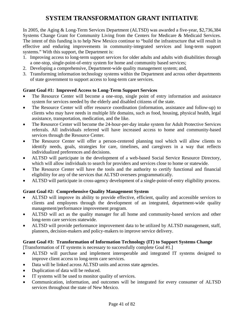# **SYSTEM TRANSFORMATION GRANT INITIATIVE**

In 2005, the Aging & Long-Term Services Department (ALTSD) was awarded a five-year, \$2,736,384 Systems Change Grant for Community Living from the Centers for Medicare & Medicaid Services. The intent of this funding is to help New Mexico continue to "build the infrastructure that will result in effective and enduring improvements in community-integrated services and long-term support systems." With this support, the Department is:

- 1. Improving access to long-term support services for older adults and adults with disabilities through a one-stop, single-point-of-entry system for home and community based services;
- 2. Developing a comprehensive, Department-wide quality management system; and,
- 3. Transforming information technology systems within the Department and across other departments of state government to support access to long-term care services.

#### **Grant Goal #1: Improved Access to Long-Term Support Services**

- The Resource Center will become a one-stop, single point of entry information and assistance system for services needed by the elderly and disabled citizens of the state.
- The Resource Center will offer resource coordination (information, assistance and follow-up) to clients who may have needs in multiple life domains, such as food, housing, physical health, legal assistance, transportation, medication, and the like.
- The Resource Center will become the 24-hour-per-day intake system for Adult Protective Services referrals. All individuals referred will have increased access to home and community-based services through the Resource Center.
- The Resource Center will offer a person-centered planning tool which will allow clients to identify needs, goals, strategies for care, timelines, and caregivers in a way that reflects individualized preferences and decisions.
- ALTSD will participate in the development of a web-based Social Service Resource Directory, which will allow individuals to search for providers and services close to home or statewide.
- The Resource Center will have the tools and the authority to certify functional and financial eligibility for any of the services that ALTSD oversees programmatically.
- ALTSD will participate in cross-agency development of a single-point-of-entry eligibility process.

#### **Grant Goal #2: Comprehensive Quality Management System**

- ALTSD will improve its ability to provide effective, efficient, quality and accessible services to clients and employees through the development of an integrated, department-wide quality management/performance improvement program.
- ALTSD will act as the quality manager for all home and community-based services and other long-term care services statewide.
- ALTSD will provide performance improvement data to be utilized by ALTSD management, staff, planners, decision-makers and policy-makers to improve service delivery.

#### **Grant Goal #3: Transformation of Information Technology (IT) to Support Systems Change**

[Transformation of IT systems is necessary to successfully complete Goal #1.]

- ALTSD will purchase and implement interoperable and integrated IT systems designed to improve client access to long-term care services.
- Data will be linked across ALTSD units and across state agencies.
- Duplication of data will be reduced.
- IT systems will be used to monitor quality of services.
- Communication, information, and outcomes will be integrated for every consumer of ALTSD services throughout the state of New Mexico.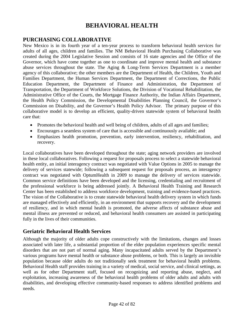## **BEHAVIORAL HEALTH**

### **PURCHASING COLLABORATIVE**

New Mexico is in its fourth year of a ten-year process to transform behavioral health services for adults of all ages, children and families. The NM Behavioral Health Purchasing Collaborative was created during the 2004 Legislative Session and consists of 16 state agencies and the Office of the Governor, which have come together as one to coordinate and improve mental health and substance abuse services throughout the state. The Aging & Long-Term Services Department is a member agency of this collaborative; the other members are the Department of Health, the Children, Youth and Families Department, the Human Services Department, the Department of Corrections, the Public Education Department, the Department of Finance and Administration, the Department of Transportation, the Department of Workforce Solutions, the Division of Vocational Rehabilitation, the Administrative Office of the Courts, the Mortgage Finance Authority, the Indian Affairs Department, the Health Policy Commission, the Developmental Disabilities Planning Council, the Governor's Commission on Disability, and the Governor's Health Policy Advisor. The primary purpose of this collaborative model is to develop an efficient, quality-driven statewide system of behavioral health care that:

- Promotes the behavioral health and well being of children, adults of all ages and families;
- Encourages a seamless system of care that is accessible and continuously available; and
- Emphasizes health promotion, prevention, early intervention, resiliency, rehabilitation, and recovery.

Local collaboratives have been developed throughout the state; aging network providers are involved in these local collaboratives. Following a request for proposals process to select a statewide behavioral health entity, an initial interagency contract was negotiated with Value Options in 2005 to manage the delivery of services statewide; following a subsequent request for proposals process, an interagency contract was negotiated with OptumHealth in 2009 to manage the delivery of services statewide. Common service definitions have been developed and the licensing, credentialing and recruitment of the professional workforce is being addressed jointly. A Behavioral Health Training and Research Center has been established to address workforce development, training and evidence-based practices. The vision of the Collaborative is to create statewide behavioral health delivery system in which funds are managed effectively and efficiently, in an environment that supports recovery and the development of resiliency, and in which mental health is promoted, the adverse affects of substance abuse and mental illness are prevented or reduced, and behavioral health consumers are assisted in participating fully in the lives of their communities.

## **Geriatric Behavioral Health Services**

Although the majority of older adults cope constructively with the limitations, changes and losses associated with later life, a substantial proportion of the elder population experiences specific mental disorders that are not part of normal aging. Many incapacitated adults served by the Department's various programs have mental health or substance abuse problems, or both. This is largely an invisible population because older adults do not traditionally seek treatment for behavioral health problems. Behavioral Health staff provides training in a variety of medical, social service, and clinical settings, as well as for other Department staff, focused on recognizing and reporting abuse, neglect, and exploitation, increasing awareness of the behavioral health problems of older adults and adults with disabilities, and developing effective community-based responses to address identified problems and needs.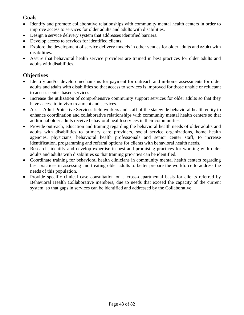### **Goals**

- Identify and promote collaborative relationships with community mental health centers in order to improve access to services for older adults and adults with disabilities.
- Design a service delivery system that addresses identified barriers.
- Develop access to services for identified clients.
- Explore the development of service delivery models in other venues for older adults and adults with disabilities.
- Assure that behavioral health service providers are trained in best practices for older adults and adults with disabilities.

## **Objectives**

- Identify and/or develop mechanisms for payment for outreach and in-home assessments for older adults and adults with disabilities so that access to services is improved for those unable or reluctant to access center-based services.
- Increase the utilization of comprehensive community support services for older adults so that they have access to in vivo treatment and services.
- Assist Adult Protective Services field workers and staff of the statewide behavioral health entity to enhance coordination and collaborative relationships with community mental health centers so that additional older adults receive behavioral health services in their communities.
- Provide outreach, education and training regarding the behavioral health needs of older adults and adults with disabilities to primary care providers, social service organizations, home health agencies, physicians, behavioral health professionals and senior center staff, to increase identification, programming and referral options for clients with behavioral health needs.
- Research, identify and develop expertise in best and promising practices for working with older adults and adults with disabilities so that training priorities can be identified.
- Coordinate training for behavioral health clinicians in community mental health centers regarding best practices in assessing and treating older adults to better prepare the workforce to address the needs of this population.
- Provide specific clinical case consultation on a cross-departmental basis for clients referred by Behavioral Health Collaborative members, due to needs that exceed the capacity of the current system, so that gaps in services can be identified and addressed by the Collaborative.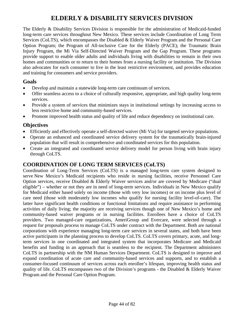# **ELDERLY & DISABILITY SERVICES DIVISION**

The Elderly & Disability Services Division is responsible for the administration of Medicaid-funded long-term care services throughout New Mexico. These services include Coordination of Long Term Services (CoLTS), which encompasses the Disabled & Elderly Waiver Program and the Personal Care Option Program; the Program of All-inclusive Care for the Elderly (PACE); the Traumatic Brain Injury Program, the Mi Via Self-Directed Waiver Program and the Gap Program. These programs provide support to enable older adults and individuals living with disabilities to remain in their own homes and communities or to return to their homes from a nursing facility or institution. The Division also advocates for each consumer to live in the least restrictive environment, and provides education and training for consumers and service providers.

### **Goals**

- Develop and maintain a statewide long-term care continuum of services.
- Offer seamless access to a choice of culturally responsive, appropriate, and high quality long-term services.
- Provide a system of services that minimizes stays in institutional settings by increasing access to less restrictive home and community-based services.
- Promote improved health status and quality of life and reduce dependency on institutional care.

### **Objectives**

- Efficiently and effectively operate a self-directed waiver (Mi Via) for targeted service populations.
- Operate an enhanced and coordinated service delivery system for the traumatically brain-injured population that will result in comprehensive and coordinated services for this population.
- Create an integrated and coordinated service delivery model for person living with brain injury through CoLTS.

## **COORDINATION OF LONG TERM SERVICES (CoLTS)**

Coordination of Long-Term Services (CoLTS) is a managed long-term care system designed to serve New Mexico's Medicaid recipients who reside in nursing facilities, receive Personnel Care Option services, receive Disabled & Elderly Waiver services and/or are covered by Medicare ("dual eligible") – whether or not they are in need of long-term services. Individuals in New Mexico qualify for Medicaid either based solely on income (those with very low incomes) or on income plus level of care need (those with moderately low incomes who qualify for nursing facility level-of-care). The latter have significant health conditions or functional limitations and require assistance in performing activities of daily living; the majority are receiving services though one of New Mexico's home and community-based waiver programs or in nursing facilities. Enrollees have a choice of CoLTS providers. Two managed-care organizations, AmeriGroup and Evercare, were selected through a request for proposals process to manage CoLTS under contract with the Department. Both are national corporations with experience managing long-term care services in several states, and both have been active participants in the planning process to develop CoLTS. CoLTS covers primary, acute, and longterm services in one coordinated and integrated system that incorporates Medicare and Medicaid benefits and funding in an approach that is seamless to the recipient. The Department administers CoLTS in partnership with the NM Human Services Department. CoLTS is designed to improve and expand coordination of acute care and community-based services and supports, and to establish a consumer-focused continuum of services across each enrollee's lifespan, improving health status and quality of life. CoLTS encompasses two of the Division's programs - the Disabled  $\&$  Elderly Waiver Program and the Personal Care Option Program.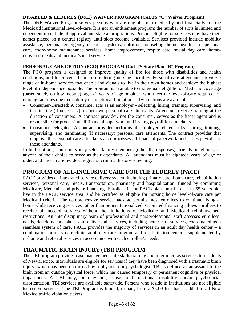#### **DISABLED & ELDERLY (D&E) WAIVER PROGRAM (CoLTS "C" Waiver Program)**

The D&E Waiver Program serves persons who are eligible both medically and financially for the Medicaid institutional level-of-care. It is not an entitlement program; the number of slots is limited and dependent upon federal approval and state appropriations. Persons eligible for services may have their names placed on a central registry until slots become available. Services provided include mobility assistance, personal emergency response systems, nutrition counseling, home health care, personal care, chore/home maintenance services, home improvement, respite care, social day care, homedelivered meals and medical/social services.

#### **PERSONAL CARE OPTION (PCO) PROGRAM (CoLTS State Plan "B" Program)**

The PCO program is designed to improve quality of life for those with disabilities and health conditions, and to prevent them from entering nursing facilities. Personal care attendants provide a range of in-home services that enable individuals to live in their own homes and achieve the highest level of independence possible. The program is available to individuals eligible for Medicaid coverage (based solely on low income), age 21 years of age or older, who meet the level-of-care required for nursing facilities due to disability or functional limitations. Two options are available:

- Consumer-Directed: A consumer acts as an employer selecting, hiring, training, supervising, and terminating (if necessary) his/her own personal care attendants. Attendants receive training at the direction of consumers. A contract provider, not the consumer, serves as the fiscal agent and is responsible for processing all financial paperwork and issuing payroll for attendants.
- Consumer-Delegated: A contract provider performs all employer related tasks hiring, training, supervising, and terminating (if necessary) personal care attendants. The contract provider that employs the personal care attendants also processes all financial paperwork and issues payroll for those attendants.

In both options, consumers may select family members (other than spouses), friends, neighbors, or anyone of their choice to serve as their attendants. All attendants must be eighteen years of age or older, and pass a nationwide caregivers' criminal history screening.

#### **PROGRAM OF ALL-INCLUSIVE CARE FOR THE ELDERLY (PACE)**

PACE provides an integrated service delivery system including primary care, home care, rehabilitation services, personal care, meals, transportation, pharmacy and hospitalization, funded by combining Medicare, Medicaid and private financing. Enrollees in the PACE plan must be at least 55 years old, live in the PACE service area, and be certified as eligible for nursing home level-of-care care per Medicaid criteria. The comprehensive service package permits most enrollees to continue living at home while receiving services rather than be institutionalized. Capitated financing allows enrollees to receive all needed services without the limitations of Medicare and Medicaid reimbursement restrictions. An interdisciplinary team of professional and paraprofessional staff assesses enrollees' needs, develops care plans, and delivers all services, including acute care services, coordinated as a seamless system of care. PACE provides the majority of services in an adult day health center – a combination primary care clinic, adult day care program and rehabilitation center – supplemented by in-home and referral services in accordance with each enrollee's needs.

#### **TRAUMATIC BRAIN INJURY (TBI) PROGRAM**

The TBI program provides case management, life skills training and interim crisis services to residents of New Mexico. Individuals are eligible for services if they have been diagnosed with a traumatic brain injury, which has been confirmed by a physician or psychologist. TBI is defined as an assault to the brain from an outside physical force, which has caused temporary or permanent cognitive or physical impairment. A TBI may, or may not, cause total functional disability and/or psychosocial disorientation. TBI services are available statewide. Persons who reside in institutions are not eligible to receive services. The TBI Program is funded, in part, from a \$5.00 fee that is added to all New Mexico traffic violation tickets.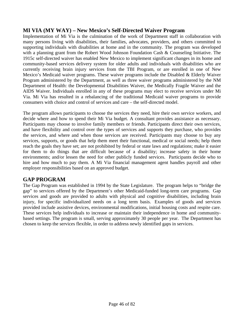### **MI VIA (MY WAY) – New Mexico's Self-Directed Waiver Program**

Implementation of Mi Via is the culmination of the work of Department staff in collaboration with many persons living with disabilities, their families, advocates, providers, and others committed to supporting individuals with disabilities at home and in the community. The program was developed with a planning grant from the Robert Wood Johnson Foundation Cash & Counseling Initiative. The 1915c self-directed waiver has enabled New Mexico to implement significant changes in its home and community-based services delivery system for older adults and individuals with disabilities who are currently receiving brain injury services from the TBI Program, or are enrolled in one of New Mexico's Medicaid waiver programs. These waiver programs include the Disabled  $\&$  Elderly Waiver Program administered by the Department, as well as three waiver programs administered by the NM Department of Health: the Developmental Disabilities Waiver, the Medically Fragile Waiver and the AIDS Waiver. Individuals enrolled in any of these programs may elect to receive services under Mi Via. Mi Via has resulted in a rebalancing of the traditional Medicaid waiver programs to provide consumers with choice and control of services and care – the self-directed model.

The program allows participants to choose the services they need, hire their own service workers, and decide where and how to spend their Mi Via budget. A consultant provides assistance as necessary. Participants may choose to involve family members or friends. Participants direct their own services, and have flexibility and control over the types of services and supports they purchase, who provides the services, and where and when those services are received. Participants may choose to buy any services, supports, or goods that help them meet their functional, medical or social needs; help them reach the goals they have set; are not prohibited by federal or state laws and regulations; make it easier for them to do things that are difficult because of a disability; increase safety in their home environments; and/or lessen the need for other publicly funded services. Participants decide who to hire and how much to pay them. A Mi Via financial management agent handles payroll and other employer responsibilities based on an approved budget.

#### **GAP PROGRAM**

The Gap Program was established in 1994 by the State Legislature. The program helps to "bridge the gap" to services offered by the Department's other Medicaid-funded long-term care programs. Gap services and goods are provided to adults with physical and cognitive disabilities, including brain injury, for specific individualized needs on a long term basis. Examples of goods and services provided include assistive devices, environmental modifications, initial housing costs and respite care. These services help individuals to increase or maintain their independence in home and communitybased settings. The program is small, serving approximately 30 people per year. The Department has chosen to keep the services flexible, in order to address newly identified gaps in services.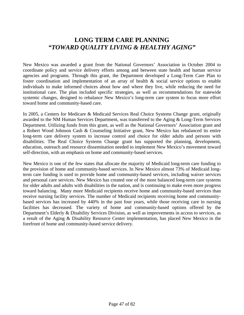## **LONG TERM CARE PLANNING**  *"TOWARD QUALITY LIVING & HEALTHY AGING"*

New Mexico was awarded a grant from the National Governors' Association in October 2004 to coordinate policy and service delivery efforts among and between state health and human service agencies and programs. Through this grant, the Department developed a Long-Term Care Plan to foster coordination and implementation of an array of health & social service options to enable individuals to make informed choices about how and where they live, while reducing the need for institutional care. The plan included specific strategies, as well as recommendations for statewide systemic changes, designed to rebalance New Mexico's long-term care system to focus more effort toward home and community-based care.

In 2005, a Centers for Medicare & Medicaid Services Real Choice Systems Change grant, originally awarded to the NM Human Services Department, was transferred to the Aging & Long-Term Services Department. Utilizing funds from this grant, as well as the National Governors' Association grant and a Robert Wood Johnson Cash & Counseling Initiative grant, New Mexico has rebalanced its entire long-term care delivery system to increase control and choice for older adults and persons with disabilities. The Real Choice Systems Change grant has supported the planning, development, education, outreach and resource dissemination needed to implement New Mexico's movement toward self-direction, with an emphasis on home and community-based services.

New Mexico is one of the few states that allocate the majority of Medicaid long-term care funding to the provision of home and community-based services. In New Mexico almost 73% of Medicaid longterm care funding is used to provide home and community-based services, including waiver services and personal care services. New Mexico has created one of the most balanced long-term care systems for older adults and adults with disabilities in the nation, and is continuing to make even more progress toward balancing. Many more Medicaid recipients receive home and community-based services than receive nursing facility services. The number of Medicaid recipients receiving home and communitybased services has increased by 440% in the past four years, while those receiving care in nursing facilities has decreased. The variety of home and community-based options offered by the Department's Elderly & Disability Services Division, as well as improvements in access to services, as a result of the Aging & Disability Resource Center implementation, has placed New Mexico in the forefront of home and community-based service delivery.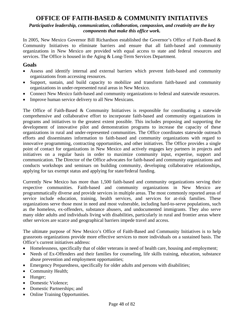## **OFFICE OF FAITH-BASED & COMMUNITY INITIATIVES**

*Participative leadership, communication, collaboration, compassion, and creativity are the key components that make this office work.* 

In 2005, New Mexico Governor Bill Richardson established the Governor's Office of Faith-Based & Community Initiatives to eliminate barriers and ensure that all faith-based and community organizations in New Mexico are provided with equal access to state and federal resources and services. The Office is housed in the Aging & Long-Term Services Department.

#### **Goals**

- Assess and identify internal and external barriers which prevent faith-based and community organizations from accessing resources.
- Support, sustain, and build capacity to mobilize and transform faith-based and community organizations in under-represented rural areas in New Mexico.
- Connect New Mexico faith-based and community organizations to federal and statewide resources.
- Improve human service delivery to all New Mexicans.

The Office of Faith-Based & Community Initiatives is responsible for coordinating a statewide comprehensive and collaborative effort to incorporate faith-based and community organizations in programs and initiatives to the greatest extent possible. This includes proposing and supporting the development of innovative pilot and demonstration programs to increase the capacity of these organizations in rural and under-represented communities. The Office coordinates statewide outreach efforts and disseminates information to faith-based and community organizations with regard to innovative programming, contracting opportunities, and other initiatives. The Office provides a single point of contact for organizations in New Mexico and actively engages key partners in projects and initiatives on a regular basis in order to maximize community input, expertise, support and communication. The Director of the Office advocates for faith-based and community organizations and conducts workshops and seminars on building community, developing collaborative relationships, applying for tax exempt status and applying for state/federal funding.

Currently New Mexico has more than 1,500 faith-based and community organizations serving their respective communities. Faith-based and community organizations in New Mexico are programmatically diverse and provide services in multiple areas. The most commonly reported areas of service include education, training, health services, and services for at-risk families. These organizations serve those most in need and most vulnerable, including hard-to-serve populations, such as the homeless, ex-offenders, substance abusers, and undocumented immigrants. They also serve many older adults and individuals living with disabilities, particularly in rural and frontier areas where other services are scarce and geographical barriers impede travel and access.

The ultimate purpose of New Mexico's Office of Faith-Based and Community Initiatives is to help grassroots organizations provide more effective services to more individuals on a sustained basis. The Office's current initiatives address:

- Homelessness, specifically that of older veterans in need of health care, housing and employment;
- Needs of Ex-Offenders and their families for counseling, life skills training, education, substance abuse prevention and employment opportunities;
- Emergency Preparedness, specifically for older adults and persons with disabilities;
- Community Health;
- Hunger;
- Domestic Violence:
- Domestic Partnerships; and
- Online Training Opportunities.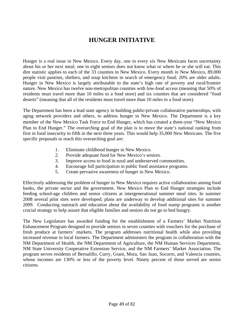## **HUNGER INITIATIVE**

Hunger is a real issue in New Mexico. Every day, one in every six New Mexicans faces uncertainty about his or her next meal; one in eight seniors does not know what or where he or she will eat. This dire statistic applies to each of the 33 counties in New Mexico. Every month in New Mexico, 89,000 people visit pantries, shelters, and soup kitchens in search of emergency food; 20% are older adults. Hunger in New Mexico is largely attributable to the state's high rate of poverty and rural/frontier nature. New Mexico has twelve non-metropolitan counties with low-food access (meaning that 50% of residents must travel more than 10 miles to a food store) and six counties that are considered "food deserts" (meaning that all of the residents must travel more than 10 miles to a food store).

The Department has been a lead state agency in building public/private collaborative partnerships, with aging network providers and others, to address hunger in New Mexico. The Department is a key member of the New Mexico Task Force to End Hunger, which has created a three‐year "New Mexico Plan to End Hunger." The overarching goal of the plan is to move the state's national ranking from first in food insecurity to fifth in the next three years. This would help 35,000 New Mexicans. The five specific proposals to reach this overarching goal are:

- 1. Eliminate childhood hunger in New Mexico.
- 2. Provide adequate food for New Mexico's seniors.
- 3. Improve access to food in rural and underserved communities.
- 4. Encourage full participation in public food assistance programs.
- 5. Create pervasive awareness of hunger in New Mexico.

Effectively addressing the problem of hunger in New Mexico requires active collaboration among food banks, the private sector and the government. New Mexico Plan to End Hunger strategies include feeding school-age children and senior citizens at intergenerational summer meal sites. In summer 2008 several pilot sites were developed; plans are underway to develop additional sites for summer 2009. Conducting outreach and education about the availability of food stamp programs is another crucial strategy to help assure that eligible families and seniors do not go to bed hungry.

The New Legislature has awarded funding for the establishment of a Farmers' Market Nutrition Enhancement Program designed to provide seniors in seven counties with vouchers for the purchase of fresh produce at farmers' markets. The program addresses nutritional health while also providing increased revenue to local farmers. The Department administers the program in collaboration with the NM Department of Health, the NM Department of Agriculture, the NM Human Services Department, NM State University Cooperative Extension Service, and the NM Farmers' Market Association. The program serves residents of Bernalillo, Curry, Grant, Mora, San Juan, Socorro, and Valencia counties, whose incomes are 130% or less of the poverty level. Ninety percent of those served are senior citizens.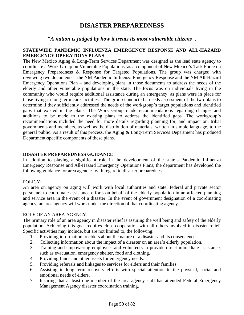## **DISASTER PREPAREDNESS**

#### *"A nation is judged by how it treats its most vulnerable citizens".*

#### **STATEWIDE PANDEMIC INFLUENZA EMERGENCY RESPONSE AND ALL-HAZARD EMERGENCY OPERATIONS PLANS**

The New Mexico Aging & Long-Term Services Department was designed as the lead state agency to coordinate a Work Group on Vulnerable Populations, as a component of New Mexico's Task Force on Emergency Preparedness & Response for Targeted Populations. The group was charged with reviewing two documents – the NM Pandemic Influenza Emergency Response and the NM All-Hazard Emergency Operations Plan – and developing plans in those documents to address the needs of the elderly and other vulnerable populations in the state. The focus was on individuals living in the community who would require additional assistance during an emergency, as plans were in place for those living in long-term care facilities. The group conducted a needs assessment of the two plans to determine if they sufficiently addressed the needs of the workgroup's target populations and identified gaps that existed in the plans. The Work Group made recommendations regarding changes and additions to be made to the existing plans to address the identified gaps. The workgroup's recommendations included the need for more details regarding planning for, and impact on, tribal governments and members, as well as the distribution of materials, written in simple language, to the general public. As a result of this process, the Aging & Long-Term Services Department has produced Department-specific components of these plans.

#### **DISASTER PREPAREDNESS GUIDANCE**

In addition to playing a significant role in the development of the state's Pandemic Influenza Emergency Response and All-Hazard Emergency Operations Plans, the department has developed the following guidance for area agencies with regard to disaster preparedness.

#### POLICY:

An area on agency on aging will work with local authorities and state, federal and private sector personnel to coordinate assistance efforts on behalf of the elderly population in an affected planning and service area in the event of a disaster. In the event of government designation of a coordinating agency, an area agency will work under the direction of that coordinating agency.

#### ROLE OF AN AREA AGENCY:

The primary role of an area agency in disaster relief is assuring the well being and safety of the elderly population. Achieving this goal requires close cooperation with all others involved in disaster relief. Specific activities may include, but are not limited to, the following:

- 1. Providing information to elders about the nature of a disaster and its consequences.
- 2. Collecting information about the impact of a disaster on an area's elderly population.
- 3. Training and empowering employees and volunteers to provide direct immediate assistance, such as evacuation, emergency shelter, food and clothing.
- 4. Providing funds and other assets for emergency needs.
- 5. Providing referrals and linkages to services for elders and their families.
- 6. Assisting in long term recovery efforts with special attention to the physical, social and emotional needs of elders.
- 7. Insuring that at least one member of the area agency staff has attended Federal Emergency Management Agency disaster coordination training.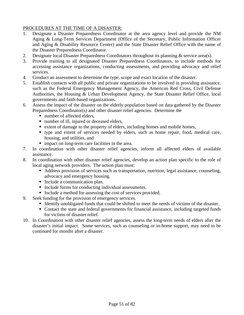#### PROCEDURES AT THE TIME OF A DISASTER:

- 1. Designate a Disaster Preparedness Coordinator at the area agency level and provide the NM Aging & Long-Term Services Department (Office of the Secretary, Public Information Officer and Aging & Disability Resource Center) and the State Disaster Relief Office with the name of the Disaster Preparedness Coordinator.
- 2. Designate local Disaster Preparedness Coordinators throughout its planning & service area(s).
- 3. Provide training to all designated Disaster Preparedness Coordinators, to include methods for accessing assistance organizations, conducting assessments, and providing advocacy and relief services.
- 4. Conduct an assessment to determine the type, scope and exact location of the disaster.
- 5. Establish contacts with all public and private organizations to be involved in providing assistance, such as the Federal Emergency Management Agency, the American Red Cross, Civil Defense Authorities, the Housing & Urban Development Agency, the State Disaster Relief Office, local governments and faith-based organizations.
- 6. Assess the impact of the disaster on the elderly population based on data gathered by the Disaster Preparedness Coordinator(s) and other disaster relief agencies. Determine the
	- number of affected elders.
	- number of ill, injured or deceased elders,
	- extent of damage to the property of elders, including homes and mobile homes,
	- type and extent of services needed by elders, such as home repair, food, medical care, housing, and utilities, and
	- **impact on long-term care facilities in the area.**
- 7. In coordination with other disaster relief agencies, inform all affected elders of available assistance.
- 8. In coordination with other disaster relief agencies, develop an action plan specific to the role of local aging network providers. The action plan must:
	- Address provision of services such as transportation, nutrition, legal assistance, counseling, advocacy and emergency housing.
	- Include a communication plan.
	- Include forms for conducting individual assessments.
	- Include a method for assessing the cost of services provided.
- 9. Seek funding for the provision of emergency services.
	- Identify unobligated funds that could be shifted to meet the needs of victims of the disaster.
	- Contact the state and federal governments for financial assistance, including targeted funds for victims of disaster relief.
- 10. In Coordination with other disaster relief agencies, assess the long-term needs of elders after the disaster's initial impact. Some services, such as counseling or in-home support, may need to be continued for months after a disaster.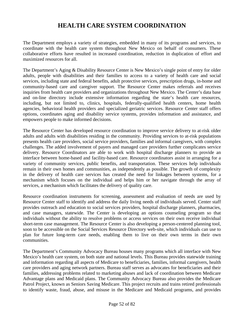## **HEALTH CARE SYSTEM COORDINATION**

The Department employs a variety of strategies, embedded in many of its programs and services, to coordinate with the health care system throughout New Mexico on behalf of consumers. These collaborative efforts have resulted in increased coordination, reduction in duplication of effort and maximized resources for all.

The Department's Aging & Disability Resource Center is New Mexico's single point of entry for older adults, people with disabilities and their families to access to a variety of health care and social services, including state and federal benefits, adult protective services, prescription drugs, in-home and community-based care and caregiver support. The Resource Center makes referrals and receives inquiries from health care providers and organizations throughout New Mexico. The Center's data base and on-line directory include extensive information regarding the state's health care resources, including, but not limited to, clinics, hospitals, federally-qualified health centers, home health agencies, behavioral health providers and specialized geriatric services. Resource Center staff offers options, coordinates aging and disability service systems, provides information and assistance, and empowers people to make informed decisions.

The Resource Center has developed resource coordination to improve service delivery to at-risk older adults and adults with disabilities residing in the community. Providing services to at-risk populations presents health care providers, social service providers, families and informal caregivers, with complex challenges. The added involvement of payers and managed care providers further complicates service delivery. Resource Coordinators are able to work with hospital discharge planners to provide an interface between home-based and facility-based care. Resource coordinators assist in arranging for a variety of community services, public benefits, and transportation. These services help individuals remain in their own homes and communities, as independently as possible. The growth of complexity in the delivery of health care services has created the need for linkages between systems, for a mechanism which focuses on the individual and helps him or her navigate through the array of services, a mechanism which facilitates the delivery of quality care.

Resource coordination instruments for screening, assessment and evaluation of needs are used by Resource Center staff to identify and address the daily living needs of individuals served. Center staff provides outreach and education to social services providers, hospital discharge planners, pharmacies, and case managers, statewide. The Center is developing an options counseling program so that individuals without the ability to resolve problems or access services on their own receive individual short-term case management. The Resource Center is also developing a person-centered planning tool, soon to be accessible on the Social Services Resource Directory web-site, which individuals can use to plan for future long-term care needs, enabling them to live on their own terms in their own communities.

The Department's Community Advocacy Bureau houses many programs which all interface with New Mexico's health care system, on both state and national levels. This Bureau provides statewide training and information regarding all aspects of Medicare to beneficiaries, families, informal caregivers, health care providers and aging network partners. Bureau staff serves as advocates for beneficiaries and their families, addressing problems related to marketing abuses and lack of coordination between Medicare Advantage plans and Medicaid plans. The Community Advocacy Bureau also provides the Medicare Patrol Project, known as Seniors Saving Medicare. This project recruits and trains retired professionals to identify waste, fraud, abuse, and misuse in the Medicare and Medicaid programs, and provides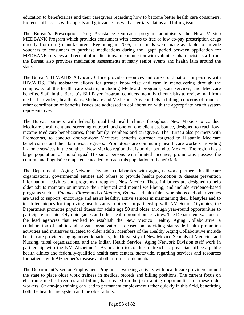education to beneficiaries and their caregivers regarding how to become better health care consumers. Project staff assists with appeals and grievances as well as tertiary claims and billing issues.

The Bureau's Prescription Drug Assistance Outreach program administers the New Mexico MEDBANK Program which provides consumers with access to free or low co-pay prescription drugs directly from drug manufacturers. Beginning in 2005, state funds were made available to provide vouchers to consumers to purchase medications during the "gap" period between application for MEDBANK services and receipt of medications. In conjunction with volunteer pharmacists, staff from the Bureau also provides medication assessments at many senior events and health fairs around the state.

The Bureau's HIV/AIDS Advocacy Office provides resources and care coordination for persons with HIV/AIDS. This assistance allows for greater knowledge and ease in maneuvering through the complexity of the health care system, including Medicaid programs, state services, and Medicare benefits. Staff in the Bureau's Bill Payer Program conducts monthly client visits to review mail from medical providers, health plans, Medicare and Medicaid. Any conflicts in billing, concerns of fraud, or other coordination of benefits issues are addressed in collaboration with the appropriate health system representatives.

The Bureau partners with federally qualified health clinics throughout New Mexico to conduct Medicare enrollment and screening outreach and one-on-one client assistance, designed to reach lowincome Medicare beneficiaries, their family members and caregivers. The Bureau also partners with Promotoras, to conduct door-to-door Medicare benefits outreach targeted to Hispanic Medicare beneficiaries and their families/caregivers. Promotoras are community health care workers providing in-home services in the southern New Mexico region that is border bound to Mexico. The region has a large population of monolingual Hispanic persons with limited incomes; promotoras possess the cultural and linguistic competence needed to reach this population of beneficiaries.

The Department's Aging Network Division collaborates with aging network partners, health care organizations, governmental entities and others to provide health promotion  $\&$  disease prevention information, activities and programs throughout New Mexico. These initiatives are designed to help older adults maintain or improve their physical and mental well-being, and include evidence-based programs such as *Enhance Fitness* and *A Matter of Balance*. Health fairs, workshops and other venues are used to support, encourage and assist healthy, active seniors in maintaining their lifestyles and to teach techniques for improving health status to others. In partnership with NM Senior Olympics, the Department promotes physical fitness for adults age 50 and older, through year-round opportunities to participate in senior Olympic games and other health promotion activities. The Department was one of the lead agencies that worked to establish the New Mexico Healthy Aging Collaborative, a collaboration of public and private organizations focused on providing statewide health promotion activities and initiatives targeted to older adults. Members of the Healthy Aging Collaborative include health care providers, aging network partners, the University of New Mexico Schools of Medicine and Nursing, tribal organizations, and the Indian Health Service. Aging Network Division staff work in partnership with the NM Alzheimer's Association to conduct outreach to physician offices, public health clinics and federally-qualified health care centers, statewide, regarding services and resources for patients with Alzheimer's disease and other forms of dementia.

The Department's Senior Employment Program is working actively with health care providers around the state to place older work trainees in medical records and billing positions. The current focus on electronic medical records and billing has created on-the-job training opportunities for these older workers. On-the-job training can lead to permanent employment rather quickly in this field, benefitting both the health care system and the older adults.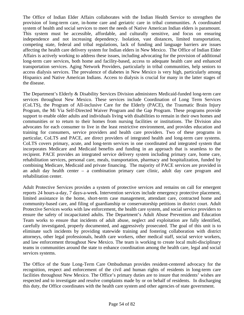The Office of Indian Elder Affairs collaborates with the Indian Health Service to strengthen the provision of long-term care, in-home care and geriatric care in tribal communities. A coordinated system of health and social services to meet the needs of Native American Indian elders is paramount. This system must be accessible, affordable, and culturally sensitive, and focus on ensuring independence and not increasing dependency. Isolation, vast distances, limited transportation, competing state, federal and tribal regulations, lack of funding and language barriers are issues affecting the health care delivery system for Indian elders in New Mexico. The Office of Indian Elder Affairs is actively working to address these issues, including advocating for the provision of additional long-term care services, both home and facility-based, access to adequate health care and enhanced transportation services. Aging Network Providers, particularly in tribal communities, help seniors to access dialysis services. The prevalence of diabetes in New Mexico is very high, particularly among Hispanics and Native American Indians. Access to dialysis is crucial for many in the latter stages of the disease.

The Department's Elderly & Disability Services Division administers Medicaid-funded long-term care services throughout New Mexico. These services include Coordination of Long Term Services (CoLTS), the Program of All-inclusive Care for the Elderly (PACE), the Traumatic Brain Injury Program, the Mi Via Self-Directed Waiver Program and the Gap Program. These programs provide support to enable older adults and individuals living with disabilities to remain in their own homes and communities or to return to their homes from nursing facilities or institutions. The Division also advocates for each consumer to live in the least restrictive environment, and provides education and training for consumers, service providers and health care providers. Two of these programs in particular, CoLTS and PACE, are direct providers of integrated health and long-term care systems. CoLTS covers primary, acute, and long-term services in one coordinated and integrated system that incorporates Medicare and Medicaid benefits and funding in an approach that is seamless to the recipient. PACE provides an integrated service delivery system including primary care, home care, rehabilitation services, personal care, meals, transportation, pharmacy and hospitalization, funded by combining Medicare, Medicaid and private financing. The majority of PACE services are provided in an adult day health center – a combination primary care clinic, adult day care program and rehabilitation center.

Adult Protective Services provides a system of protective services and remains on call for emergent reports 24 hours-a-day, 7 days-a-week. Intervention services include emergency protective placement, limited assistance in the home, short-term case management, attendant care, contracted home and community-based care, and filing of guardianship or conservatorship petitions in district court. Adult Protective Services works with law enforcement, the health care system, and social service providers to ensure the safety of incapacitated adults. The Department's Adult Abuse Prevention and Education Team works to ensure that incidents of adult abuse, neglect and exploitation are fully identified, carefully investigated, properly documented, and aggressively prosecuted. The goal of this unit is to eliminate such incidents by providing statewide training and fostering collaboration with district attorneys, other legal professionals, health care workers, other medical staff, social service workers, and law enforcement throughout New Mexico. The team is working to create local multi-disciplinary teams in communities around the state to enhance coordination among the health care, legal and social services systems.

The Office of the State Long-Term Care Ombudsman provides resident-centered advocacy for the recognition, respect and enforcement of the civil and human rights of residents in long-term care facilities throughout New Mexico. The Office's primary duties are to insure that residents' wishes are respected and to investigate and resolve complaints made by or on behalf of residents. In discharging this duty, the Office coordinates with the health care system and other agencies of state government.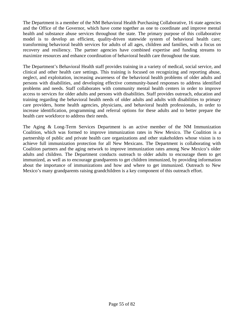The Department is a member of the NM Behavioral Health Purchasing Collaborative, 16 state agencies and the Office of the Governor, which have come together as one to coordinate and improve mental health and substance abuse services throughout the state. The primary purpose of this collaborative model is to develop an efficient, quality-driven statewide system of behavioral health care; transforming behavioral health services for adults of all ages, children and families, with a focus on recovery and resiliency. The partner agencies have combined expertise and funding streams to maximize resources and enhance coordination of behavioral health care throughout the state.

The Department's Behavioral Health staff provides training in a variety of medical, social service, and clinical and other health care settings. This training is focused on recognizing and reporting abuse, neglect, and exploitation, increasing awareness of the behavioral health problems of older adults and persons with disabilities, and developing effective community-based responses to address identified problems and needs. Staff collaborates with community mental health centers in order to improve access to services for older adults and persons with disabilities. Staff provides outreach, education and training regarding the behavioral health needs of older adults and adults with disabilities to primary care providers, home health agencies, physicians, and behavioral health professionals, in order to increase identification, programming and referral options for these adults and to better prepare the health care workforce to address their needs.

The Aging & Long-Term Services Department is an active member of the NM Immunization Coalition, which was formed to improve immunization rates in New Mexico. The Coalition is a partnership of public and private health care organizations and other stakeholders whose vision is to achieve full immunization protection for all New Mexicans. The Department is collaborating with Coalition partners and the aging network to improve immunization rates among New Mexico's older adults and children. The Department conducts outreach to older adults to encourage them to get immunized, as well as to encourage grandparents to get children immunized, by providing information about the importance of immunizations and how and where to get immunized. Outreach to New Mexico's many grandparents raising grandchildren is a key component of this outreach effort.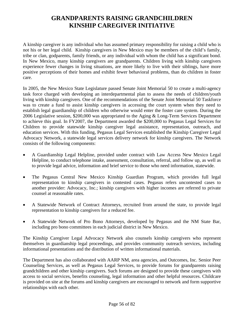## **GRANDPARENTS RAISING GRANDCHILDREN KINSHIP CAREGIVER INITIATIVE**

A kinship caregiver is any individual who has assumed primary responsibility for raising a child who is not his or her legal child. Kinship caregivers in New Mexico may be members of the child's family, tribe or clan, godparents, family friends, or any individual with whom the child has a significant bond. In New Mexico, many kinship caregivers are grandparents. Children living with kinship caregivers experience fewer changes in living situations, are more likely to live with their siblings, have more positive perceptions of their homes and exhibit fewer behavioral problems, than do children in foster care.

In 2005, the New Mexico State Legislature passed Senate Joint Memorial 50 to create a multi-agency task force charged with developing an interdepartmental plan to assess the needs of children/youth living with kinship caregivers. One of the recommendations of the Senate Joint Memorial 50 Taskforce was to create a fund to assist kinship caregivers in accessing the court system when they need to establish legal guardianship of children who otherwise would enter the foster care system. During the 2006 Legislative session, \$200,000 was appropriated to the Aging & Long-Term Services Department to achieve this goal. In FY2007, the Department awarded the \$200,000 to Pegasus Legal Services for Children to provide statewide kinship caregiver legal assistance, representation, outreach, and education services. With this funding, Pegasus Legal Services established the Kinship Caregiver Legal Advocacy Network, a statewide legal services delivery network for kinship caregivers. The Network consists of the following components:

- A Guardianship Legal Helpline, provided under contract with Law Access New Mexico Legal Helpline, to conduct telephone intake, assessment, consultation, referral, and follow up, as well as to provide legal advice, information and brief service to those who need information, statewide.
- The Pegasus Central New Mexico Kinship Guardian Program, which provides full legal representation to kinship caregivers in contested cases. Pegasus refers uncontested cases to another provider: Advocacy, Inc.; kinship caregivers with higher incomes are referred to private counsel at reasonable rates.
- A Statewide Network of Contract Attorneys, recruited from around the state, to provide legal representation to kinship caregivers for a reduced fee.
- A Statewide Network of Pro Bono Attorneys, developed by Pegasus and the NM State Bar, including pro bono committees in each judicial district in New Mexico.

The Kinship Caregiver Legal Advocacy Network also counsels kinship caregivers who represent themselves in guardianship legal proceedings, and provides community outreach services, including informational presentations and the distribution of written informational materials.

The Department has also collaborated with AARP NM, area agencies, and Outcomes, Inc. Senior Peer Counseling Services, as well as Pegasus Legal Services, to provide forums for grandparents raising grandchildren and other kinship caregivers. Such forums are designed to provide these caregivers with access to social services, benefits counseling, legal information and other helpful resources. Childcare is provided on site at the forums and kinship caregivers are encouraged to network and form supportive relationships with each other.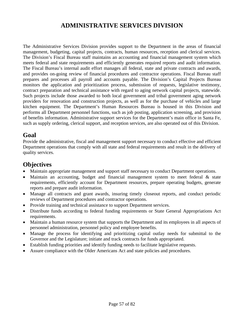## **ADMINISTRATIVE SERVICES DIVISION**

The Administrative Services Division provides support to the Department in the areas of financial management, budgeting, capital projects, contracts, human resources, reception and clerical services. The Division's Fiscal Bureau staff maintains an accounting and financial management system which meets federal and state requirements and efficiently generates required reports and audit information. The Fiscal Bureau's internal audit effort manages all federal, state and private contracts and awards, and provides on-going review of financial procedures and contractor operations. Fiscal Bureau staff prepares and processes all payroll and accounts payable. The Division's Capital Projects Bureau monitors the application and prioritization process, submission of requests, legislative testimony, contract preparation and technical assistance with regard to aging network capital projects, statewide. Such projects include those awarded to both local government and tribal government aging network providers for renovation and construction projects, as well as for the purchase of vehicles and large kitchen equipment. The Department's Human Resources Bureau is housed in this Division and performs all Department personnel functions, such as job posting, application screening, and provision of benefits information. Administrative support services for the Department's main office in Santa Fe, such as supply ordering, clerical support, and reception services, are also operated out of this Division.

## **Goal**

Provide the administrative, fiscal and management support necessary to conduct effective and efficient Department operations that comply with all state and federal requirements and result in the delivery of quality services.

## **Objectives**

- Maintain appropriate management and support staff necessary to conduct Department operations.
- Maintain an accounting, budget and financial management system to meet federal & state requirements, efficiently account for Department resources, prepare operating budgets, generate reports and prepare audit information.
- Manage all contracts and grant awards, insuring timely closeout reports, and conduct periodic reviews of Department procedures and contractor operations.
- Provide training and technical assistance to support Department services.
- Distribute funds according to federal funding requirements or State General Appropriations Act requirements.
- Maintain a human resource system that supports the Department and its employees in all aspects of personnel administration, personnel policy and employee benefits.
- Manage the process for identifying and prioritizing capital outlay needs for submittal to the Governor and the Legislature; initiate and track contracts for funds appropriated.
- Establish funding priorities and identify funding needs to facilitate legislative requests.
- Assure compliance with the Older Americans Act and state policies and procedures.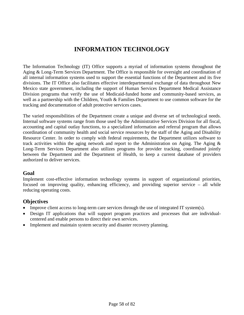## **INFORMATION TECHNOLOGY**

The Information Technology (IT) Office supports a myriad of information systems throughout the Aging & Long-Term Services Department. The Office is responsible for oversight and coordination of all internal information systems used to support the essential functions of the Department and its five divisions. The IT Office also facilitates effective interdepartmental exchange of data throughout New Mexico state government, including the support of Human Services Department Medical Assistance Division programs that verify the use of Medicaid-funded home and community-based services, as well as a partnership with the Children, Youth & Families Department to use common software for the tracking and documentation of adult protective services cases.

The varied responsibilities of the Department create a unique and diverse set of technological needs. Internal software systems range from those used by the Administrative Services Division for all fiscal, accounting and capital outlay functions, to a specialized information and referral program that allows coordination of community health and social service resources by the staff of the Aging and Disability Resource Center. In order to comply with federal requirements, the Department utilizes software to track activities within the aging network and report to the Administration on Aging. The Aging & Long-Term Services Department also utilizes programs for provider tracking, coordinated jointly between the Department and the Department of Health, to keep a current database of providers authorized to deliver services.

#### **Goal**

Implement cost-effective information technology systems in support of organizational priorities, focused on improving quality, enhancing efficiency, and providing superior service – all while reducing operating costs.

### **Objectives**

- Improve client access to long-term care services through the use of integrated IT system(s).
- Design IT applications that will support program practices and processes that are individualcentered and enable persons to direct their own services.
- Implement and maintain system security and disaster recovery planning.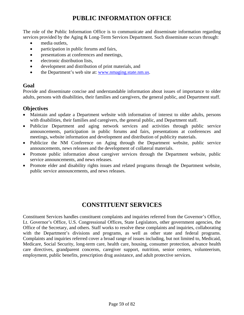# **PUBLIC INFORMATION OFFICE**

The role of the Public Information Office is to communicate and disseminate information regarding services provided by the Aging & Long-Term Services Department. Such disseminate occurs through:

- media outlets,
- participation in public forums and fairs,
- presentations at conferences and meetings,
- electronic distribution lists,
- development and distribution of print materials, and
- the Department's web site at: www.nmaging.state.nm.us.

### **Goal**

Provide and disseminate concise and understandable information about issues of importance to older adults, persons with disabilities, their families and caregivers, the general public, and Department staff.

### **Objectives**

- Maintain and update a Department website with information of interest to older adults, persons with disabilities, their families and caregivers, the general public, and Department staff.
- Publicize Department and aging network services and activities through public service announcements, participation in public forums and fairs, presentations at conferences and meetings, website information and development and distribution of publicity materials.
- Publicize the NM Conference on Aging through the Department website, public service announcements, news releases and the development of collateral materials.
- Promote public information about caregiver services through the Department website, public service announcements, and news releases.
- Promote elder and disability rights issues and related programs through the Department website, public service announcements, and news releases.

## **CONSTITUENT SERVICES**

Constituent Services handles constituent complaints and inquiries referred from the Governor's Office, Lt. Governor's Office, U.S. Congressional Offices, State Legislators, other government agencies, the Office of the Secretary, and others. Staff works to resolve these complaints and inquiries, collaborating with the Department's divisions and programs, as well as other state and federal programs. Complaints and inquiries referred cover a broad range of issues including, but not limited to, Medicaid, Medicare, Social Security, long-term care, health care, housing, consumer protection, advance health care directives, grandparent concerns, caregiver support, nutrition, senior centers, volunteerism, employment, public benefits, prescription drug assistance, and adult protective services.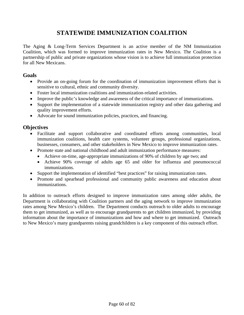## **STATEWIDE IMMUNIZATION COALITION**

The Aging & Long-Term Services Department is an active member of the NM Immunization Coalition, which was formed to improve immunization rates in New Mexico. The Coalition is a partnership of public and private organizations whose vision is to achieve full immunization protection for all New Mexicans.

#### **Goals**

- Provide an on-going forum for the coordination of immunization improvement efforts that is sensitive to cultural, ethnic and community diversity.
- Foster local immunization coalitions and immunization-related activities.
- Improve the public's knowledge and awareness of the critical importance of immunizations.
- Support the implementation of a statewide immunization registry and other data gathering and quality improvement efforts.
- Advocate for sound immunization policies, practices, and financing.

## **Objectives**

- Facilitate and support collaborative and coordinated efforts among communities, local immunization coalitions, health care systems, volunteer groups, professional organizations, businesses, consumers, and other stakeholders in New Mexico to improve immunization rates.
- Promote state and national childhood and adult immunization performance measures:
	- Achieve on-time, age-appropriate immunizations of 90% of children by age two; and
	- Achieve 90% coverage of adults age 65 and older for influenza and pneumococcal immunizations.
- Support the implementation of identified "best practices" for raising immunization rates.
- Promote and spearhead professional and community public awareness and education about immunizations.

In addition to outreach efforts designed to improve immunization rates among older adults, the Department is collaborating with Coalition partners and the aging network to improve immunization rates among New Mexico's children. The Department conducts outreach to older adults to encourage them to get immunized, as well as to encourage grandparents to get children immunized, by providing information about the importance of immunizations and how and where to get immunized. Outreach to New Mexico's many grandparents raising grandchildren is a key component of this outreach effort.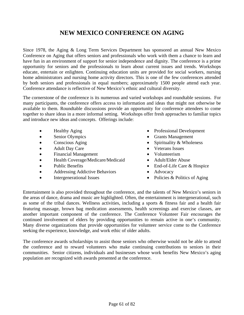## **NEW MEXICO CONFERENCE ON AGING**

Since 1978, the Aging & Long Term Services Department has sponsored an annual New Mexico Conference on Aging that offers seniors and professionals who work with them a chance to learn and have fun in an environment of support for senior independence and dignity. The conference is a prime opportunity for seniors and the professionals to learn about current issues and trends. Workshops educate, entertain or enlighten. Continuing education units are provided for social workers, nursing home administrators and nursing home activity directors. This is one of the few conferences attended by both seniors and professionals in equal numbers; approximately 1500 people attend each year. Conference attendance is reflective of New Mexico's ethnic and cultural diversity.

The cornerstone of the conference is its numerous and varied workshops and roundtable sessions. For many participants, the conference offers access to information and ideas that might not otherwise be available to them. Roundtable discussions provide an opportunity for conference attendees to come together to share ideas in a more informal setting. Workshops offer fresh approaches to familiar topics and introduce new ideas and concepts. Offerings include:

- Healthy Aging
- Senior Olympics
- Conscious Aging
- **Adult Day Care**
- Financial Management
- Health Coverage/Medicare/Medicaid
- Public Benefits
- Addressing Addictive Behaviors
- Intergenerational Issues
- Professional Development
- Grants Management
- Spirituality & Wholeness
- Veterans Issues
- Volunteerism
- Adult/Elder Abuse
- End-of-Life Care & Hospice
- Advocacy
- Policies & Politics of Aging

Entertainment is also provided throughout the conference, and the talents of New Mexico's seniors in the areas of dance, drama and music are highlighted. Often, the entertainment is intergenerational, such as some of the tribal dances. Wellness activities, including a sports & fitness fair and a health fair featuring massage, brown bag medication assessments, health screenings and exercise classes, are another important component of the conference. The Conference Volunteer Fair encourages the continued involvement of elders by providing opportunities to remain active in one's community. Many diverse organizations that provide opportunities for volunteer service come to the Conference seeking the experience, knowledge, and work ethic of older adults.

The conference awards scholarships to assist those seniors who otherwise would not be able to attend the conference and to reward volunteers who make continuing contributions to seniors in their communities. Senior citizens, individuals and businesses whose work benefits New Mexico's aging population are recognized with awards presented at the conference.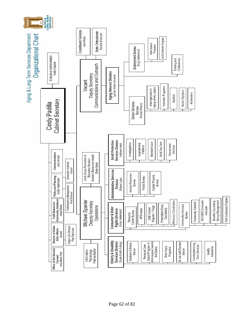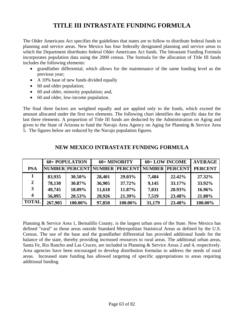## **TITLE III INTRASTATE FUNDING FORMULA**

The Older Americans Act specifies the guidelines that states are to follow to distribute federal funds to planning and service areas. New Mexico has four federally designated planning and service areas to which the Department distributes federal Older Americans Act funds. The Intrastate Funding Formula incorporates population data using the 2000 census. The formula for the allocation of Title III funds includes the following elements:

- grandfather differential, which allows for the maintenance of the same funding level as the previous year;
- A 10% base of new funds divided equally
- 60 and older population;
- 60 and older, minority population; and,
- 60 and older, low-income population.

The final three factors are weighted equally and are applied only to the funds, which exceed the amount allocated under the first two elements. The following chart identifies the specific data for the last three elements. A proportion of Title III funds are deducted by the Administration on Aging and given to the State of Arizona to fund the Navajo Area Agency on Aging for Planning & Service Area 5. The figures below are reduced by the Navajo population figures.

|              | 60+ POPULATION |         | 60+ MINORITY |                               | 60+ LOW INCOME |                | <b>AVERAGE</b> |
|--------------|----------------|---------|--------------|-------------------------------|----------------|----------------|----------------|
| <b>PSA</b>   |                |         |              | NUMBER PERCENT NUMBER PERCENT | <b>NUMBER</b>  | <b>PERCENT</b> | <b>PERCENT</b> |
|              | 83,935         | 30.50%  | 28,401       | 29.03%                        | 7,484          | 22.42%         | 27.32%         |
| $\mathbf{2}$ | 78,130         | 30.87%  | 36,905       | 37.72%                        | 9,145          | 33.17%         | 33.92%         |
|              | 49,745         | 18.09%  | 11,618       | 11.87%                        | 7,031          | 20.93%         | 16.96%         |
| 4            | 56,095         | 20.53%  | 20,926       | 21.39%                        | 7,519          | 23.48%         | 21.80%         |
| <b>TOTAL</b> | 267,905        | 100.00% | 97,850       | 100.00%                       | 31,179         | 23.48%         | 100.00%        |

### **NEW MEXICO INTRASTATE FUNDING FORMULA**

Planning & Service Area 1, Bernalillo County, is the largest urban area of the State. New Mexico has defined "rural" as those areas outside Standard Metropolitan Statistical Areas as defined by the U.S. Census. The use of the base and the grandfather differential has provided additional funds for the balance of the state, thereby providing increased resources to rural areas. The additional urban areas, Santa Fe, Rio Rancho and Las Cruces, are included in Planning & Service Areas 2 and 4, respectively. Area agencies have been encouraged to develop distribution formulas to address the needs of rural areas. Increased state funding has allowed targeting of specific appropriations to areas requiring additional funding.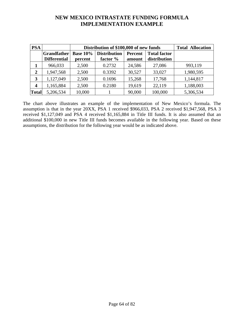## **NEW MEXICO INTRASTATE FUNDING FORMULA IMPLEMENTATION EXAMPLE**

| <b>PSA</b>   |                     | Distribution of \$100,000 of new funds | <b>Total Allocation</b> |                |                     |           |
|--------------|---------------------|----------------------------------------|-------------------------|----------------|---------------------|-----------|
|              | <b>Grandfather</b>  | <b>Base 10%</b>                        | <b>Distribution</b>     | <b>Percent</b> | <b>Total factor</b> |           |
|              | <b>Differential</b> | percent                                | factor %                | amount         | distribution        |           |
|              | 966,033             | 2,500                                  | 0.2732                  | 24,586         | 27,086              | 993,119   |
| 2            | 1,947,568           | 2,500                                  | 0.3392                  | 30,527         | 33,027              | 1,980,595 |
| 3            | 1,127,049           | 2,500                                  | 0.1696                  | 15,268         | 17,768              | 1,144,817 |
| 4            | 1,165,884           | 2,500                                  | 0.2180                  | 19,619         | 22,119              | 1,188,003 |
| <b>Total</b> | 5,206,534           | 10,000                                 |                         | 90,000         | 100,000             | 5,306,534 |

The chart above illustrates an example of the implementation of New Mexico's formula. The assumption is that in the year 20XX, PSA 1 received \$966,033, PSA 2 received \$1,947,568, PSA 3 received \$1,127,049 and PSA 4 received \$1,165,884 in Title III funds. It is also assumed that an additional \$100,000 in new Title III funds becomes available in the following year. Based on these assumptions, the distribution for the following year would be as indicated above.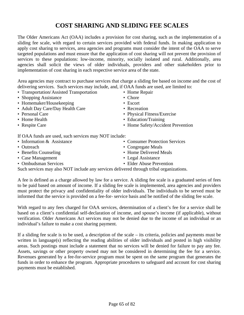# **COST SHARING AND SLIDING FEE SCALES**

The Older Americans Act (OAA) includes a provision for cost sharing, such as the implementation of a sliding fee scale, with regard to certain services provided with federal funds. In making application to apply cost sharing to services, area agencies and programs must consider the intent of the OAA to serve targeted populations and must ensure that the application of cost sharing will not prevent the provision of services to these populations: low-income, minority, socially isolated and rural. Additionally, area agencies shall solicit the views of older individuals, providers and other stakeholders prior to implementation of cost sharing in each respective service area of the state.

Area agencies may contract to purchase services that charge a sliding fee based on income and the cost of delivering services. Such services may include, and, if OAA funds are used, are limited to:

- Transportation/Assisted Transportation Home Repair
- Shopping Assistance Chore
- Homemaker/Housekeeping Escort
- Adult Day Care/Day Health Care Recreation
- 
- 
- 

- 
- Personal Care Physical Fitness/Exercise
- Home Health Education/Training
- Respite Care Home Safety/Accident Prevention

If OAA funds are used, such services may NOT include:

- 
- 
- 
- Case Management Legal Assistance
- 
- Information & Assistance Consumer Protection Services
- Outreach Congregate Meals
- Benefits Counseling Home Delivered Meals
	-
- Ombudsman Services Club Elder Abuse Prevention

Such services may also NOT include any services delivered through tribal organizations.

A fee is defined as a charge allowed by law for a service. A sliding fee scale is a graduated series of fees to be paid based on amount of income. If a sliding fee scale is implemented, area agencies and providers must protect the privacy and confidentiality of older individuals. The individuals to be served must be informed that the service is provided on a fee-for- service basis and be notified of the sliding fee scale.

With regard to any fees charged for OAA services, determination of a client's fee for a service shall be based on a client's confidential self-declaration of income, and spouse's income (if applicable), without verification. Older Americans Act services may not be denied due to the income of an individual or an individual's failure to make a cost sharing payment.

If a sliding fee scale is to be used, a description of the scale – its criteria, policies and payments must be written in language(s) reflecting the reading abilities of older individuals and posted in high visibility areas. Such postings must include a statement that no services will be denied for failure to pay any fee. Assets, savings or other property owned may not be considered in determining the fee for a service. Revenues generated by a fee-for-service program must be spent on the same program that generates the funds in order to enhance the program. Appropriate procedures to safeguard and account for cost sharing payments must be established.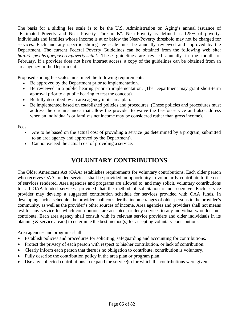The basis for a sliding fee scale is to be the U.S. Administration on Aging's annual issuance of "Estimated Poverty and Near Poverty Thresholds". Near-Poverty is defined as 125% of poverty. Individuals and families whose income is at or below the Near-Poverty threshold may not be charged for services. Each and any specific sliding fee scale must be annually reviewed and approved by the Department. The current Federal Poverty Guidelines can be obtained from the following web site: *http://aspe.hhs.gov/poverty/poverty.shtml*. These guidelines are revised annually in the month of February. If a provider does not have Internet access, a copy of the guidelines can be obtained from an area agency or the Department.

Proposed sliding fee scales must meet the following requirements:

- Be approved by the Department prior to implementation.
- Be reviewed in a public hearing prior to implementation. (The Department may grant short-term approval prior to a public hearing to test the concept).
- Be fully described by an area agency in its area plan.
- Be implemented based on established policies and procedures. (These policies and procedures must address the circumstances that allow the provider to waive the fee-for-service and also address when an individual's or family's net income may be considered rather than gross income).

Fees:

- Are to be based on the actual cost of providing a service (as determined by a program, submitted to an area agency and approved by the Department).
- Cannot exceed the actual cost of providing a service.

## **VOLUNTARY CONTRIBUTIONS**

The Older Americans Act (OAA) establishes requirements for voluntary contributions. Each older person who receives OAA-funded services shall be provided an opportunity to voluntarily contribute to the cost of services rendered. Area agencies and programs are allowed to, and may solicit, voluntary contributions for all OAA-funded services, provided that the method of solicitation is non-coercive. Each service provider may develop a suggested contribution schedule for services provided with OAA funds. In developing such a schedule, the provider shall consider the income ranges of older persons in the provider's community, as well as the provider's other sources of income. Area agencies and providers shall not means test for any service for which contributions are accepted, or deny services to any individual who does not contribute. Each area agency shall consult with its relevant service providers and older individuals in its planning  $\&$  service area(s) to determine the best method(s) for accepting voluntary contributions.

Area agencies and programs shall:

- Establish policies and procedures for soliciting, safeguarding and accounting for contributions.
- Protect the privacy of each person with respect to his/her contribution, or lack of contribution.
- Clearly inform each person that there is no obligation to contribute, contribution is voluntary.
- Fully describe the contribution policy in the area plan or program plan.
- Use any collected contributions to expand the service(s) for which the contributions were given.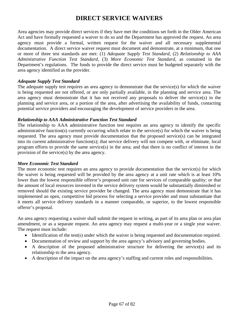## **DIRECT SERVICE WAIVERS**

Area agencies may provide direct services if they have met the conditions set forth in the Older American Act and have formally requested a waiver to do so and the Department has approved the request. An area agency must provide a formal, written request for the waiver and all necessary supplemental documentation. A direct service waiver request must document and demonstrate, at a minimum, that one or more of three test standards are met: (1) *Adequate Supply Test Standard*, (2) *Relationship to AAA Administrative Function Test Standard*, (3) *More Economic Test Standard*, as contained in the Department's regulations. The funds to provide the direct service must be budgeted separately with the area agency identified as the provider.

#### *Adequate Supply Test Standard*

The adequate supply test requires an area agency to demonstrate that the service(s) for which the waiver is being requested are not offered, or are only partially available, in the planning and service area. The area agency must demonstrate that it has not received any proposals to deliver the service(s) in the planning and service area, or a portion of the area, after advertising the availability of funds, contacting potential service providers and encouraging the development of service providers in the area.

#### *Relationship to AAA Administrative Function Test Standard*

The relationship to AAA administrative function test requires an area agency to identify the specific administrative function(s) currently occurring which relate to the service(s) for which the waiver is being requested. The area agency must provide documentation that the proposed service(s) can be integrated into its current administrative function(s); that service delivery will not compete with, or eliminate, local program efforts to provide the same service(s) in the area; and that there is no conflict of interest in the provision of the service(s) by the area agency.

#### *More Economic Test Standard*

The more economic test requires an area agency to provide documentation that the service(s) for which the waiver is being requested will be provided by the area agency at a unit rate which is at least 10% lower than the lowest responsible offeror's proposed unit rate for services of comparable quality; or that the amount of local resources invested in the service delivery system would be substantially diminished or removed should the existing service provider be changed. The area agency must demonstrate that it has implemented an open, competitive bid process for selecting a service provider and must substantiate that it meets all service delivery standards in a manner comparable, or superior, to the lowest responsible offeror's proposal.

An area agency requesting a waiver shall submit the request in writing, as part of its area plan or area plan amendment, or as a separate request. An area agency may request a multi-year or a single year waiver. The request must include:

- Identification of the test(s) under which the waiver is being requested and documentation required.
- Documentation of review and support by the area agency's advisory and governing bodies.
- A description of the proposed administrative structure for delivering the service(s) and its relationship to the area agency.
- A description of the impact on the area agency's staffing and current roles and responsibilities.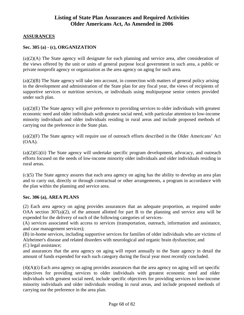### **Listing of State Plan Assurances and Required Activities Older Americans Act, As Amended in 2006**

#### **ASSURANCES**

#### **Sec. 305 (a) - (c), ORGANIZATION**

(a)(2)(A) The State agency will designate for each planning and service area, after consideration of the views offered by the unit or units of general purpose local government in such area, a public or private nonprofit agency or organization as the area agency on aging for such area.

 $(a)(2)(B)$  The State agency will take into account, in connection with matters of general policy arising in the development and administration of the State plan for any fiscal year, the views of recipients of supportive services or nutrition services, or individuals using multipurpose senior centers provided under such plan.

(a)(2)(E) The State agency will give preference to providing services to older individuals with greatest economic need and older individuals with greatest social need, with particular attention to low-income minority individuals and older individuals residing in rural areas and include proposed methods of carrying out the preference in the State plan.

(a)(2)(F) The State agency will require use of outreach efforts described in the Older Americans' Act (OAA).

 $(a)(2)(G)(ii)$  The State agency will undertake specific program development, advocacy, and outreach efforts focused on the needs of low-income minority older individuals and older individuals residing in rural areas.

(c)(5) The State agency assures that each area agency on aging has the ability to develop an area plan and to carry out, directly or through contractual or other arrangements, a program in accordance with the plan within the planning and service area.

#### **Sec. 306 (a), AREA PLANS**

(2) Each area agency on aging provides assurances that an adequate proportion, as required under OAA section 307(a)(2), of the amount allotted for part B to the planning and service area will be expended for the delivery of each of the following categories of services-

(A) services associated with access to services (transportation, outreach, information and assistance, and case management services);

(B) in-home services, including supportive services for families of older individuals who are victims of Alzheimer's disease and related disorders with neurological and organic brain dysfunction; and

(C) legal assistance;

and assurances that the area agency on aging will report annually to the State agency in detail the amount of funds expended for each such category during the fiscal year most recently concluded.

 $(4)(A)(i)$  Each area agency on aging provides assurances that the area agency on aging will set specific objectives for providing services to older individuals with greatest economic need and older individuals with greatest social need, include specific objectives for providing services to low-income minority individuals and older individuals residing in rural areas, and include proposed methods of carrying out the preference in the area plan.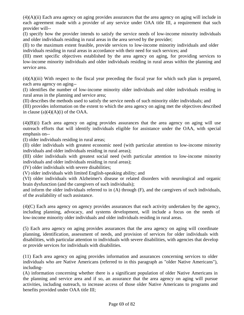$(4)(A)(ii)$  Each area agency on aging provides assurances that the area agency on aging will include in each agreement made with a provider of any service under OAA title III, a requirement that such provider will--

(I) specify how the provider intends to satisfy the service needs of low-income minority individuals and older individuals residing in rural areas in the area served by the provider;

(II) to the maximum extent feasible, provide services to low-income minority individuals and older individuals residing in rural areas in accordance with their need for such services; and

(III) meet specific objectives established by the area agency on aging, for providing services to low-income minority individuals and older individuals residing in rural areas within the planning and service area.

 $(4)(A)(iii)$  With respect to the fiscal year preceding the fiscal year for which such plan is prepared, each area agency on aging--

(I) identifies the number of low-income minority older individuals and older individuals residing in rural areas in the planning and service area;

(II) describes the methods used to satisfy the service needs of such minority older individuals; and

(III) provides information on the extent to which the area agency on aging met the objectives described in clause  $(a)(4)(A)(i)$  of the OAA.

 $(4)(B)(i)$  Each area agency on aging provides assurances that the area agency on aging will use outreach efforts that will identify individuals eligible for assistance under the OAA, with special emphasis on--

(I) older individuals residing in rural areas;

(II) older individuals with greatest economic need (with particular attention to low-income minority individuals and older individuals residing in rural areas);

(III) older individuals with greatest social need (with particular attention to low-income minority individuals and older individuals residing in rural areas);

(IV) older individuals with severe disabilities;

(V) older individuals with limited English-speaking ability; and

(VI) older individuals with Alzheimer's disease or related disorders with neurological and organic brain dysfunction (and the caregivers of such individuals);

and inform the older individuals referred to in (A) through (F), and the caregivers of such individuals, of the availability of such assistance.

(4)(C) Each area agency on agency provides assurances that each activity undertaken by the agency, including planning, advocacy, and systems development, will include a focus on the needs of low-income minority older individuals and older individuals residing in rural areas.

(5) Each area agency on aging provides assurances that the area agency on aging will coordinate planning, identification, assessment of needs, and provision of services for older individuals with disabilities, with particular attention to individuals with severe disabilities, with agencies that develop or provide services for individuals with disabilities.

(11) Each area agency on aging provides information and assurances concerning services to older individuals who are Native Americans (referred to in this paragraph as "older Native Americans"), including-

(A) information concerning whether there is a significant population of older Native Americans in the planning and service area and if so, an assurance that the area agency on aging will pursue activities, including outreach, to increase access of those older Native Americans to programs and benefits provided under OAA title III;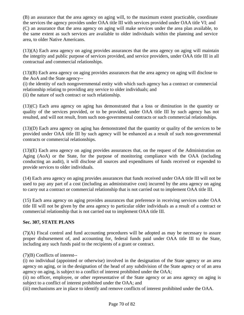(B) an assurance that the area agency on aging will, to the maximum extent practicable, coordinate the services the agency provides under OAA title III with services provided under OAA title VI; and (C) an assurance that the area agency on aging will make services under the area plan available, to the same extent as such services are available to older individuals within the planning and service area, to older Native Americans.

(13)(A) Each area agency on aging provides assurances that the area agency on aging will maintain the integrity and public purpose of services provided, and service providers, under OAA title III in all contractual and commercial relationships.

(13)(B) Each area agency on aging provides assurances that the area agency on aging will disclose to the AoA and the State agency--

(i) the identity of each nongovernmental entity with which such agency has a contract or commercial relationship relating to providing any service to older individuals; and (ii) the nature of such contract or such relationship.

(13)(C) Each area agency on aging has demonstrated that a loss or diminution in the quantity or quality of the services provided, or to be provided, under OAA title III by such agency has not resulted, and will not result, from such non-governmental contracts or such commercial relationships.

(13)(D) Each area agency on aging has demonstrated that the quantity or quality of the services to be provided under OAA title III by such agency will be enhanced as a result of such non-governmental contracts or commercial relationships.

(13)(E) Each area agency on aging provides assurances that, on the request of the Administration on Aging (AoA) or the State, for the purpose of monitoring compliance with the OAA (including conducting an audit), it will disclose all sources and expenditures of funds received or expended to provide services to older individuals.

(14) Each area agency on aging provides assurances that funds received under OAA title III will not be used to pay any part of a cost (including an administrative cost) incurred by the area agency on aging to carry out a contract or commercial relationship that is not carried out to implement OAA title III.

(15) Each area agency on aging provides assurances that preference in receiving services under OAA title III will not be given by the area agency to particular older individuals as a result of a contract or commercial relationship that is not carried out to implement OAA title III.

#### **Sec. 307, STATE PLANS**

(7)(A) Fiscal control and fund accounting procedures will be adopted as may be necessary to assure proper disbursement of, and accounting for, federal funds paid under OAA title III to the State, including any such funds paid to the recipients of a grant or contract.

#### (7)(B) Conflicts of interest--

(i) no individual (appointed or otherwise) involved in the designation of the State agency or an area agency on aging, or in the designation of the head of any subdivision of the State agency or of an area agency on aging, is subject to a conflict of interest prohibited under the OAA;

(ii) no officer, employee, or other representative of the State agency or an area agency on aging is subject to a conflict of interest prohibited under the OAA; and

(iii) mechanisms are in place to identify and remove conflicts of interest prohibited under the OAA.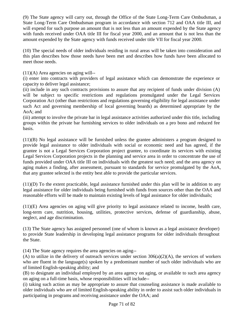(9) The State agency will carry out, through the Office of the State Long-Term Care Ombudsman, a State Long-Term Care Ombudsman program in accordance with section 712 and OAA title III, and will expend for such purpose an amount that is not less than an amount expended by the State agency with funds received under OAA title III for fiscal year 2000, and an amount that is not less than the amount expended by the State agency with funds received under title VII for fiscal year 2000.

(10) The special needs of older individuals residing in rural areas will be taken into consideration and this plan describes how those needs have been met and describes how funds have been allocated to meet those needs.

 $(11)(A)$  Area agencies on aging will--

(i) enter into contracts with providers of legal assistance which can demonstrate the experience or capacity to deliver legal assistance;

(ii) include in any such contracts provisions to assure that any recipient of funds under division (A) will be subject to specific restrictions and regulations promulgated under the Legal Services Corporation Act (other than restrictions and regulations governing eligibility for legal assistance under such Act and governing membership of local governing boards) as determined appropriate by the AoA; and

(iii) attempt to involve the private bar in legal assistance activities authorized under this title, including groups within the private bar furnishing services to older individuals on a pro bono and reduced fee basis.

(11)(B) No legal assistance will be furnished unless the grantee administers a program designed to provide legal assistance to older individuals with social or economic need and has agreed, if the grantee is not a Legal Services Corporation project grantee, to coordinate its services with existing Legal Services Corporation projects in the planning and service area in order to concentrate the use of funds provided under OAA title III on individuals with the greatest such need; and the area agency on aging makes a finding, after assessment, pursuant to standards for service promulgated by the AoA, that any grantee selected is the entity best able to provide the particular services.

(11)(D) To the extent practicable, legal assistance furnished under this plan will be in addition to any legal assistance for older individuals being furnished with funds from sources other than the OAA and reasonable efforts will be made to maintain existing levels of legal assistance for older individuals;

(11)(E) Area agencies on aging will give priority to legal assistance related to income, health care, long-term care, nutrition, housing, utilities, protective services, defense of guardianship, abuse, neglect, and age discrimination.

(13) The State agency has assigned personnel (one of whom is known as a legal assistance developer) to provide State leadership in developing legal assistance programs for older individuals throughout the State.

(14) The State agency requires the area agencies on aging--

(A) to utilize in the delivery of outreach services under section 306(a)(2)(A), the services of workers who are fluent in the language(s) spoken by a predominant number of such older individuals who are of limited English-speaking ability; and

(B) to designate an individual employed by an area agency on aging, or available to such area agency on aging on a full-time basis, whose responsibilities will include--

(i) taking such action as may be appropriate to assure that counseling assistance is made available to older individuals who are of limited English-speaking ability in order to assist such older individuals in participating in programs and receiving assistance under the OAA; and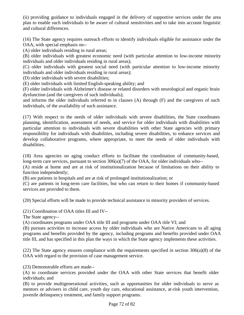(ii) providing guidance to individuals engaged in the delivery of supportive services under the area plan to enable such individuals to be aware of cultural sensitivities and to take into account linguistic and cultural differences.

(16) The State agency requires outreach efforts to identify individuals eligible for assistance under the OAA, with special emphasis on--

(A) older individuals residing in rural areas;

(B) older individuals with greatest economic need (with particular attention to low-income minority individuals and older individuals residing in rural areas);

(C) older individuals with greatest social need (with particular attention to low-income minority individuals and older individuals residing in rural areas);

(D) older individuals with severe disabilities;

(E) older individuals with limited English-speaking ability; and

(F) older individuals with Alzheimer's disease or related disorders with neurological and organic brain dysfunction (and the caregivers of such individuals);

and informs the older individuals referred to in clauses (A) through (F) and the caregivers of such individuals, of the availability of such assistance.

(17) With respect to the needs of older individuals with severe disabilities, the State coordinates planning, identification, assessment of needs, and service for older individuals with disabilities with particular attention to individuals with severe disabilities with other State agencies with primary responsibility for individuals with disabilities, including severe disabilities, to enhance services and develop collaborative programs, where appropriate, to meet the needs of older individuals with disabilities.

(18) Area agencies on aging conduct efforts to facilitate the coordination of community-based, long-term care services, pursuant to section 306(a)(7) of the OAA, for older individuals who--

(A) reside at home and are at risk of institutionalization because of limitations on their ability to function independently;

(B) are patients in hospitals and are at risk of prolonged institutionalization; or

(C) are patients in long-term care facilities, but who can return to their homes if community-based services are provided to them.

(20) Special efforts will be made to provide technical assistance to minority providers of services.

(21) Coordination of OAA titles III and IV--

The State agency--

(A) coordinates programs under OAA title III and programs under OAA title VI; and

(B) pursues activities to increase access by older individuals who are Native Americans to all aging programs and benefits provided by the agency, including programs and benefits provided under OAA title III, and has specified in this plan the ways in which the State agency implements these activities.

(22) The State agency ensures compliance with the requirements specified in section 306(a)(8) of the OAA with regard to the provision of case management service.

(23) Demonstrable efforts are made--

(A) to coordinate services provided under the OAA with other State services that benefit older individuals; and

(B) to provide multigenerational activities, such as opportunities for older individuals to serve as mentors or advisers in child care, youth day care, educational assistance, at-risk youth intervention, juvenile delinquency treatment, and family support programs.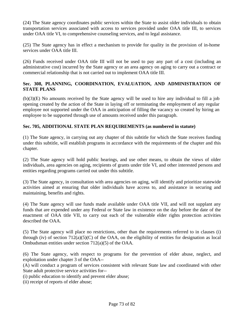(24) The State agency coordinates public services within the State to assist older individuals to obtain transportation services associated with access to services provided under OAA title III, to services under OAA title VI, to comprehensive counseling services, and to legal assistance.

(25) The State agency has in effect a mechanism to provide for quality in the provision of in-home services under OAA title III.

(26) Funds received under OAA title III will not be used to pay any part of a cost (including an administrative cost) incurred by the State agency or an area agency on aging to carry out a contract or commercial relationship that is not carried out to implement OAA title III.

#### **Sec. 308, PLANNING, COORDINATION, EVALUATION, AND ADMINISTRATION OF STATE PLANS**

(b)(3)(E) No amounts received by the State agency will be used to hire any individual to fill a job opening created by the action of the State in laying off or terminating the employment of any regular employee not supported under the OAA in anticipation of filling the vacancy so created by hiring an employee to be supported through use of amounts received under this paragraph.

#### **Sec. 705, ADDITIONAL STATE PLAN REQUIREMENTS (as numbered in statute)**

(1) The State agency, in carrying out any chapter of this subtitle for which the State receives funding under this subtitle, will establish programs in accordance with the requirements of the chapter and this chapter.

(2) The State agency will hold public hearings, and use other means, to obtain the views of older individuals, area agencies on aging, recipients of grants under title VI, and other interested persons and entities regarding programs carried out under this subtitle.

(3) The State agency, in consultation with area agencies on aging, will identify and prioritize statewide activities aimed at ensuring that older individuals have access to, and assistance in securing and maintaining, benefits and rights.

(4) The State agency will use funds made available under OAA title VII, and will not supplant any funds that are expended under any Federal or State law in existence on the day before the date of the enactment of OAA title VII, to carry out each of the vulnerable elder rights protection activities described the OAA.

(5) The State agency will place no restrictions, other than the requirements referred to in clauses (i) through (iv) of section  $712(a)(5)(C)$  of the OAA, on the eligibility of entities for designation as local Ombudsman entities under section 712(a)(5) of the OAA.

(6) The State agency, with respect to programs for the prevention of elder abuse, neglect, and exploitation under chapter 3 of the OAA--

(A) will conduct a program of services consistent with relevant State law and coordinated with other State adult protective service activities for--

(i) public education to identify and prevent elder abuse;

(ii) receipt of reports of elder abuse;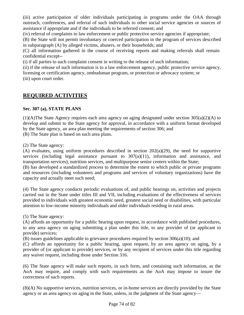(iii) active participation of older individuals participating in programs under the OAA through outreach, conferences, and referral of such individuals to other social service agencies or sources of assistance if appropriate and if the individuals to be referred consent; and

(iv) referral of complaints to law enforcement or public protective service agencies if appropriate;

(B) the State will not permit involuntary or coerced participation in the program of services described in subparagraph (A) by alleged victims, abusers, or their households; and

(C) all information gathered in the course of receiving reports and making referrals shall remain confidential except--

(i) if all parties to such complaint consent in writing to the release of such information;

(ii) if the release of such information is to a law enforcement agency, public protective service agency, licensing or certification agency, ombudsman program, or protection or advocacy system; or (iii) upon court order.

# **REQUIRED ACTIVITIES**

#### **Sec. 307 (a), STATE PLANS**

(1)(A)The State Agency requires each area agency on aging designated under section 305(a)(2)(A) to develop and submit to the State agency for approval, in accordance with a uniform format developed by the State agency, an area plan meeting the requirements of section 306; and

(B) The State plan is based on such area plans.

(2) The State agency:

(A) evaluates, using uniform procedures described in section 202(a)(29), the need for supportive services (including legal assistance pursuant to  $307(a)(11)$ , information and assistance, and transportation services), nutrition services, and multipurpose senior centers within the State;

(B) has developed a standardized process to determine the extent to which public or private programs and resources (including volunteers and programs and services of voluntary organizations) have the capacity and actually meet such need;

(4) The State agency conducts periodic evaluations of, and public hearings on, activities and projects carried out in the State under titles III and VII, including evaluations of the effectiveness of services provided to individuals with greatest economic need, greatest social need or disabilities, with particular attention to low-income minority individuals and older individuals residing in rural areas.

(5) The State agency:

(A) affords an opportunity for a public hearing upon request, in accordance with published procedures, to any area agency on aging submitting a plan under this title, to any provider of (or applicant to provide) services;

(B) issues guidelines applicable to grievance procedures required by section 306(a)(10); and

(C) affords an opportunity for a public hearing, upon request, by an area agency on aging, by a provider of (or applicant to provide) services, or by any recipient of services under this title regarding any waiver request, including those under Section 316.

(6) The State agency will make such reports, in such form, and containing such information, as the AoA may require, and comply with such requirements as the AoA may impose to insure the correctness of such reports.

 (8)(A) No supportive services, nutrition services, or in-home services are directly provided by the State agency or an area agency on aging in the State, unless, in the judgment of the State agency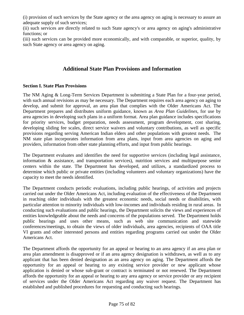(i) provision of such services by the State agency or the area agency on aging is necessary to assure an adequate supply of such services;

(ii) such services are directly related to such State agency's or area agency on aging's administrative functions; or

(iii) such services can be provided more economically, and with comparable, or superior, quality, by such State agency or area agency on aging.

#### **Additional State Plan Provisions and Information**

#### **Section I. State Plan Provisions**

The NM Aging & Long-Term Services Department is submitting a State Plan for a four-year period, with such annual revisions as may be necessary. The Department requires each area agency on aging to develop, and submit for approval, an area plan that complies with the Older Americans Act. The Department prepares and distributes uniform guidance, known as *Area Plan Guidelines*, for use by area agencies in developing such plans in a uniform format. Area plan guidance includes specifications for priority services, budget preparation, needs assessment, program development, cost sharing, developing sliding fee scales, direct service waivers and voluntary contributions, as well as specific provisions regarding serving American Indian elders and other populations with greatest needs. The NM state plan incorporates information from area plans, input from area agencies on aging and providers, information from other state planning efforts, and input from public hearings.

The Department evaluates and identifies the need for supportive services (including legal assistance, information & assistance, and transportation services), nutrition services and multipurpose senior centers within the state. The Department has developed, and utilizes, a standardized process to determine which public or private entities (including volunteers and voluntary organizations) have the capacity to meet the needs identified.

The Department conducts periodic evaluations, including public hearings, of activities and projects carried out under the Older Americans Act, including evaluation of the effectiveness of the Department in reaching older individuals with the greatest economic needs, social needs or disabilities, with particular attention to minority individuals with low-incomes and individuals residing in rural areas. In conducting such evaluations and public hearings, the Department solicits the views and experiences of entities knowledgeable about the needs and concerns of the populations served. The Department holds public hearings and uses other means, such as web site communication and statewide conferences/meetings, to obtain the views of older individuals, area agencies, recipients of OAA title VI grants and other interested persons and entities regarding programs carried out under the Older Americans Act.

The Department affords the opportunity for an appeal or hearing to an area agency if an area plan or area plan amendment is disapproved or if an area agency designation is withdrawn, as well as to any applicant that has been denied designation as an area agency on aging. The Department affords the opportunity for an appeal or hearing to any existing service provider or new applicant whose application is denied or whose sub-grant or contract is terminated or not renewed. The Department affords the opportunity for an appeal or hearing to any area agency or service provider or any recipient of services under the Older Americans Act regarding any waiver request. The Department has established and published procedures for requesting and conducting such hearings.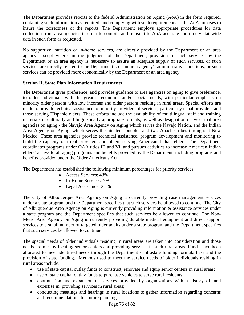The Department provides reports to the federal Administration on Aging (AoA) in the form required, containing such information as required, and complying with such requirements as the AoA imposes to insure the correctness of the reports. The Department employs appropriate procedures for data collection from area agencies in order to compile and transmit to AoA accurate and timely statewide data in such form as requested.

No supportive, nutrition or in-home services, are directly provided by the Department or an area agency, except where, in the judgment of the Department, provision of such services by the Department or an area agency is necessary to assure an adequate supply of such services, or such services are directly related to the Department's or an area agency's administrative functions, or such services can be provided more economically by the Department or an area agency.

#### **Section II. State Plan Information Requirements**

The Department gives preference, and provides guidance to area agencies on aging to give preference, to older individuals with the greatest economic and/or social needs, with particular emphasis on minority older persons with low incomes and older persons residing in rural areas. Special efforts are made to provide technical assistance to minority providers of services, particularly tribal providers and those serving Hispanic elders. These efforts include the availability of multilingual staff and training materials in culturally and linguistically appropriate formats, as well as designation of two tribal area agencies on aging - the Navajo Area Agency on Aging which serves the Navajo Nation, and the Indian Area Agency on Aging, which serves the nineteen pueblos and two Apache tribes throughout New Mexico. These area agencies provide technical assistance, program development and monitoring to build the capacity of tribal providers and others serving American Indian elders. The Department coordinates programs under OAA titles III and VI, and pursues activities to increase American Indian elders' access to all aging programs and benefits provided by the Department, including programs and benefits provided under the Older Americans Act.

The Department has established the following minimum percentages for priority services:

- Access Services: 43%
- In-Home Services: 7%
- Legal Assistance: 2.1%

The City of Albuquerque Area Agency on Aging is currently providing case management services under a state program and the Department specifies that such services be allowed to continue. The City of Albuquerque Area Agency on Aging is currently providing information & assistance services under a state program and the Department specifies that such services be allowed to continue. The Non-Metro Area Agency on Aging is currently providing durable medical equipment and direct support services to a small number of targeted older adults under a state program and the Department specifies that such services be allowed to continue.

The special needs of older individuals residing in rural areas are taken into consideration and those needs are met by locating senior centers and providing services in such rural areas. Funds have been allocated to meet identified needs through the Department's intrastate funding formula base and the provision of state funding. Methods used to meet the service needs of older individuals residing in rural areas include:

- use of state capital outlay funds to construct, renovate and equip senior centers in rural areas;
- use of state capital outlay funds to purchase vehicles to serve rural residents;
- continuation and expansion of services provided by organizations with a history of, and expertise in, providing services in rural areas;
- conducting meetings and hearings in rural locations to gather information regarding concerns and recommendations for future planning.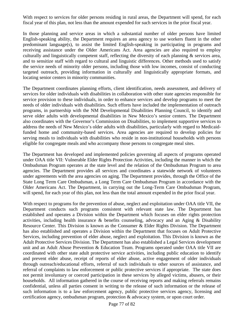With respect to services for older persons residing in rural areas, the Department will spend, for each fiscal year of this plan, not less than the amount expended for such services in the prior fiscal year.

In those planning and service areas in which a substantial number of older persons have limited English-speaking ability, the Department requires an area agency to use workers fluent in the other predominant language(s), to assist the limited English-speaking in participating in programs and receiving assistance under the Older Americans Act. Area agencies are also required to employ culturally and linguistically competent staff, reflecting the diversity of each planning & services area, and to sensitize staff with regard to cultural and linguistic differences. Other methods used to satisfy the service needs of minority older persons, including those with low incomes, consist of conducting targeted outreach, providing information in culturally and linguistically appropriate formats, and locating senior centers in minority communities.

The Department coordinates planning efforts, client identification, needs assessment, and delivery of services for older individuals with disabilities in collaboration with other state agencies responsible for service provision to these individuals, in order to enhance services and develop programs to meet the needs of older individuals with disabilities. Such efforts have included the implementation of outreach programs, in partnership with the NM Developmental Disabilities Planning Council, to identify and serve older adults with developmental disabilities in New Mexico's senior centers. The Department also coordinates with the Governor's Commission on Disabilities, to implement supportive services to address the needs of New Mexico's older adults with disabilities, particularly with regard to Medicaidfunded home and community-based services. Area agencies are required to develop policies for serving meals to individuals with disabilities who reside in non-institutional households with persons eligible for congregate meals and who accompany those persons to congregate meal sites.

The Department has developed and implemented policies governing all aspects of programs operated under OAA title VII: Vulnerable Elder Rights Protection Activities, including the manner in which the Ombudsman Program operates at the state level and the relation of the Ombudsman Program to area agencies. The Department provides all services and coordinates a statewide network of volunteers under agreements with the area agencies on aging. The Department provides, through the Office of the State Long Term Care Ombudsman, a Long Term Care Ombudsman Program in accordance with the Older Americans Act. The Department, in carrying out the Long-Term Care Ombudsman Program, will spend, for each year of this plan, not less than the total amount expended in the prior fiscal year.

With respect to programs for the prevention of abuse, neglect and exploitation under OAA title VII, the Department conducts such programs consistent with relevant state law. The Department has established and operates a Division within the Department which focuses on elder rights protection activities, including health insurance & benefits counseling, advocacy and an Aging & Disability Resource Center. This Division is known as the Consumer & Elder Rights Division. The Department has also established and operates a Division within the Department that focuses on Adult Protective Services, including prevention of elder abuse, neglect and exploitation. This Division is known as the Adult Protective Services Division. The Department has also established a Legal Services development unit and an Adult Abuse Prevention & Education Team. Programs operated under OAA title VII are coordinated with other state adult protective service activities, including public education to identify and prevent elder abuse, receipt of reports of elder abuse, active engagement of older individuals through outreach/educational efforts, referral of such individuals to other sources of assistance, and referral of complaints to law enforcement or public protective services if appropriate. The state does not permit involuntary or coerced participation in these services by alleged victims, abusers, or their households. All information gathered in the course of receiving reports and making referrals remains confidential, unless all parties consent in writing to the release of such information or the release of such information is to a law enforcement agency, public protective services agency, licensing and certification agency, ombudsman program, protection & advocacy system, or upon court order.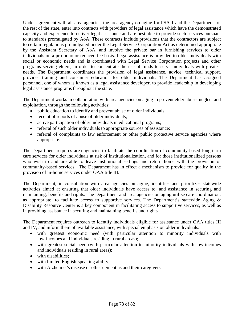Under agreement with all area agencies, the area agency on aging for PSA 1 and the Department for the rest of the state, enter into contracts with providers of legal assistance which have the demonstrated capacity and experience to deliver legal assistance and are best able to provide such services pursuant to standards promulgated by AoA. These contracts include provisions that the contractors are subject to certain regulations promulgated under the Legal Service Corporation Act as determined appropriate by the Assistant Secretary of AoA, and involve the private bar in furnishing services to older individuals on a pro-bono or reduced fee basis. Legal assistance is provided to older individuals with social or economic needs and is coordinated with Legal Service Corporation projects and other programs serving elders, in order to concentrate the use of funds to serve individuals with greatest needs. The Department coordinates the provision of legal assistance, advice, technical support, provider training and consumer education for older individuals. The Department has assigned personnel, one of whom is known as a legal assistance developer, to provide leadership in developing legal assistance programs throughout the state.

The Department works in collaboration with area agencies on aging to prevent elder abuse, neglect and exploitation, through the following activities:

- public education to identify and prevent abuse of older individuals;
- receipt of reports of abuse of older individuals;
- active participation of older individuals in educational programs;
- referral of such older individuals to appropriate sources of assistance;
- referral of complaints to law enforcement or other public protective service agencies where appropriate.

The Department requires area agencies to facilitate the coordination of community-based long-term care services for older individuals at risk of institutionalization, and for those institutionalized persons who wish to and are able to leave institutional settings and return home with the provision of community-based services. The Department has in effect a mechanism to provide for quality in the provision of in-home services under OAA title III.

The Department, in consultation with area agencies on aging, identifies and prioritizes statewide activities aimed at ensuring that older individuals have access to, and assistance in securing and maintaining, benefits and rights. The Department and area agencies on aging utilize care coordination, as appropriate, to facilitate access to supportive services. The Department's statewide Aging & Disability Resource Center is a key component in facilitating access to supportive services, as well as in providing assistance in securing and maintaining benefits and rights.

The Department requires outreach to identify individuals eligible for assistance under OAA titles III and IV, and inform them of available assistance, with special emphasis on older individuals:

- with greatest economic need (with particular attention to minority individuals with low-incomes and individuals residing in rural areas);
- with greatest social need (with particular attention to minority individuals with low-incomes and individuals residing in rural areas);
- with disabilities;
- with limited English-speaking ability;
- with Alzheimer's disease or other dementias and their caregivers.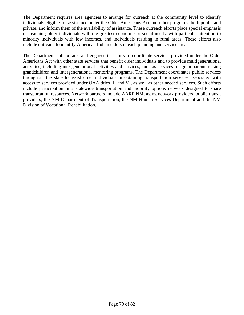The Department requires area agencies to arrange for outreach at the community level to identify individuals eligible for assistance under the Older Americans Act and other programs, both public and private, and inform them of the availability of assistance. These outreach efforts place special emphasis on reaching older individuals with the greatest economic or social needs, with particular attention to minority individuals with low incomes, and individuals residing in rural areas. These efforts also include outreach to identify American Indian elders in each planning and service area.

The Department collaborates and engages in efforts to coordinate services provided under the Older Americans Act with other state services that benefit older individuals and to provide multigenerational activities, including intergenerational activities and services, such as services for grandparents raising grandchildren and intergenerational mentoring programs. The Department coordinates public services throughout the state to assist older individuals in obtaining transportation services associated with access to services provided under OAA titles III and VI, as well as other needed services. Such efforts include participation in a statewide transportation and mobility options network designed to share transportation resources. Network partners include AARP NM, aging network providers, public transit providers, the NM Department of Transportation, the NM Human Services Department and the NM Division of Vocational Rehabilitation.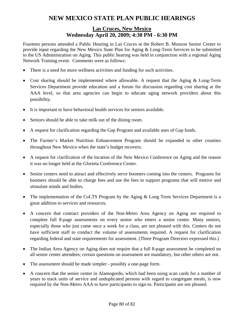# **NEW MEXICO STATE PLAN PUBLIC HEARINGS**

### **Las Cruces, New Mexico Wednesday April 20, 2009; 4:30 PM - 6:30 PM**

Fourteen persons attended a Public Hearing in Las Cruces at the Robert B. Munson Senior Center to provide input regarding the New Mexico State Plan for Aging & Long-Term Services to be submitted to the US Administration on Aging. This public hearing was held in conjunction with a regional Aging Network Training event. Comments were as follows:

- There is a need for more wellness activities and funding for such activities.
- Cost sharing should be implemented where allowable. A request that the Aging & Long-Term Services Department provide education and a forum for discussion regarding cost sharing at the AAA level, so that area agencies can begin to educate aging network providers about this possibility.
- It is important to have behavioral health services for seniors available.
- Seniors should be able to take milk out of the dining room.
- A request for clarification regarding the Gap Program and available uses of Gap funds.
- The Farmer's Market Nutrition Enhancement Program should be expanded to other counties throughout New Mexico when the state's budget recovers.
- A request for clarification of the location of the New Mexico Conference on Aging and the reason it was no longer held at the Glorieta Conference Center.
- Senior centers need to attract and effectively serve boomers coming into the centers. Programs for boomers should be able to charge fees and use the fees to support programs that will motive and stimulate minds and bodies.
- The implementation of the CoLTS Program by the Aging & Long Term Services Department is a great addition to services and resources.
- A concern that contract providers of the Non-Metro Area Agency on Aging are required to complete full 8-page assessments on every senior who enters a senior center. Many seniors, especially those who just come once a week for a class, are not pleased with this. Centers do not have sufficient staff to conduct the volume of assessments required. A request for clarification regarding federal and state requirements for assessment. (Three Program Directors expressed this.)
- The Indian Area Agency on Aging does not require that a full 8-page assessment be completed on all senior center attendees; certain questions on assessment are mandatory, but other others are not.
- The assessment should be made simpler possibly a one-page form.
- A concern that the senior center in Alamogordo, which had been using scan cards for a number of years to track units of service and unduplicated persons with regard to congregate meals, is now required by the Non-Metro AAA to have participants to sign-in. Participants are not pleased.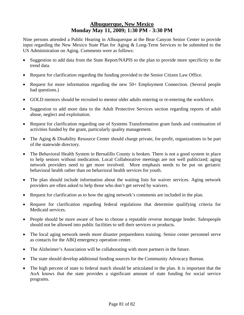# **Albuquerque, New Mexico Monday May 11, 2009; 1:30 PM - 3:30 PM**

Nine persons attended a Public Hearing in Albuquerque at the Bear Canyon Senior Center to provide input regarding the New Mexico State Plan for Aging & Long-Term Services to be submitted to the US Administration on Aging. Comments were as follows:

- Suggestion to add data from the State Report/NAPIS to the plan to provide more specificity to the trend data.
- Request for clarification regarding the funding provided to the Senior Citizen Law Office.
- Request for more information regarding the new 50+ Employment Connection. (Several people had questions.)
- GOLD mentors should be recruited to mentor older adults entering or re-entering the workforce.
- Suggestion to add more data to the Adult Protective Services section regarding reports of adult abuse, neglect and exploitation.
- Request for clarification regarding use of Systems Transformation grant funds and continuation of activities funded by the grant, particularly quality management.
- The Aging & Disability Resource Center should charge private, for-profit, organizations to be part of the statewide directory.
- The Behavioral Health System in Bernalillo County is broken. There is not a good system in place to help seniors without medication. Local Collaborative meetings are not well publicized; aging network providers need to get more involved. More emphasis needs to be put on geriatric behavioral health rather than on behavioral health services for youth.
- The plan should include information about the waiting lists for waiver services. Aging network providers are often asked to help those who don't get served by waivers.
- Request for clarification as to how the aging network's comments are included in the plan.
- Request for clarification regarding federal regulations that determine qualifying criteria for Medicaid services.
- People should be more aware of how to choose a reputable reverse mortgage lender. Salespeople should not be allowed into public facilities to sell their services or products.
- The local aging network needs more disaster preparedness training. Senior center personnel serve as contacts for the ABQ emergency operation center.
- The Alzheimer's Association will be collaborating with more partners in the future.
- The state should develop additional funding sources for the Community Advocacy Bureau.
- The high percent of state to federal match should be articulated in the plan. It is important that the AoA knows that the state provides a significant amount of state funding for social service programs.